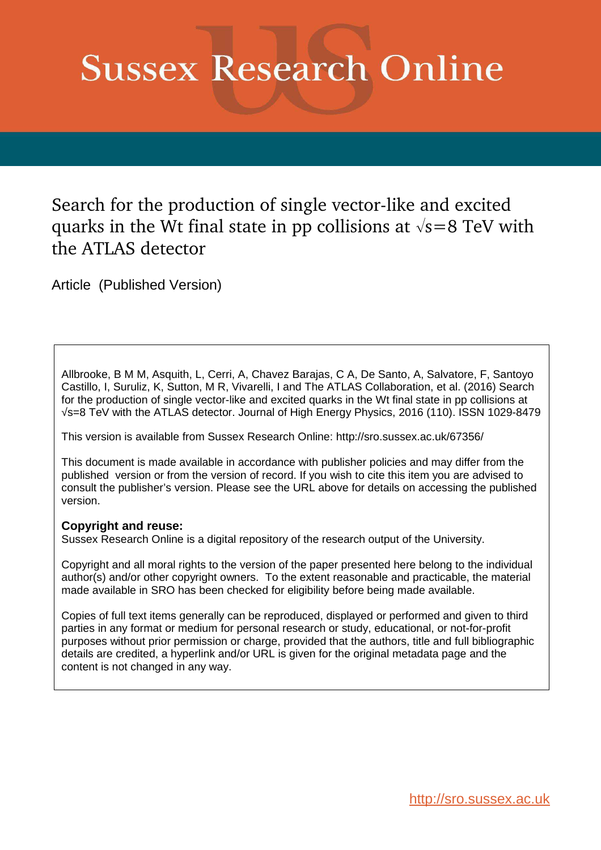# **Sussex Research Online**

Search for the production of single vector-like and excited quarks in the Wt final state in pp collisions at  $\sqrt{s}=8$  TeV with the ATLAS detector

Article (Published Version)

Allbrooke, B M M, Asquith, L, Cerri, A, Chavez Barajas, C A, De Santo, A, Salvatore, F, Santoyo Castillo, I, Suruliz, K, Sutton, M R, Vivarelli, I and The ATLAS Collaboration, et al. (2016) Search for the production of single vector-like and excited quarks in the Wt final state in pp collisions at √s=8 TeV with the ATLAS detector. Journal of High Energy Physics, 2016 (110). ISSN 1029-8479

This version is available from Sussex Research Online: http://sro.sussex.ac.uk/67356/

This document is made available in accordance with publisher policies and may differ from the published version or from the version of record. If you wish to cite this item you are advised to consult the publisher's version. Please see the URL above for details on accessing the published version.

# **Copyright and reuse:**

Sussex Research Online is a digital repository of the research output of the University.

Copyright and all moral rights to the version of the paper presented here belong to the individual author(s) and/or other copyright owners. To the extent reasonable and practicable, the material made available in SRO has been checked for eligibility before being made available.

Copies of full text items generally can be reproduced, displayed or performed and given to third parties in any format or medium for personal research or study, educational, or not-for-profit purposes without prior permission or charge, provided that the authors, title and full bibliographic details are credited, a hyperlink and/or URL is given for the original metadata page and the content is not changed in any way.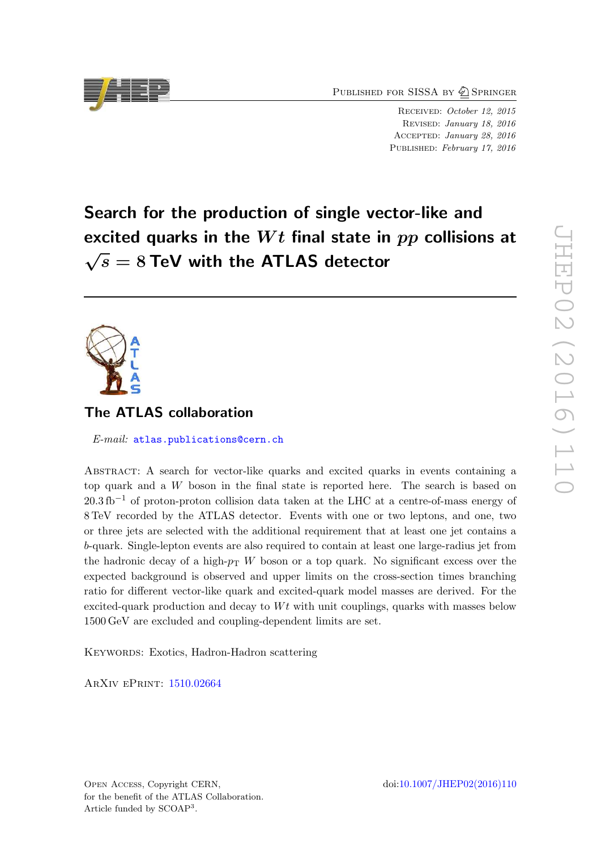PUBLISHED FOR SISSA BY 2 SPRINGER

RECEIVED: October 12, 2015 Revised : January 18, 2016 Accepted : January 28, 2016 PUBLISHED: February 17, 2016

Search for the production of single vector-like and excited quarks in the  $Wt$  final state in  $pp$  collisions at  $\sqrt{s} = 8$  TeV with the ATLAS detector

# The ATLAS collaboration

E-mail: [atlas.publications@cern.ch](mailto:atlas.publications@cern.ch)

<span id="page-1-0"></span>Abstract: A search for vector-like quarks and excited quarks in events containing a top quark and a W boson in the final state is reported here. The search is based on  $20.3\,\text{fb}^{-1}$  of proton-proton collision data taken at the LHC at a centre-of-mass energy of 8 TeV recorded by the ATLAS detector. Events with one or two leptons, and one, two or three jets are selected with the additional requirement that at least one jet contains a b-quark. Single-lepton events are also required to contain at least one large-radius jet from the hadronic decay of a high- $p_T$  W boson or a top quark. No significant excess over the expected background is observed and upper limits on the cross-section times branching ratio for different vector-like quark and excited-quark model masses are derived. For the excited-quark production and decay to  $Wt$  with unit couplings, quarks with masses below 1500 GeV are excluded and coupling-dependent limits are set.

KEYWORDS: Exotics, Hadron-Hadron scattering

ArXiv ePrint: [1510.02664](http://arxiv.org/abs/1510.02664)

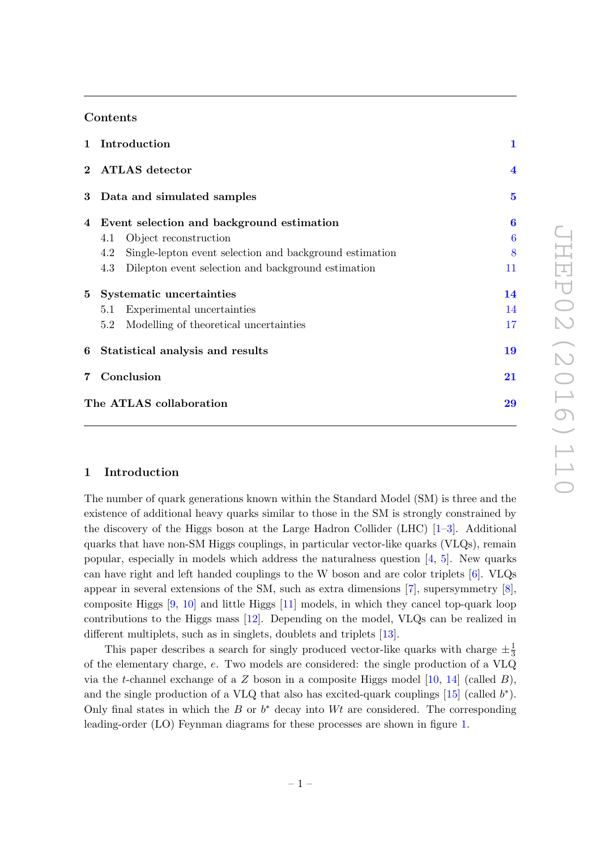#### Contents

<span id="page-2-2"></span><span id="page-2-1"></span><span id="page-2-0"></span>

|                | 1 Introduction                                                 | $\mathbf{1}$            |  |  |
|----------------|----------------------------------------------------------------|-------------------------|--|--|
|                | 2 ATLAS detector                                               | $\overline{\mathbf{4}}$ |  |  |
|                | 3 Data and simulated samples                                   | $\mathbf{5}$            |  |  |
|                | 4 Event selection and background estimation                    | $\bf{6}$                |  |  |
|                | Object reconstruction<br>4.1                                   | 6                       |  |  |
|                | Single-lepton event selection and background estimation<br>4.2 | 8                       |  |  |
|                | 4.3<br>Dilepton event selection and background estimation      | 11                      |  |  |
| 5 <sup>5</sup> | Systematic uncertainties                                       | 14                      |  |  |
|                | Experimental uncertainties<br>5.1                              | 14                      |  |  |
|                | Modelling of theoretical uncertainties<br>5.2                  | 17                      |  |  |
| 6              | Statistical analysis and results                               | 19                      |  |  |
|                | 7 Conclusion                                                   |                         |  |  |
|                | The ATLAS collaboration                                        | 29                      |  |  |

#### <span id="page-2-4"></span>1 Introduction

The number of quark generations known within the Standard Model (SM) is three and the existence of additional heavy quarks similar to those in the SM is strongly constrained by the discovery of the Higgs boson at the Large Hadron Collider (LHC) [ [1](#page-23-0) – [3\]](#page-23-1). Additional quarks that have non-SM Higgs couplings, in particular vector-like quarks (VLQs), remain popular, especially in models which address the naturalness question [ [4](#page-23-2) , [5\]](#page-23-3). New quarks can have right and left handed couplings to the W boson and are color triplets [ [6\]](#page-23-4). VLQs appear in several extensions of the SM, such as extra dimensions [ [7\]](#page-23-5), supersymmetry [ [8\]](#page-23-6), composite Higgs [ [9](#page-23-7) , [10\]](#page-23-8) and little Higgs [\[11\]](#page-23-9) models, in which they cancel top-quark loop contributions to the Higgs mass [\[12\]](#page-23-10). Depending on the model, VLQs can be realized in different multiplets, such as in singlets, doublets and triplets [\[13\]](#page-23-11).

<span id="page-2-3"></span>This paper describes a search for singly produced vector-like quarks with charge  $\pm \frac{1}{3}$ of the elementary charge, e. Two models are considered: the single production of a VLQ via the *t*-channel exchange of a Z boson in a composite Higgs model  $[10, 14]$  $[10, 14]$  (called B), and the single production of a VLQ that also has excited-quark couplings  $[15]$  (called  $b^*$ ). Only final states in which the  $B$  or  $b^*$  decay into  $Wt$  are considered. The corresponding leading-order (LO) Feynman diagrams for these processes are shown in figure [1](#page-2-0) .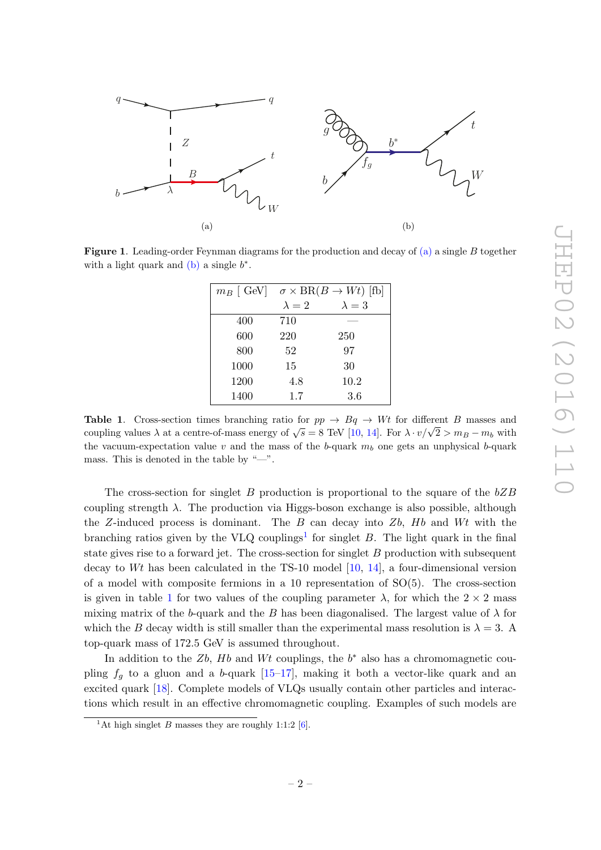

<span id="page-3-0"></span>**Figure 1**. Leading-order Feynman diagrams for the production and decay of [\(a\)](#page-2-1) a single B together with a light quark and  $(b)$  a single  $b^*$ .

| $m_B$ [ GeV] |               | $\sigma \times BR(B \to Wt)$ [fb] |
|--------------|---------------|-----------------------------------|
|              | $\lambda = 2$ | $\lambda = 3$                     |
| 400          | 710           |                                   |
| 600          | 220           | 250                               |
| 800          | 52            | 97                                |
| 1000         | 15            | 30                                |
| 1200         | 4.8           | 10.2                              |
| 1400         | 1.7           | $3.6\,$                           |

**Table 1.** Cross-section times branching ratio for  $pp \rightarrow Bq \rightarrow Wt$  for different B masses and coupling values  $\lambda$  at a centre-of-mass energy of  $\sqrt{s} = 8$  TeV [\[10](#page-23-8), [14\]](#page-23-12). For  $\lambda \cdot v/\sqrt{2} > m_B - m_b$  with the vacuum-expectation value v and the mass of the b-quark  $m_b$  one gets an unphysical b-quark mass. This is denoted in the table by "—".

The cross-section for singlet  $B$  production is proportional to the square of the  $bZB$ coupling strength  $\lambda$ . The production via Higgs-boson exchange is also possible, although the Z-induced process is dominant. The  $B$  can decay into  $Zb$ ,  $Hb$  and  $Wt$  with the branching ratios given by the VLQ couplings<sup>[1](#page-2-3)</sup> for singlet  $B$ . The light quark in the final state gives rise to a forward jet. The cross-section for singlet B production with subsequent decay to Wt has been calculated in the TS-10 model [\[10](#page-23-8) , [14\]](#page-23-12), a four-dimensional version of a model with composite fermions in a 10 representation of  $SO(5)$ . The cross-section is given in table [1](#page-2-4) for two values of the coupling parameter  $\lambda$ , for which the  $2 \times 2$  mass mixing matrix of the b-quark and the B has been diagonalised. The largest value of  $\lambda$  for which the B decay width is still smaller than the experimental mass resolution is  $\lambda = 3$ . A top-quark mass of 172 .5 GeV is assumed throughout.

In addition to the  $Zb$ ,  $Hb$  and  $Wt$  couplings, the  $b^*$  also has a chromomagnetic coupling  $f_g$  to a gluon and a b-quark  $[15-17]$ , making it both a vector-like quark and an excited quark [\[18\]](#page-23-15). Complete models of VLQs usually contain other particles and interactions which result in an effective chromomagnetic coupling. Examples of such models are

<sup>&</sup>lt;sup>1</sup>At high singlet B masses they are roughly 1:1:2 [\[6\]](#page-23-4).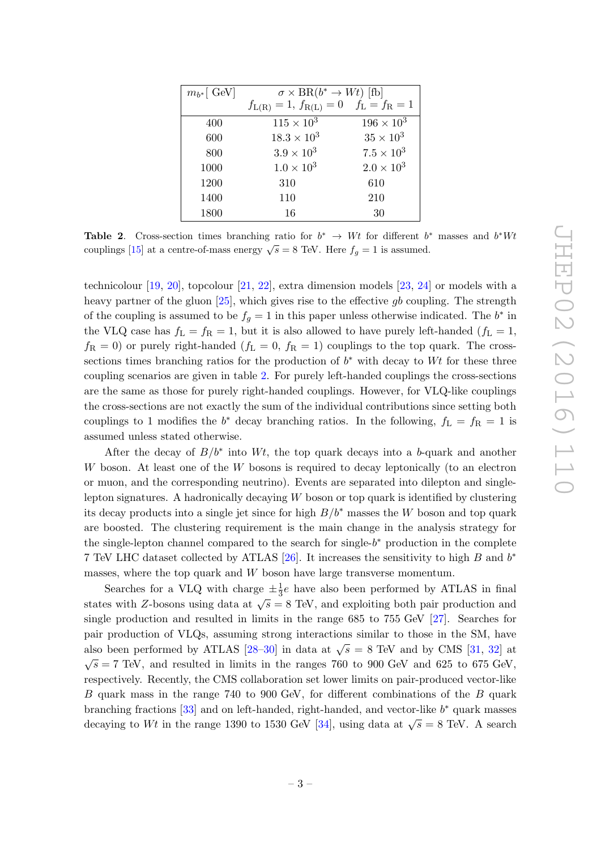| $m_{b^*}$ GeV | $\sigma \times BR(b^* \to Wt)$ [fb]              |                     |  |
|---------------|--------------------------------------------------|---------------------|--|
|               | $f_{L(R)} = 1, f_{R(L)} = 0 \quad f_L = f_R = 1$ |                     |  |
| 400           | $115 \times 10^{3}$                              | $196 \times 10^{3}$ |  |
| 600           | $18.3 \times 10^{3}$                             | $35 \times 10^3$    |  |
| 800           | $3.9 \times 10^{3}$                              | $7.5 \times 10^{3}$ |  |
| 1000          | $1.0 \times 10^{3}$                              | $2.0 \times 10^{3}$ |  |
| 1200          | 310                                              | 610                 |  |
| 1400          | 110                                              | 210                 |  |
| 1800          | 16                                               | 30                  |  |

Table 2. Cross-section times branching ratio for  $b^* \rightarrow Wt$  for different  $b^*$  masses and  $b^*Wt$ couplings [\[15\]](#page-23-13) at a centre-of-mass energy  $\sqrt{s} = 8$  TeV. Here  $f_g = 1$  is assumed.

technicolour [\[19](#page-24-0), [20\]](#page-24-1), topcolour [\[21](#page-24-2), [22\]](#page-24-3), extra dimension models [\[23](#page-24-4), [24\]](#page-24-5) or models with a heavy partner of the gluon [\[25\]](#page-24-6), which gives rise to the effective gb coupling. The strength of the coupling is assumed to be  $f_g = 1$  in this paper unless otherwise indicated. The  $b^*$  in the VLQ case has  $f_L = f_R = 1$ , but it is also allowed to have purely left-handed  $(f_L = 1,$  $f_{\rm R} = 0$ ) or purely right-handed  $(f_{\rm L} = 0, f_{\rm R} = 1)$  couplings to the top quark. The crosssections times branching ratios for the production of  $b^*$  with decay to Wt for these three coupling scenarios are given in table [2.](#page-3-0) For purely left-handed couplings the cross-sections are the same as those for purely right-handed couplings. However, for VLQ-like couplings the cross-sections are not exactly the sum of the individual contributions since setting both couplings to 1 modifies the  $b^*$  decay branching ratios. In the following,  $f_L = f_R = 1$  is assumed unless stated otherwise.

After the decay of  $B/b^*$  into Wt, the top quark decays into a b-quark and another W boson. At least one of the W bosons is required to decay leptonically (to an electron or muon, and the corresponding neutrino). Events are separated into dilepton and singlelepton signatures. A hadronically decaying W boson or top quark is identified by clustering its decay products into a single jet since for high  $B/b^*$  masses the W boson and top quark are boosted. The clustering requirement is the main change in the analysis strategy for the single-lepton channel compared to the search for single- $b^*$  production in the complete 7 TeV LHC dataset collected by ATLAS [\[26\]](#page-24-7). It increases the sensitivity to high  $B$  and  $b^*$ masses, where the top quark and W boson have large transverse momentum.

<span id="page-4-1"></span><span id="page-4-0"></span>Searches for a VLQ with charge  $\pm \frac{1}{3}e$  have also been performed by ATLAS in final states with Z-bosons using data at  $\sqrt{s} = 8$  TeV, and exploiting both pair production and single production and resulted in limits in the range 685 to 755 GeV [\[27\]](#page-24-8). Searches for pair production of VLQs, assuming strong interactions similar to those in the SM, have also been performed by ATLAS [\[28](#page-24-9)[–30\]](#page-24-10) in data at  $\sqrt{s} = 8$  TeV and by CMS [\[31](#page-24-11), [32\]](#page-24-12) at  $\sqrt{s}$  = 7 TeV, and resulted in limits in the ranges 760 to 900 GeV and 625 to 675 GeV, respectively. Recently, the CMS collaboration set lower limits on pair-produced vector-like B quark mass in the range 740 to 900 GeV, for different combinations of the B quark branching fractions [\[33\]](#page-24-13) and on left-handed, right-handed, and vector-like  $b^*$  quark masses decaying to Wt in the range 1390 to 1530 GeV [\[34\]](#page-24-14), using data at  $\sqrt{s} = 8$  TeV. A search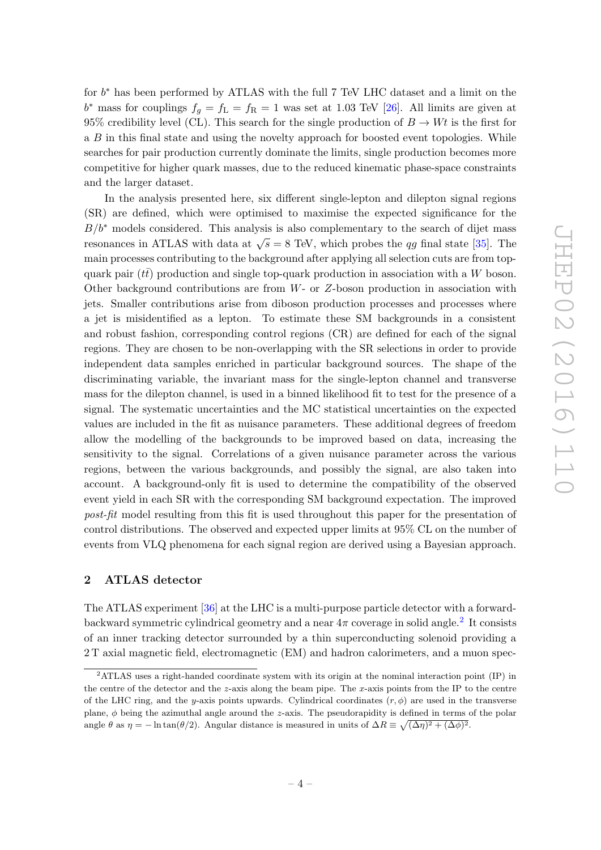for  $b^*$  has been performed by ATLAS with the full 7 TeV LHC dataset and a limit on the  $b^*$  mass for couplings  $f_g = f_L = f_R = 1$  was set at 1.03 TeV [\[26\]](#page-24-7). All limits are given at 95% credibility level (CL). This search for the single production of  $B \to Wt$  is the first for a B in this final state and using the novelty approach for boosted event topologies. While searches for pair production currently dominate the limits, single production becomes more competitive for higher quark masses, due to the reduced kinematic phase-space constraints and the larger dataset.

<span id="page-5-0"></span>In the analysis presented here, six different single-lepton and dilepton signal regions (SR) are defined, which were optimised to maximise the expected significance for the  $B/b^*$  models considered. This analysis is also complementary to the search of dijet mass resonances in ATLAS with data at  $\sqrt{s} = 8$  TeV, which probes the qg final state [\[35\]](#page-24-15). The main processes contributing to the background after applying all selection cuts are from topquark pair ( $t\bar{t}$ ) production and single top-quark production in association with a W boson. Other background contributions are from W- or Z-boson production in association with jets. Smaller contributions arise from diboson production processes and processes where a jet is misidentified as a lepton. To estimate these SM backgrounds in a consistent and robust fashion, corresponding control regions (CR) are defined for each of the signal regions. They are chosen to be non-overlapping with the SR selections in order to provide independent data samples enriched in particular background sources. The shape of the discriminating variable, the invariant mass for the single-lepton channel and transverse mass for the dilepton channel, is used in a binned likelihood fit to test for the presence of a signal. The systematic uncertainties and the MC statistical uncertainties on the expected values are included in the fit as nuisance parameters. These additional degrees of freedom allow the modelling of the backgrounds to be improved based on data, increasing the sensitivity to the signal. Correlations of a given nuisance parameter across the various regions, between the various backgrounds, and possibly the signal, are also taken into account. A background-only fit is used to determine the compatibility of the observed event yield in each SR with the corresponding SM background expectation. The improved post-fit model resulting from this fit is used throughout this paper for the presentation of control distributions. The observed and expected upper limits at 95% CL on the number of events from VLQ phenomena for each signal region are derived using a Bayesian approach.

#### 2 ATLAS detector

The ATLAS experiment [\[36\]](#page-24-16) at the LHC is a multi-purpose particle detector with a forwardbackward symmetric cylindrical geometry and a near  $4\pi$  coverage in solid angle.<sup>[2](#page-4-1)</sup> It consists of an inner tracking detector surrounded by a thin superconducting solenoid providing a 2 T axial magnetic field, electromagnetic (EM) and hadron calorimeters, and a muon spec-

<sup>2</sup>ATLAS uses a right-handed coordinate system with its origin at the nominal interaction point (IP) in the centre of the detector and the z-axis along the beam pipe. The x-axis points from the IP to the centre of the LHC ring, and the y-axis points upwards. Cylindrical coordinates  $(r, \phi)$  are used in the transverse plane, φ being the azimuthal angle around the z-axis. The pseudorapidity is defined in terms of the polar angle  $\theta$  as  $\eta = -\ln \tan(\theta/2)$ . Angular distance is measured in units of  $\Delta R \equiv \sqrt{(\Delta \eta)^2 + (\Delta \phi)^2}$ .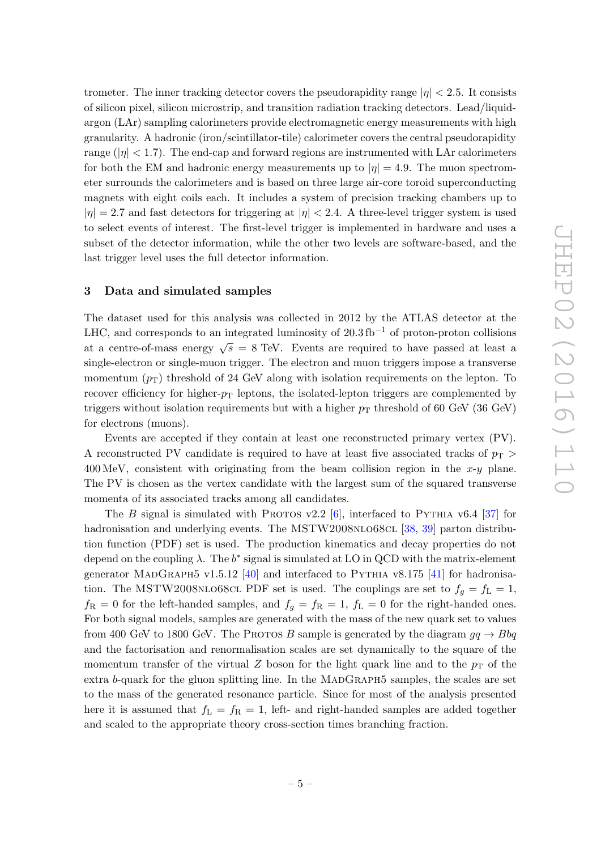trometer. The inner tracking detector covers the pseudorapidity range  $|\eta| < 2.5$ . It consists of silicon pixel, silicon microstrip, and transition radiation tracking detectors. Lead/liquidargon (LAr) sampling calorimeters provide electromagnetic energy measurements with high granularity. A hadronic (iron/scintillator-tile) calorimeter covers the central pseudorapidity range ( $|\eta|$  < 1.7). The end-cap and forward regions are instrumented with LAr calorimeters for both the EM and hadronic energy measurements up to  $|\eta| = 4.9$ . The muon spectrometer surrounds the calorimeters and is based on three large air-core toroid superconducting magnets with eight coils each. It includes a system of precision tracking chambers up to  $|\eta| = 2.7$  and fast detectors for triggering at  $|\eta| < 2.4$ . A three-level trigger system is used to select events of interest. The first-level trigger is implemented in hardware and uses a subset of the detector information, while the other two levels are software-based, and the last trigger level uses the full detector information.

#### 3 Data and simulated samples

The dataset used for this analysis was collected in 2012 by the ATLAS detector at the LHC, and corresponds to an integrated luminosity of  $20.3 \text{ fb}^{-1}$  of proton-proton collisions at a centre-of-mass energy  $\sqrt{s} = 8$  TeV. Events are required to have passed at least a single-electron or single-muon trigger. The electron and muon triggers impose a transverse momentum  $(p_T)$  threshold of 24 GeV along with isolation requirements on the lepton. To recover efficiency for higher- $p_T$  leptons, the isolated-lepton triggers are complemented by triggers without isolation requirements but with a higher  $p_T$  threshold of 60 GeV (36 GeV) for electrons (muons).

Events are accepted if they contain at least one reconstructed primary vertex (PV). A reconstructed PV candidate is required to have at least five associated tracks of  $p_T >$  $400 \,\text{MeV}$ , consistent with originating from the beam collision region in the x-y plane. The PV is chosen as the vertex candidate with the largest sum of the squared transverse momenta of its associated tracks among all candidates.

<span id="page-6-1"></span><span id="page-6-0"></span>The B signal is simulated with PROTOS v2.2  $[6]$  $[6]$ , interfaced to PYTHIA v6.4  $[37]$  for hadronisation and underlying events. The MSTW2008NLO68CL [\[38](#page-25-1), [39\]](#page-25-2) parton distribution function (PDF) set is used. The production kinematics and decay properties do not depend on the coupling  $\lambda$ . The  $b^*$  signal is simulated at LO in QCD with the matrix-element generator MADGRAPH5 v1.5.12 [\[40\]](#page-25-3) and interfaced to PYTHIA v8.175 [\[41\]](#page-25-4) for hadronisation. The MSTW2008NLO68CL PDF set is used. The couplings are set to  $f_g = f_L = 1$ ,  $f_{\rm R} = 0$  for the left-handed samples, and  $f_g = f_{\rm R} = 1$ ,  $f_{\rm L} = 0$  for the right-handed ones. For both signal models, samples are generated with the mass of the new quark set to values from 400 GeV to 1800 GeV. The PROTOS B sample is generated by the diagram  $gq \to Bbq$ and the factorisation and renormalisation scales are set dynamically to the square of the momentum transfer of the virtual Z boson for the light quark line and to the  $p_T$  of the extra b-quark for the gluon splitting line. In the MADGRAPH5 samples, the scales are set to the mass of the generated resonance particle. Since for most of the analysis presented here it is assumed that  $f_L = f_R = 1$ , left- and right-handed samples are added together and scaled to the appropriate theory cross-section times branching fraction.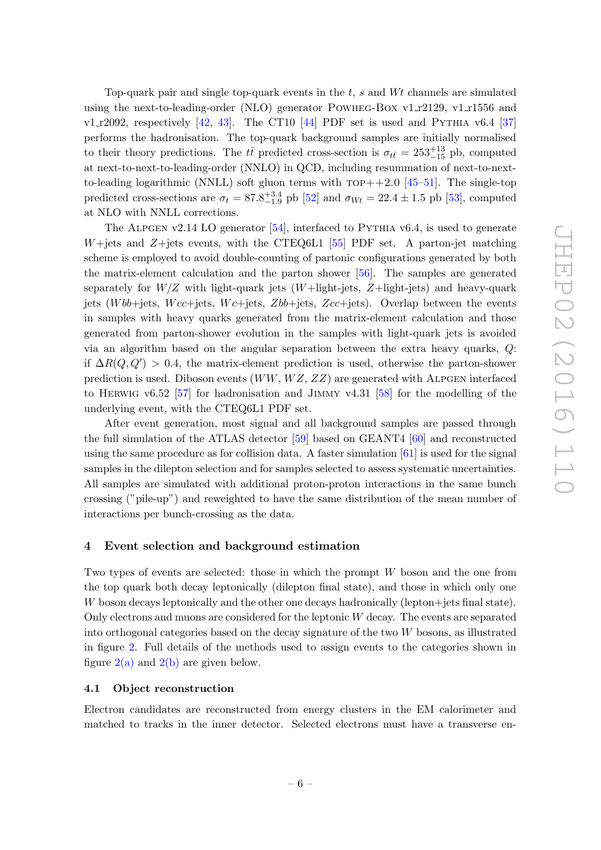Top-quark pair and single top-quark events in the t , s and Wt channels are simulated using the next-to-leading-order (NLO) generator POWHEG-BOX v1 $r2129$ , v1 $r1556$  and  $v1_T2092$ , respectively  $[42, 43]$  $[42, 43]$ . The CT10  $[44]$  PDF set is used and PYTHIA v6.4  $[37]$ performs the hadronisation. The top-quark background samples are initially normalised to their theory predictions. The  $t\bar{t}$  predicted cross-section is  $\sigma_{t\bar{t}} = 253^{+13}_{-15}$  pb, computed at next-to-next-to-leading-order (NNLO) in QCD, including resummation of next-to-nextto-leading logarithmic (NNLL) soft gluon terms with  $TOP++2.0$  [\[45](#page-25-8)[–51\]](#page-25-9). The single-top predicted cross-sections are  $\sigma_t = 87.8^{+3.4}_{-1.9}$  pb [\[52\]](#page-25-10) and  $\sigma_{Wt} = 22.4 \pm 1.5$  pb [\[53\]](#page-25-11), computed at NLO with NNLL corrections.

<span id="page-7-3"></span><span id="page-7-2"></span><span id="page-7-1"></span><span id="page-7-0"></span>The ALPGEN v2.14 LO generator  $[54]$ , interfaced to PYTHIA v6.4, is used to generate W+jets and Z+jets events, with the CTEQ6L1 [\[55\]](#page-25-13) PDF set. A parton-jet matching scheme is employed to avoid double-counting of partonic configurations generated by both the matrix-element calculation and the parton shower [\[56\]](#page-26-0). The samples are generated separately for  $W/Z$  with light-quark jets  $(W+{\rm light\text{-}jets}, Z+{\rm light\text{-}jets})$  and heavy-quark jets (Wbb+jets, Wcc+jets, Wc+jets, Zbb+jets, Zcc+jets). Overlap between the events in samples with heavy quarks generated from the matrix-element calculation and those generated from parton-shower evolution in the samples with light-quark jets is avoided via an algorithm based on the angular separation between the extra heavy quarks, Q: if  $\Delta R(Q, Q') > 0.4$ , the matrix-element prediction is used, otherwise the parton-shower prediction is used. Diboson events  $(WW, WZ, ZZ)$  are generated with ALPGEN interfaced to HERWIG v6.52 [\[57\]](#page-26-1) for hadronisation and JIMMY v4.31 [\[58\]](#page-26-2) for the modelling of the underlying event, with the CTEQ6L1 PDF set.

After event generation, most signal and all background samples are passed through the full simulation of the ATLAS detector [\[59\]](#page-26-3) based on GEANT4 [\[60\]](#page-26-4) and reconstructed using the same procedure as for collision data. A faster simulation  $[61]$  is used for the signal samples in the dilepton selection and for samples selected to assess systematic uncertainties. All samples are simulated with additional proton-proton interactions in the same bunch crossing ("pile-up") and reweighted to have the same distribution of the mean number of interactions per bunch-crossing as the data.

#### 4 Event selection and background estimation

Two types of events are selected: those in which the prompt W boson and the one from the top quark both decay leptonically (dilepton final state), and those in which only one W boson decays leptonically and the other one decays hadronically (lepton+jets final state). Only electrons and muons are considered for the leptonic W decay. The events are separated into orthogonal categories based on the decay signature of the two W bosons, as illustrated in figure [2.](#page-7-0) Full details of the methods used to assign events to the categories shown in figure  $2(a)$  and  $2(b)$  are given below.

#### 4.1 Object reconstruction

Electron candidates are reconstructed from energy clusters in the EM calorimeter and matched to tracks in the inner detector. Selected electrons must have a transverse en-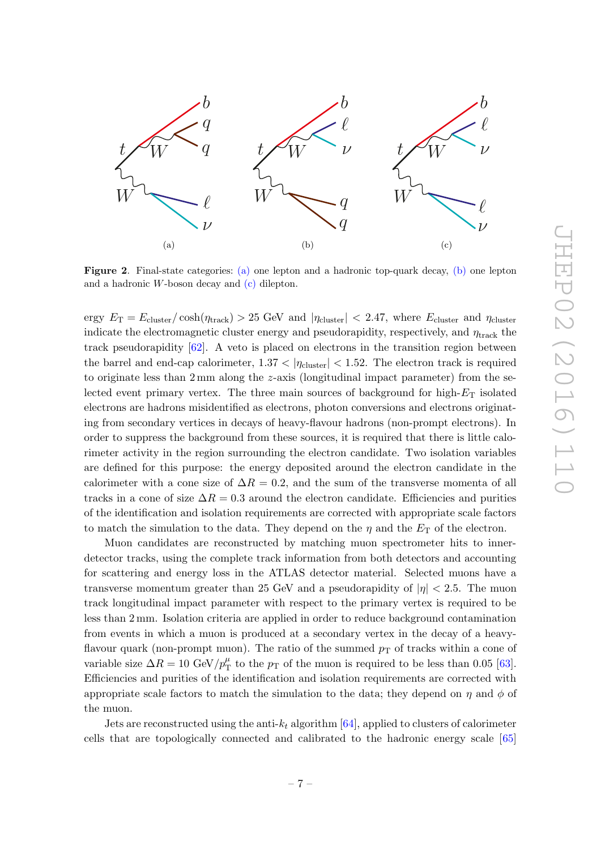

Figure 2. Final-state categories: [\(a\)](#page-7-1) one lepton and a hadronic top-quark decay, [\(b\)](#page-7-2) one lepton and a hadronic W-boson decay and [\(c\)](#page-7-3) dilepton.

ergy  $E_T = E_{\text{cluster}}/\cosh(\eta_{\text{track}}) > 25 \text{ GeV}$  and  $|\eta_{\text{cluster}}| < 2.47$ , where  $E_{\text{cluster}}$  and  $\eta_{\text{cluster}}$ indicate the electromagnetic cluster energy and pseudorapidity, respectively, and  $\eta_{\text{track}}$  the track pseudorapidity  $[62]$ . A veto is placed on electrons in the transition region between the barrel and end-cap calorimeter,  $1.37 < |\eta_{\text{cluster}}| < 1.52$ . The electron track is required to originate less than 2 mm along the z-axis (longitudinal impact parameter) from the selected event primary vertex. The three main sources of background for high- $E_T$  isolated electrons are hadrons misidentified as electrons, photon conversions and electrons originating from secondary vertices in decays of heavy-flavour hadrons (non-prompt electrons). In order to suppress the background from these sources, it is required that there is little calorimeter activity in the region surrounding the electron candidate. Two isolation variables are defined for this purpose: the energy deposited around the electron candidate in the calorimeter with a cone size of  $\Delta R = 0.2$ , and the sum of the transverse momenta of all tracks in a cone of size  $\Delta R = 0.3$  around the electron candidate. Efficiencies and purities of the identification and isolation requirements are corrected with appropriate scale factors to match the simulation to the data. They depend on the  $\eta$  and the  $E_T$  of the electron.

<span id="page-8-0"></span>Muon candidates are reconstructed by matching muon spectrometer hits to innerdetector tracks, using the complete track information from both detectors and accounting for scattering and energy loss in the ATLAS detector material. Selected muons have a transverse momentum greater than 25 GeV and a pseudorapidity of  $|\eta| < 2.5$ . The muon track longitudinal impact parameter with respect to the primary vertex is required to be less than 2 mm. Isolation criteria are applied in order to reduce background contamination from events in which a muon is produced at a secondary vertex in the decay of a heavyflavour quark (non-prompt muon). The ratio of the summed  $p<sub>T</sub>$  of tracks within a cone of variable size  $\Delta R = 10 \text{ GeV}/p_{\text{T}}^{\mu}$  $p_T^{\mu}$  to the  $p_T$  of the muon is required to be less than 0.05 [\[63\]](#page-26-7). Efficiencies and purities of the identification and isolation requirements are corrected with appropriate scale factors to match the simulation to the data; they depend on  $\eta$  and  $\phi$  of the muon.

Jets are reconstructed using the anti- $k_t$  algorithm [\[64\]](#page-26-8), applied to clusters of calorimeter cells that are topologically connected and calibrated to the hadronic energy scale [\[65](#page-26-9) ]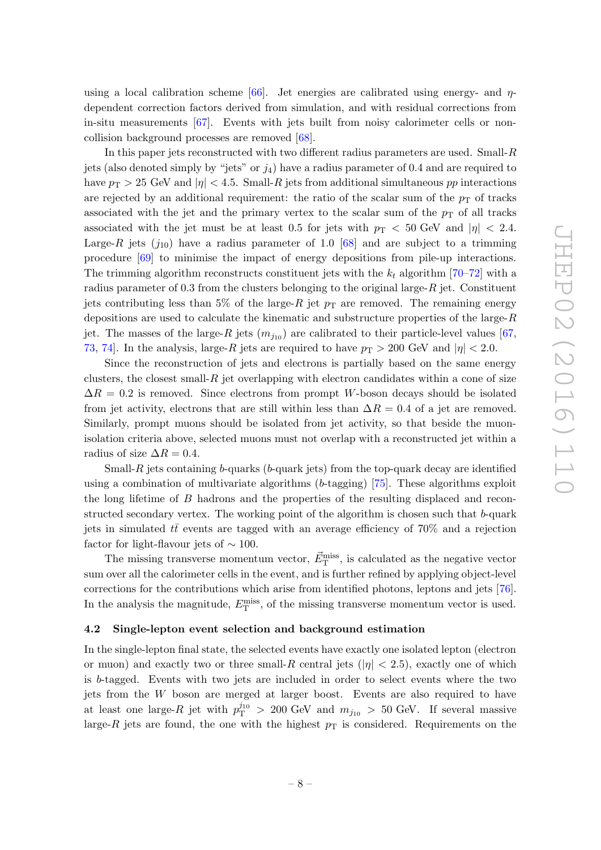using a local calibration scheme  $[66]$ . Jet energies are calibrated using energy- and  $\eta$ dependent correction factors derived from simulation, and with residual corrections from in-situ measurements [\[67\]](#page-26-11). Events with jets built from noisy calorimeter cells or noncollision background processes are removed [\[68\]](#page-26-12).

<span id="page-9-3"></span><span id="page-9-1"></span><span id="page-9-0"></span>In this paper jets reconstructed with two different radius parameters are used. Small-R jets (also denoted simply by "jets" or  $j_4$ ) have a radius parameter of 0.4 and are required to have  $p_T > 25$  GeV and  $|\eta| < 4.5$ . Small-R jets from additional simultaneous  $pp$  interactions are rejected by an additional requirement: the ratio of the scalar sum of the  $p_T$  of tracks associated with the jet and the primary vertex to the scalar sum of the  $p<sub>T</sub>$  of all tracks associated with the jet must be at least 0.5 for jets with  $p_T < 50$  GeV and  $|\eta| < 2.4$ . Large-R jets  $(j_{10})$  have a radius parameter of 1.0 [\[68\]](#page-26-12) and are subject to a trimming procedure [\[69\]](#page-26-13) to minimise the impact of energy depositions from pile-up interactions. The trimming algorithm reconstructs constituent jets with the  $k_t$  algorithm [\[70](#page-26-14)[–72\]](#page-26-15) with a radius parameter of 0.3 from the clusters belonging to the original large- $R$  jet. Constituent jets contributing less than 5% of the large- $R$  jet  $p_T$  are removed. The remaining energy depositions are used to calculate the kinematic and substructure properties of the large-R jet. The masses of the large- $R$  jets  $(m_{j_{10}})$  are calibrated to their particle-level values [\[67](#page-26-11), [73](#page-26-16), [74\]](#page-26-17). In the analysis, large- $R$  jets are required to have  $p_T > 200$  GeV and  $|\eta| < 2.0$ .

Since the reconstruction of jets and electrons is partially based on the same energy clusters, the closest small- $R$  jet overlapping with electron candidates within a cone of size  $\Delta R = 0.2$  is removed. Since electrons from prompt W-boson decays should be isolated from jet activity, electrons that are still within less than  $\Delta R = 0.4$  of a jet are removed. Similarly, prompt muons should be isolated from jet activity, so that beside the muonisolation criteria above, selected muons must not overlap with a reconstructed jet within a radius of size  $\Delta R = 0.4$ .

Small-R jets containing b-quarks ( b-quark jets) from the top-quark decay are identified using a combination of multivariate algorithms ( b-tagging) [\[75\]](#page-27-0). These algorithms exploit the long lifetime of B hadrons and the properties of the resulting displaced and reconstructed secondary vertex. The working point of the algorithm is chosen such that b-quark jets in simulated  $t\bar{t}$  events are tagged with an average efficiency of 70% and a rejection factor for light-flavour jets of  $\sim 100$ .

The missing transverse momentum vector,  $\vec{E}_{\rm T}^{\rm miss}$ , is calculated as the negative vector sum over all the calorimeter cells in the event, and is further refined by applying object-level corrections for the contributions which arise from identified photons, leptons and jets [\[76\]](#page-27-1). In the analysis the magnitude,  $E_{\rm T}^{\rm miss}$ , of the missing transverse momentum vector is used.

#### 4.2 Single-lepton event selection and background estimation

<span id="page-9-2"></span>In the single-lepton final state, the selected events have exactly one isolated lepton (electron or muon) and exactly two or three small- $R$  central jets ( $|\eta|$  < 2.5), exactly one of which is b-tagged. Events with two jets are included in order to select events where the two jets from the W boson are merged at larger boost. Events are also required to have at least one large- $R$  jet with  $p_T^{j_{10}}$  $T_{\rm T}^{J10} > 200$  GeV and  $m_{j_{10}} > 50$  GeV. If several massive large- $R$  jets are found, the one with the highest  $p<sub>T</sub>$  is considered. Requirements on the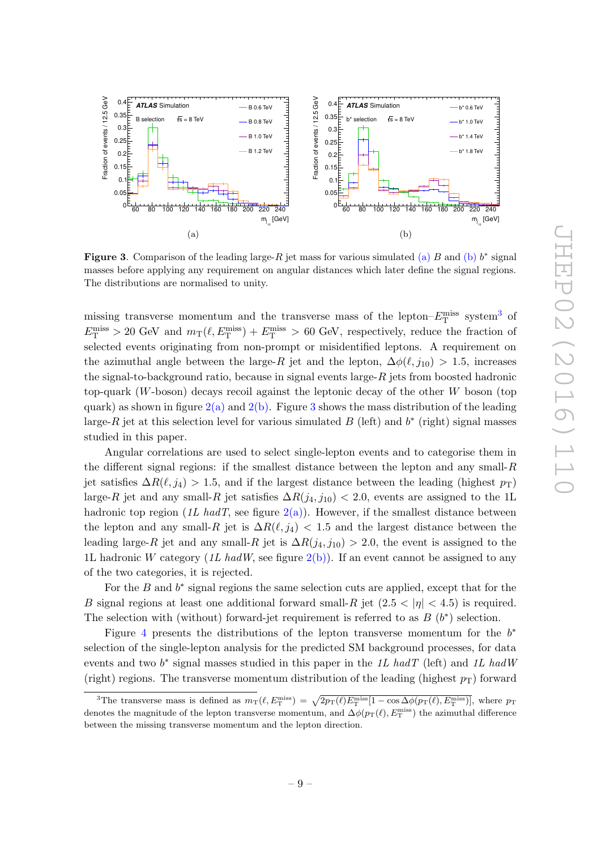

<span id="page-10-2"></span><span id="page-10-1"></span><span id="page-10-0"></span>**Figure 3.** Comparison of the leading large-R jet mass for various simulated [\(a\)](#page-9-0) B and [\(b\)](#page-9-1)  $b^*$  signal masses before applying any requirement on angular distances which later define the signal regions. The distributions are normalised to unity.

missing transverse momentum and the transverse mass of the lepton– $E_{\rm T}^{\rm miss}$  system<sup>[3](#page-9-2)</sup> of  $E_{\rm T}^{\rm miss} > 20$  GeV and  $m_T(\ell, E_{\rm T}^{\rm miss}) + E_{\rm T}^{\rm miss} > 60$  GeV, respectively, reduce the fraction of selected events originating from non-prompt or misidentified leptons. A requirement on the azimuthal angle between the large-R jet and the lepton,  $\Delta\phi(\ell, j_{10}) > 1.5$ , increases the signal-to-background ratio, because in signal events large- $R$  jets from boosted hadronic top-quark ( W-boson) decays recoil against the leptonic decay of the other W boson (top quark) as shown in figure  $2(a)$  and  $2(b)$ . Figure [3](#page-9-3) shows the mass distribution of the leading large-R jet at this selection level for various simulated B (left) and  $b^*$  (right) signal masses studied in this paper.

<span id="page-10-5"></span><span id="page-10-4"></span><span id="page-10-3"></span>Angular correlations are used to select single-lepton events and to categorise them in the different signal regions: if the smallest distance between the lepton and any small-R jet satisfies  $\Delta R(\ell, j_4) > 1.5$ , and if the largest distance between the leading (highest  $p_T$ ) large-R jet and any small-R jet satisfies  $\Delta R(j_4, j_{10}) < 2.0$ , events are assigned to the 1L hadronic top region (1L hadT, see figure  $2(a)$ ). However, if the smallest distance between the lepton and any small-R jet is  $\Delta R(\ell, j_4)$  < 1.5 and the largest distance between the leading large-R jet and any small-R jet is  $\Delta R(j_4, j_{10}) > 2.0$ , the event is assigned to the 1L hadronic W category (1L had W, see figure  $2(b)$ ). If an event cannot be assigned to any of the two categories, it is rejected.

For the  $B$  and  $b^*$  signal regions the same selection cuts are applied, except that for the B signal regions at least one additional forward small- $R$  jet  $(2.5 < |\eta| < 4.5)$  is required. The selection with (without) forward-jet requirement is referred to as  $B(t^*)$  selection.

Figure [4](#page-10-0) presents the distributions of the lepton transverse momentum for the  $b^*$ selection of the single-lepton analysis for the predicted SM background processes, for data events and two  $b^*$  signal masses studied in this paper in the 1L hadT (left) and 1L hadW (right) regions. The transverse momentum distribution of the leading (highest  $p_T$ ) forward

<sup>&</sup>lt;sup>3</sup>The transverse mass is defined as  $m_T(\ell, E_T^{\text{miss}}) = \sqrt{2p_T(\ell)E_T^{\text{miss}}[1 - \cos \Delta\phi(p_T(\ell), E_T^{\text{miss}})]}$ , where  $p_T$ denotes the magnitude of the lepton transverse momentum, and  $\Delta\phi(p_T(\ell), E_T^{\text{miss}})$  the azimuthal difference between the missing transverse momentum and the lepton direction.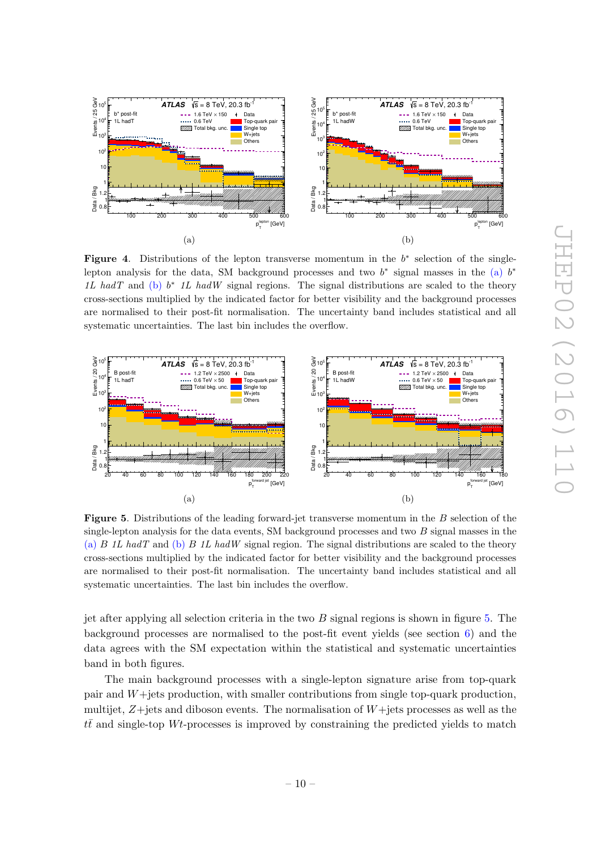

Figure 4. Distributions of the lepton transverse momentum in the  $b^*$  selection of the singlelepton analysis for the data, SM background processes and two  $b^*$  signal masses in the [\(a\)](#page-10-1)  $b^*$ 1L hadT and [\(b\)](#page-10-2)  $b^*$  1L hadW signal regions. The signal distributions are scaled to the theory cross-sections multiplied by the indicated factor for better visibility and the background processes are normalised to their post-fit normalisation. The uncertainty band includes statistical and all systematic uncertainties. The last bin includes the overflow.



Figure 5. Distributions of the leading forward-jet transverse momentum in the B selection of the single-lepton analysis for the data events, SM background processes and two  $B$  signal masses in the [\(a\)](#page-10-3)  $B$  1L hadT and [\(b\)](#page-10-4)  $B$  1L hadW signal region. The signal distributions are scaled to the theory cross-sections multiplied by the indicated factor for better visibility and the background processes are normalised to their post-fit normalisation. The uncertainty band includes statistical and all systematic uncertainties. The last bin includes the overflow.

<span id="page-11-0"></span>jet after applying all selection criteria in the two B signal regions is shown in figure [5.](#page-10-5) The background processes are normalised to the post-fit event yields (see section [6\)](#page-19-0) and the data agrees with the SM expectation within the statistical and systematic uncertainties band in both figures.

The main background processes with a single-lepton signature arise from top-quark pair and W+jets production, with smaller contributions from single top-quark production, multijet, Z+jets and diboson events. The normalisation of W+jets processes as well as the  $t\bar{t}$  and single-top Wt-processes is improved by constraining the predicted yields to match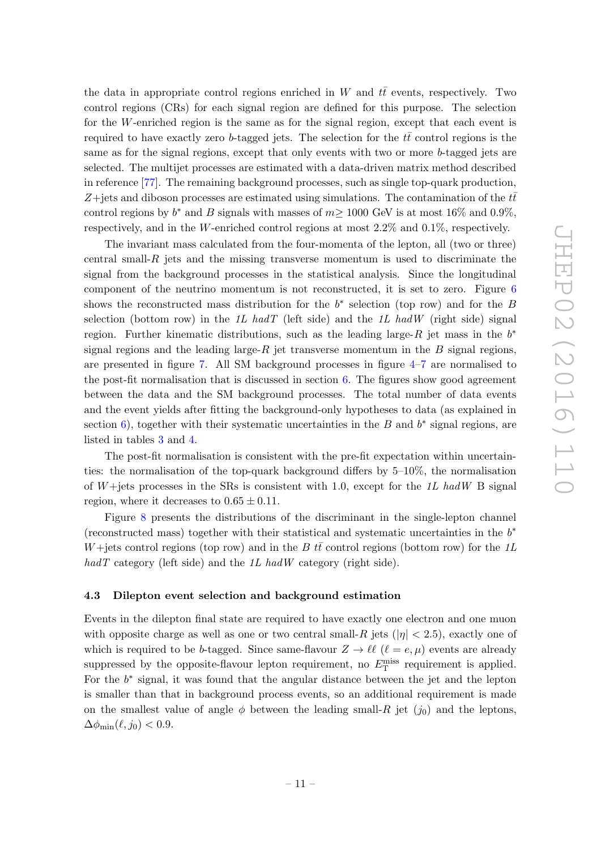the data in appropriate control regions enriched in W and  $t\bar{t}$  events, respectively. Two control regions (CRs) for each signal region are defined for this purpose. The selection for the W-enriched region is the same as for the signal region, except that each event is required to have exactly zero b-tagged jets. The selection for the  $t\bar{t}$  control regions is the same as for the signal regions, except that only events with two or more b-tagged jets are selected. The multijet processes are estimated with a data-driven matrix method described in reference [\[77\]](#page-27-2). The remaining background processes, such as single top-quark production, Z+jets and diboson processes are estimated using simulations. The contamination of the  $t\bar{t}$ control regions by  $b^*$  and B signals with masses of  $m \ge 1000$  GeV is at most 16% and 0.9%, respectively, and in the W-enriched control regions at most 2.2% and 0.1%, respectively.

<span id="page-12-2"></span><span id="page-12-1"></span>The invariant mass calculated from the four-momenta of the lepton, all (two or three) central small- $R$  jets and the missing transverse momentum is used to discriminate the signal from the background processes in the statistical analysis. Since the longitudinal component of the neutrino momentum is not reconstructed, it is set to zero. Figure [6](#page-12-0) shows the reconstructed mass distribution for the  $b^*$  selection (top row) and for the B selection (bottom row) in the 1L hadT (left side) and the 1L hadW (right side) signal region. Further kinematic distributions, such as the leading large- $\hat{R}$  jet mass in the  $b^*$ signal regions and the leading large- $R$  jet transverse momentum in the  $B$  signal regions, are presented in figure [7.](#page-13-0) All SM background processes in figure [4](#page-10-0) – [7](#page-13-0) are normalised to the post-fit normalisation that is discussed in section [6.](#page-19-0) The figures show good agreement between the data and the SM background processes. The total number of data events and the event yields after fitting the background-only hypotheses to data (as explained in section [6\)](#page-19-0), together with their systematic uncertainties in the B and  $b^*$  signal regions, are listed in tables [3](#page-15-0) and [4](#page-15-1) .

<span id="page-12-4"></span><span id="page-12-3"></span><span id="page-12-0"></span>The post-fit normalisation is consistent with the pre-fit expectation within uncertainties: the normalisation of the top-quark background differs by 5–10%, the normalisation of  $W +$ jets processes in the SRs is consistent with 1.0, except for the 1L had W B signal region, where it decreases to  $0.65 \pm 0.11$ .

Figure [8](#page-14-2) presents the distributions of the discriminant in the single-lepton channel (reconstructed mass) together with their statistical and systematic uncertainties in the  $b^*$ W+jets control regions (top row) and in the B  $t\bar{t}$  control regions (bottom row) for the 1L  $hadT$  category (left side) and the 1L hadW category (right side).

#### 4.3 Dilepton event selection and background estimation

Events in the dilepton final state are required to have exactly one electron and one muon with opposite charge as well as one or two central small- $R$  jets  $(|\eta| < 2.5)$ , exactly one of which is required to be b-tagged. Since same-flavour  $Z \to \ell \ell$  ( $\ell = e, \mu$ ) events are already suppressed by the opposite-flavour lepton requirement, no  $E_{\rm T}^{\rm miss}$  requirement is applied. For the  $b^*$  signal, it was found that the angular distance between the jet and the lepton is smaller than that in background process events, so an additional requirement is made on the smallest value of angle  $\phi$  between the leading small- $R$  jet  $(j_0)$  and the leptons,  $\Delta\phi_{\rm min}(\ell, j_0) < 0.9.$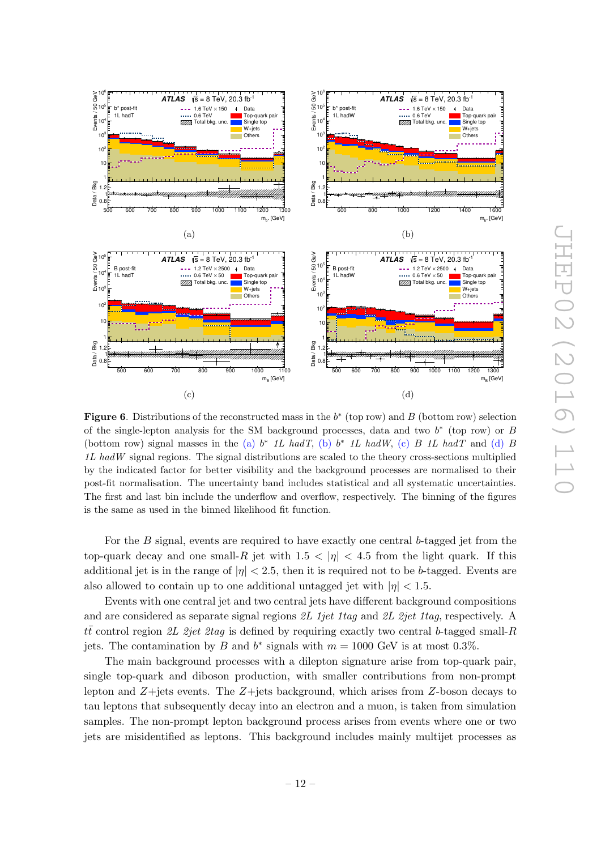<span id="page-13-3"></span><span id="page-13-1"></span>

<span id="page-13-4"></span><span id="page-13-2"></span><span id="page-13-0"></span>**Figure 6.** Distributions of the reconstructed mass in the  $b^*$  (top row) and B (bottom row) selection of the single-lepton analysis for the SM background processes, data and two  $b^*$  (top row) or B (bottom row) signal masses in the [\(a\)](#page-12-1)  $b^*$  1L hadT, [\(b\)](#page-12-2)  $b^*$  1L hadW, [\(c\)](#page-12-3) B 1L hadT and [\(d\)](#page-12-4) B 1L hadW signal regions. The signal distributions are scaled to the theory cross-sections multiplied by the indicated factor for better visibility and the background processes are normalised to their post-fit normalisation. The uncertainty band includes statistical and all systematic uncertainties. The first and last bin include the underflow and overflow, respectively. The binning of the figures is the same as used in the binned likelihood fit function.

For the B signal, events are required to have exactly one central b-tagged jet from the top-quark decay and one small- $R$  jet with  $1.5 < |\eta| < 4.5$  from the light quark. If this additional jet is in the range of  $|\eta| < 2.5$ , then it is required not to be b-tagged. Events are also allowed to contain up to one additional untagged jet with  $|\eta| < 1.5$ .

Events with one central jet and two central jets have different background compositions and are considered as separate signal regions 2L 1jet 1tag and 2L 2jet 1tag, respectively. A  $t\bar{t}$  control region 2L 2jet 2tag is defined by requiring exactly two central b-tagged small-R jets. The contamination by B and  $b^*$  signals with  $m = 1000$  GeV is at most 0.3%.

The main background processes with a dilepton signature arise from top-quark pair, single top-quark and diboson production, with smaller contributions from non-prompt lepton and Z+jets events. The Z+jets background, which arises from Z-boson decays to tau leptons that subsequently decay into an electron and a muon, is taken from simulation samples. The non-prompt lepton background process arises from events where one or two jets are misidentified as leptons. This background includes mainly multijet processes as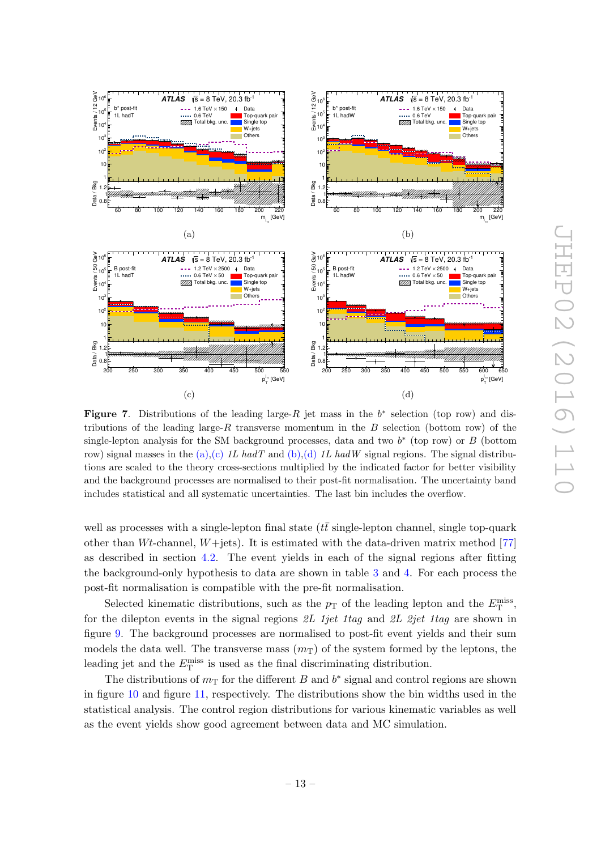<span id="page-14-5"></span><span id="page-14-3"></span>

<span id="page-14-6"></span><span id="page-14-4"></span><span id="page-14-2"></span>Figure 7. Distributions of the leading large- $R$  jet mass in the  $b^*$  selection (top row) and distributions of the leading large-R transverse momentum in the  $B$  selection (bottom row) of the single-lepton analysis for the SM background processes, data and two  $b^*$  (top row) or  $B$  (bottom row) signal masses in the  $(a)$ ,  $(c)$  1L hadT and  $(b)$ ,  $(d)$  1L hadW signal regions. The signal distributions are scaled to the theory cross-sections multiplied by the indicated factor for better visibility and the background processes are normalised to their post-fit normalisation. The uncertainty band includes statistical and all systematic uncertainties. The last bin includes the overflow.

<span id="page-14-0"></span>well as processes with a single-lepton final state  $(t\bar{t}$  single-lepton channel, single top-quark other than Wt-channel, W+jets). It is estimated with the data-driven matrix method [\[77](#page-27-2) ] as described in section [4.2.](#page-8-0) The event yields in each of the signal regions after fitting the background-only hypothesis to data are shown in table [3](#page-15-0) and [4.](#page-15-1) For each process the post-fit normalisation is compatible with the pre-fit normalisation.

Selected kinematic distributions, such as the  $p_T$  of the leading lepton and the  $E_T^{\text{miss}}$ , for the dilepton events in the signal regions 2L 1jet 1tag and 2L 2jet 1tag are shown in figure [9.](#page-16-0) The background processes are normalised to post-fit event yields and their sum models the data well. The transverse mass  $(m<sub>T</sub>)$  of the system formed by the leptons, the leading jet and the  $E_{\rm T}^{\rm miss}$  is used as the final discriminating distribution.

<span id="page-14-1"></span>The distributions of  $m<sub>T</sub>$  for the different B and  $b^*$  signal and control regions are shown in figure [10](#page-17-1) and figure [11,](#page-18-0) respectively. The distributions show the bin widths used in the statistical analysis. The control region distributions for various kinematic variables as well as the event yields show good agreement between data and MC simulation.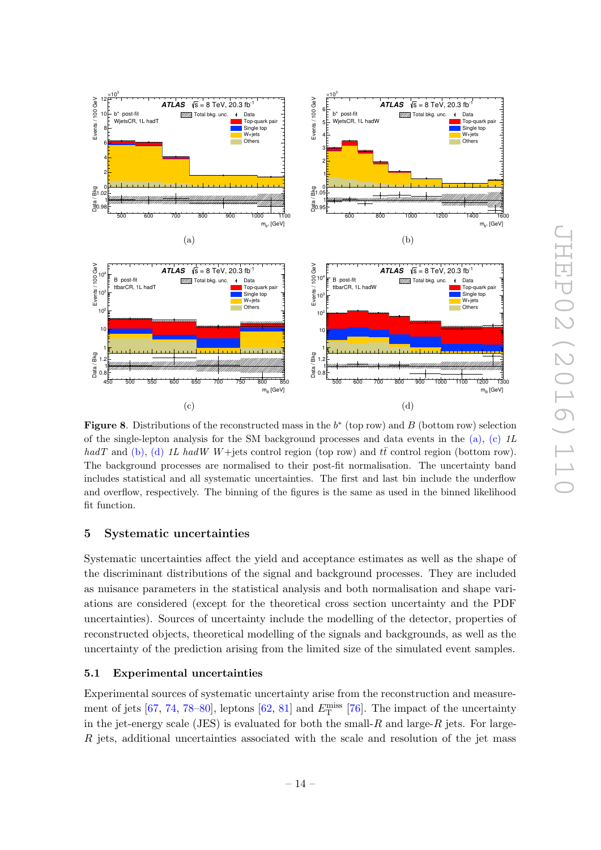

<span id="page-15-0"></span>**Figure 8.** Distributions of the reconstructed mass in the  $b^*$  (top row) and B (bottom row) selection of the single-lepton analysis for the SM background processes and data events in the  $(a)$ ,  $(c)$  *IL* hadT and [\(b\)](#page-14-5), [\(d\)](#page-14-6) 1L hadW W+jets control region (top row) and  $t\bar{t}$  control region (bottom row). The background processes are normalised to their post-fit normalisation. The uncertainty band includes statistical and all systematic uncertainties. The first and last bin include the underflow and overflow, respectively. The binning of the figures is the same as used in the binned likelihood fit function.

# 5 Systematic uncertainties

Systematic uncertainties affect the yield and acceptance estimates as well as the shape of the discriminant distributions of the signal and background processes. They are included as nuisance parameters in the statistical analysis and both normalisation and shape variations are considered (except for the theoretical cross section uncertainty and the PDF uncertainties). Sources of uncertainty include the modelling of the detector, properties of reconstructed objects, theoretical modelling of the signals and backgrounds, as well as the uncertainty of the prediction arising from the limited size of the simulated event samples.

# <span id="page-15-1"></span>5.1 Experimental uncertainties

Experimental sources of systematic uncertainty arise from the reconstruction and measure-ment of jets [\[67,](#page-26-11) [74,](#page-26-17) [78–](#page-27-3)[80\]](#page-27-4), leptons [\[62,](#page-26-6) [81\]](#page-27-5) and  $E_T^{\text{miss}}$  [\[76\]](#page-27-1). The impact of the uncertainty in the jet-energy scale (JES) is evaluated for both the small- $R$  and large- $R$  jets. For large-R jets, additional uncertainties associated with the scale and resolution of the jet mass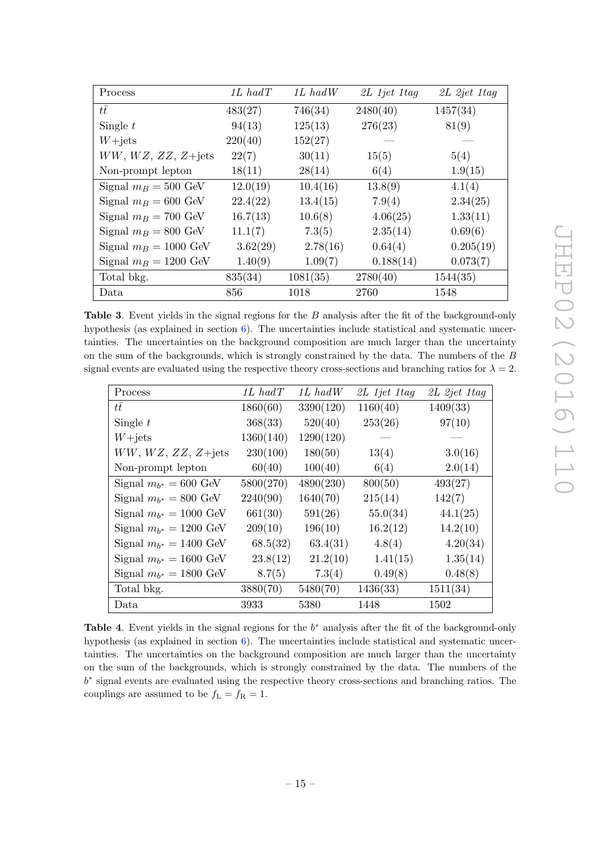| Process                     | $1L$ had $T$ | $1L$ had $W$ | 2L 1jet 1tag | 2L 2jet 1tag |
|-----------------------------|--------------|--------------|--------------|--------------|
| $t\bar{t}$                  | 483(27)      | 746(34)      | 2480(40)     | 1457(34)     |
| Single $t$                  | 94(13)       | 125(13)      | 276(23)      | 81(9)        |
| $W+{\rm jets}$              | 220(40)      | 152(27)      |              |              |
| $WW, WZ, ZZ, Z+\text{jets}$ | 22(7)        | 30(11)       | 15(5)        | 5(4)         |
| Non-prompt lepton           | 18(11)       | 28(14)       | 6(4)         | 1.9(15)      |
| Signal $m_B = 500$ GeV      | 12.0(19)     | 10.4(16)     | 13.8(9)      | 4.1(4)       |
| Signal $m_B = 600$ GeV      | 22.4(22)     | 13.4(15)     | 7.9(4)       | 2.34(25)     |
| Signal $m_B = 700$ GeV      | 16.7(13)     | 10.6(8)      | 4.06(25)     | 1.33(11)     |
| Signal $m_B = 800$ GeV      | 11.1(7)      | 7.3(5)       | 2.35(14)     | 0.69(6)      |
| Signal $m_B = 1000$ GeV     | 3.62(29)     | 2.78(16)     | 0.64(4)      | 0.205(19)    |
| Signal $m_B = 1200$ GeV     | 1.40(9)      | 1.09(7)      | 0.188(14)    | 0.073(7)     |
| Total bkg.                  | 835(34)      | 1081(35)     | 2780(40)     | 1544(35)     |
| Data                        | 856          | 1018         | 2760         | 1548         |

<span id="page-16-2"></span><span id="page-16-1"></span>Table 3. Event yields in the signal regions for the B analysis after the fit of the background-only hypothesis (as explained in section [6\)](#page-19-0). The uncertainties include statistical and systematic uncertainties. The uncertainties on the background composition are much larger than the uncertainty on the sum of the backgrounds, which is strongly constrained by the data. The numbers of the B signal events are evaluated using the respective theory cross-sections and branching ratios for  $\lambda = 2$ .

<span id="page-16-4"></span><span id="page-16-3"></span><span id="page-16-0"></span>

| Process                     | $1L$ had $T$ | $1L$ had $W$ | $2L$ 1jet 1tag | 2L 2jet 1tag |
|-----------------------------|--------------|--------------|----------------|--------------|
| tt                          | 1860(60)     | 3390(120)    | 1160(40)       | 1409(33)     |
| Single $t$                  | 368(33)      | 520(40)      | 253(26)        | 97(10)       |
| $W+{\rm jets}$              | 1360(140)    | 1290(120)    |                |              |
| $WW, WZ, ZZ, Z+\text{jets}$ | 230(100)     | 180(50)      | 13(4)          | 3.0(16)      |
| Non-prompt lepton           | 60(40)       | 100(40)      | 6(4)           | 2.0(14)      |
| Signal $m_{b^*} = 600$ GeV  | 5800(270)    | 4890(230)    | 800(50)        | 493(27)      |
| Signal $m_{b^*} = 800$ GeV  | 2240(90)     | 1640(70)     | 215(14)        | 142(7)       |
| Signal $m_{b^*} = 1000$ GeV | 661(30)      | 591(26)      | 55.0(34)       | 44.1(25)     |
| Signal $m_{h^*} = 1200$ GeV | 209(10)      | 196(10)      | 16.2(12)       | 14.2(10)     |
| Signal $m_{b^*} = 1400$ GeV | 68.5(32)     | 63.4(31)     | 4.8(4)         | 4.20(34)     |
| Signal $m_{b^*} = 1600$ GeV | 23.8(12)     | 21.2(10)     | 1.41(15)       | 1.35(14)     |
| Signal $m_{b^*} = 1800$ GeV | 8.7(5)       | 7.3(4)       | 0.49(8)        | 0.48(8)      |
| Total bkg.                  | 3880(70)     | 5480(70)     | 1436(33)       | 1511(34)     |
| Data                        | 3933         | 5380         | 1448           | 1502         |

Table 4. Event yields in the signal regions for the  $b^*$  analysis after the fit of the background-only hypothesis (as explained in section [6\)](#page-19-0). The uncertainties include statistical and systematic uncertainties. The uncertainties on the background composition are much larger than the uncertainty on the sum of the backgrounds, which is strongly constrained by the data. The numbers of the b<sup>∗</sup> signal events are evaluated using the respective theory cross-sections and branching ratios. The couplings are assumed to be  $f_L = f_R = 1$ .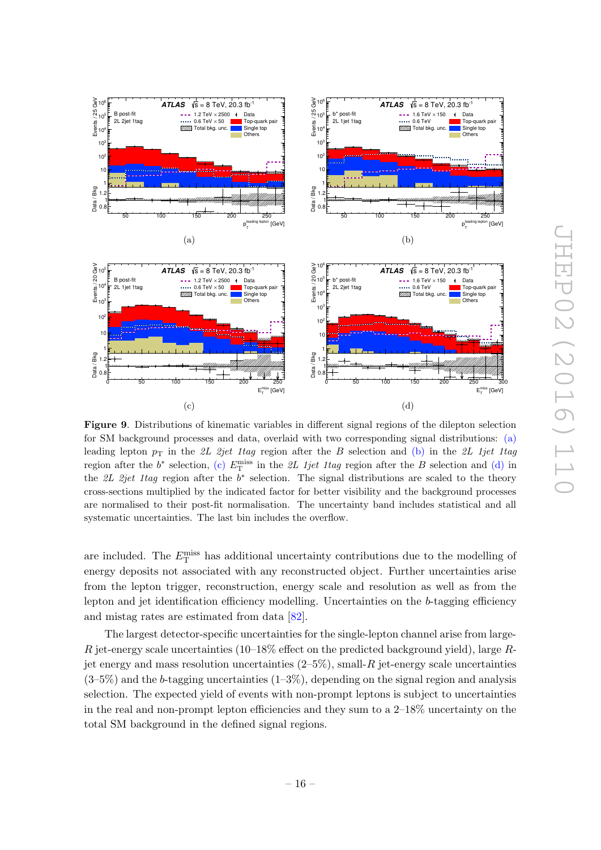<span id="page-17-3"></span><span id="page-17-2"></span>

<span id="page-17-4"></span><span id="page-17-1"></span>Figure 9. Distributions of kinematic variables in different signal regions of the dilepton selection for SM background processes and data, overlaid with two corresponding signal distributions: [\(a\)](#page-16-1) leading lepton  $p<sub>T</sub>$  in the 2L 2jet 1tag region after the B selection and [\(b\)](#page-16-2) in the 2L 1jet 1tag region after the  $b^*$  selection, [\(c\)](#page-16-3)  $E_T^{\text{miss}}$  in the 2L 1jet 1tag region after the B selection and [\(d\)](#page-16-4) in the 2L 2jet 1tag region after the  $b^*$  selection. The signal distributions are scaled to the theory cross-sections multiplied by the indicated factor for better visibility and the background processes are normalised to their post-fit normalisation. The uncertainty band includes statistical and all systematic uncertainties. The last bin includes the overflow.

are included. The  $E_{\rm T}^{\rm miss}$  has additional uncertainty contributions due to the modelling of energy deposits not associated with any reconstructed object. Further uncertainties arise from the lepton trigger, reconstruction, energy scale and resolution as well as from the lepton and jet identification efficiency modelling. Uncertainties on the b-tagging efficiency and mistag rates are estimated from data [\[82\]](#page-27-6).

<span id="page-17-0"></span>The largest detector-specific uncertainties for the single-lepton channel arise from large-R jet-energy scale uncertainties  $(10-18\%$  effect on the predicted background yield), large Rjet energy and mass resolution uncertainties  $(2-5\%)$ , small-R jet-energy scale uncertainties  $(3-5\%)$  and the b-tagging uncertainties  $(1-3\%)$ , depending on the signal region and analysis selection. The expected yield of events with non-prompt leptons is subject to uncertainties in the real and non-prompt lepton efficiencies and they sum to a 2–18% uncertainty on the total SM background in the defined signal regions.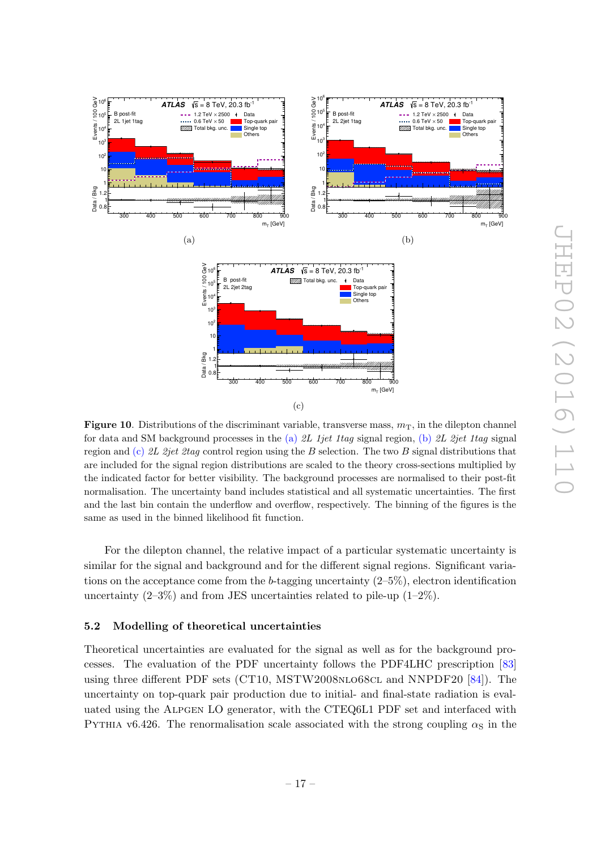

<span id="page-18-3"></span><span id="page-18-0"></span>**Figure 10.** Distributions of the discriminant variable, transverse mass,  $m<sub>T</sub>$ , in the dilepton channel for data and SM background processes in the [\(a\)](#page-17-2) 2L 1jet 1tag signal region, [\(b\)](#page-17-3) 2L 2jet 1tag signal region and [\(c\)](#page-17-4) 2L 2jet 2tag control region using the B selection. The two B signal distributions that are included for the signal region distributions are scaled to the theory cross-sections multiplied by the indicated factor for better visibility. The background processes are normalised to their post-fit normalisation. The uncertainty band includes statistical and all systematic uncertainties. The first and the last bin contain the underflow and overflow, respectively. The binning of the figures is the same as used in the binned likelihood fit function.

For the dilepton channel, the relative impact of a particular systematic uncertainty is similar for the signal and background and for the different signal regions. Significant variations on the acceptance come from the b-tagging uncertainty  $(2-5\%)$ , electron identification uncertainty  $(2-3\%)$  and from JES uncertainties related to pile-up  $(1-2\%)$ .

#### 5.2 Modelling of theoretical uncertainties

<span id="page-18-2"></span><span id="page-18-1"></span>Events / 100 GeV

Theoretical uncertainties are evaluated for the signal as well as for the background processes. The evaluation of the PDF uncertainty follows the PDF4LHC prescription [\[83\]](#page-27-7) using three different PDF sets (CT10, MSTW2008NLO68CL and NNPDF20 [\[84\]](#page-27-8)). The uncertainty on top-quark pair production due to initial- and final-state radiation is evaluated using the ALPGEN LO generator, with the CTEQ6L1 PDF set and interfaced with PYTHIA v6.426. The renormalisation scale associated with the strong coupling  $\alpha_{\rm S}$  in the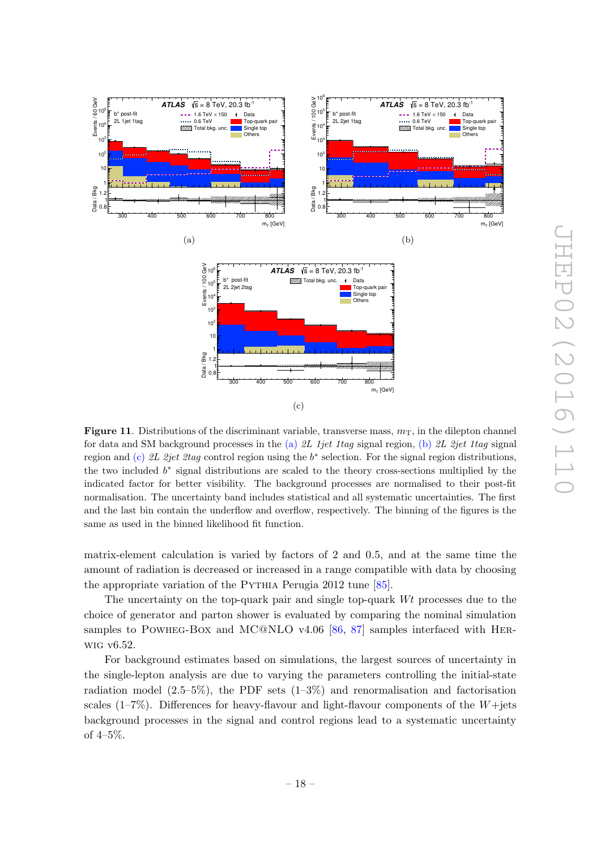<span id="page-19-0"></span>

**Figure 11.** Distributions of the discriminant variable, transverse mass,  $m<sub>T</sub>$ , in the dilepton channel for data and SM background processes in the [\(a\)](#page-18-1) 2L 1jet 1tag signal region, [\(b\)](#page-18-2) 2L 2jet 1tag signal region and [\(c\)](#page-18-3) 2L 2jet 2tag control region using the  $b^*$  selection. For the signal region distributions, the two included  $b^*$  signal distributions are scaled to the theory cross-sections multiplied by the indicated factor for better visibility. The background processes are normalised to their post-fit normalisation. The uncertainty band includes statistical and all systematic uncertainties. The first and the last bin contain the underflow and overflow, respectively. The binning of the figures is the same as used in the binned likelihood fit function.

matrix-element calculation is varied by factors of 2 and 0 .5, and at the same time the amount of radiation is decreased or increased in a range compatible with data by choosing the appropriate variation of the PYTHIA Perugia 2012 tune [\[85\]](#page-27-9).

The uncertainty on the top-quark pair and single top-quark Wt processes due to the choice of generator and parton shower is evaluated by comparing the nominal simulation samples to POWHEG-BOX and MC@NLO v4.06 [\[86](#page-27-10), [87\]](#page-27-11) samples interfaced with HERwig v6.52.

<span id="page-19-1"></span>For background estimates based on simulations, the largest sources of uncertainty in the single-lepton analysis are due to varying the parameters controlling the initial-state radiation model  $(2.5-5\%)$ , the PDF sets  $(1-3\%)$  and renormalisation and factorisation scales (1–7%). Differences for heavy-flavour and light-flavour components of the W+jets background processes in the signal and control regions lead to a systematic uncertainty of 4–5%.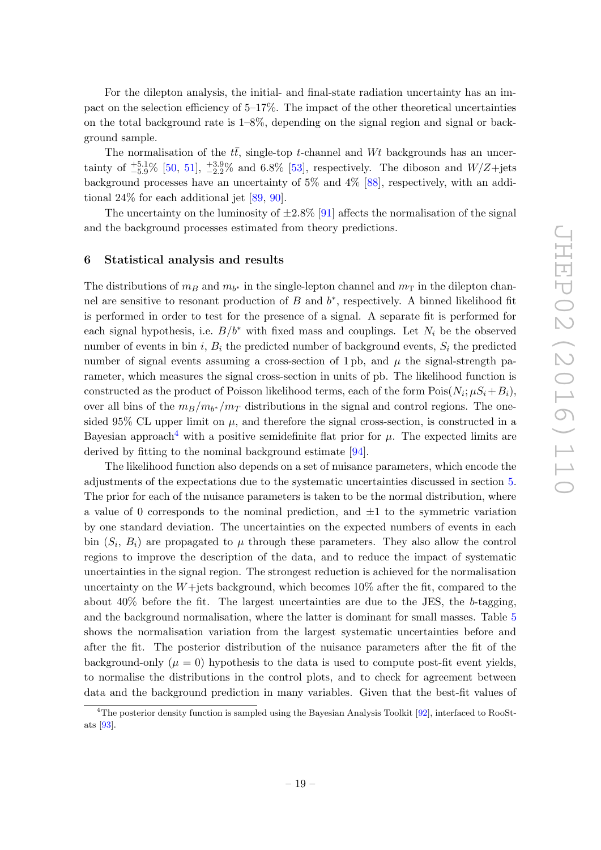For the dilepton analysis, the initial- and final-state radiation uncertainty has an impact on the selection efficiency of 5–17%. The impact of the other theoretical uncertainties on the total background rate is 1–8%, depending on the signal region and signal or background sample.

The normalisation of the  $t\bar{t}$ , single-top t-channel and Wt backgrounds has an uncertainty of  $^{+5.1}_{-5.9}\%$  [\[50,](#page-25-14) [51\]](#page-25-9),  $^{+3.9}_{-2.2}\%$  and 6.8% [\[53\]](#page-25-11), respectively. The diboson and  $W/Z + \text{jets}$ background processes have an uncertainty of 5% and 4% [\[88\]](#page-27-12), respectively, with an additional 24% for each additional jet [\[89,](#page-27-13) [90\]](#page-27-14).

The uncertainty on the luminosity of  $\pm 2.8\%$  [\[91\]](#page-27-15) affects the normalisation of the signal and the background processes estimated from theory predictions.

#### <span id="page-20-0"></span>6 Statistical analysis and results

The distributions of  $m_B$  and  $m_{b^*}$  in the single-lepton channel and  $m_T$  in the dilepton channel are sensitive to resonant production of  $B$  and  $b^*$ , respectively. A binned likelihood fit is performed in order to test for the presence of a signal. A separate fit is performed for each signal hypothesis, i.e.  $B/b^*$  with fixed mass and couplings. Let  $N_i$  be the observed number of events in bin  $i, B_i$  the predicted number of background events,  $S_i$  the predicted number of signal events assuming a cross-section of 1 pb, and  $\mu$  the signal-strength parameter, which measures the signal cross-section in units of pb. The likelihood function is constructed as the product of Poisson likelihood terms, each of the form  $\text{Pois}(N_i; \mu S_i + B_i)$ , over all bins of the  $m_B/m_{b^*}/m_T$  distributions in the signal and control regions. The onesided 95% CL upper limit on  $\mu$ , and therefore the signal cross-section, is constructed in a Bayesian approach<sup>[4](#page-19-1)</sup> with a positive semidefinite flat prior for  $\mu$ . The expected limits are derived by fitting to the nominal background estimate [\[94\]](#page-28-0).

The likelihood function also depends on a set of nuisance parameters, which encode the adjustments of the expectations due to the systematic uncertainties discussed in section [5](#page-14-0) . The prior for each of the nuisance parameters is taken to be the normal distribution, where a value of 0 corresponds to the nominal prediction, and  $\pm 1$  to the symmetric variation by one standard deviation. The uncertainties on the expected numbers of events in each bin  $(S_i, B_i)$  are propagated to  $\mu$  through these parameters. They also allow the control regions to improve the description of the data, and to reduce the impact of systematic uncertainties in the signal region. The strongest reduction is achieved for the normalisation uncertainty on the W+jets background, which becomes 10% after the fit, compared to the about 40% before the fit. The largest uncertainties are due to the JES, the b-tagging, and the background normalisation, where the latter is dominant for small masses. Table [5](#page-20-0) shows the normalisation variation from the largest systematic uncertainties before and after the fit. The posterior distribution of the nuisance parameters after the fit of the background-only  $(\mu = 0)$  hypothesis to the data is used to compute post-fit event yields, to normalise the distributions in the control plots, and to check for agreement between data and the background prediction in many variables. Given that the best-fit values of

<sup>&</sup>lt;sup>4</sup>The posterior density function is sampled using the Bayesian Analysis Toolkit [\[92\]](#page-27-16), interfaced to RooStats [\[93\]](#page-28-1).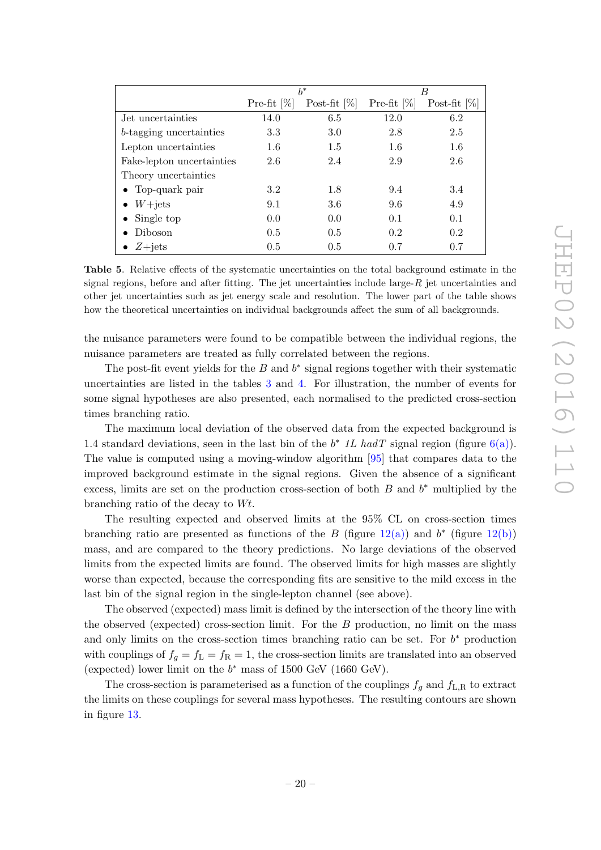|                                 | $h^*$          |                 | B              |                 |
|---------------------------------|----------------|-----------------|----------------|-----------------|
|                                 | Pre-fit $[\%]$ | Post-fit $[\%]$ | Pre-fit $[\%]$ | Post-fit $[\%]$ |
| Jet uncertainties               | 14.0           | 6.5             | 12.0           | 6.2             |
| <i>b</i> -tagging uncertainties | 3.3            | 3.0             | 2.8            | 2.5             |
| Lepton uncertainties            | $1.6\,$        | 1.5             | 1.6            | 1.6             |
| Fake-lepton uncertainties       | 2.6            | 2.4             | 2.9            | 2.6             |
| Theory uncertainties            |                |                 |                |                 |
| $\bullet$ Top-quark pair        | 3.2            | 1.8             | 9.4            | 3.4             |
| $\bullet$ W+jets                | 9.1            | 3.6             | 9.6            | 4.9             |
| Single top<br>$\bullet$         | 0.0            | 0.0             | 0.1            | 0.1             |
| Diboson<br>$\bullet$            | 0.5            | 0.5             | 0.2            | 0.2             |
| $Z + jets$                      | 0.5            | 0.5             | 0.7            | 0.7             |

<span id="page-21-2"></span><span id="page-21-1"></span>Table 5. Relative effects of the systematic uncertainties on the total background estimate in the signal regions, before and after fitting. The jet uncertainties include large- $R$  jet uncertainties and other jet uncertainties such as jet energy scale and resolution. The lower part of the table shows how the theoretical uncertainties on individual backgrounds affect the sum of all backgrounds.

the nuisance parameters were found to be compatible between the individual regions, the nuisance parameters are treated as fully correlated between the regions.

The post-fit event yields for the  $B$  and  $b^*$  signal regions together with their systematic uncertainties are listed in the tables [3](#page-15-0) and [4.](#page-15-1) For illustration, the number of events for some signal hypotheses are also presented, each normalised to the predicted cross-section times branching ratio.

The maximum local deviation of the observed data from the expected background is 1.4 standard deviations, seen in the last bin of the  $b^*$  1L hadT signal region (figure [6\(a\)\)](#page-12-1). The value is computed using a moving-window algorithm [\[95\]](#page-28-2) that compares data to the improved background estimate in the signal regions. Given the absence of a significant excess, limits are set on the production cross-section of both  $B$  and  $b^*$  multiplied by the branching ratio of the decay to Wt .

<span id="page-21-5"></span><span id="page-21-4"></span><span id="page-21-3"></span>The resulting expected and observed limits at the 95% CL on cross-section times branching ratio are presented as functions of the B (figure  $12(a)$ ) and  $b^*$  (figure  $12(b)$ ) mass, and are compared to the theory predictions. No large deviations of the observed limits from the expected limits are found. The observed limits for high masses are slightly worse than expected, because the corresponding fits are sensitive to the mild excess in the last bin of the signal region in the single-lepton channel (see above).

<span id="page-21-0"></span>The observed (expected) mass limit is defined by the intersection of the theory line with the observed (expected) cross-section limit. For the B production, no limit on the mass and only limits on the cross-section times branching ratio can be set. For  $b^*$  production with couplings of  $f_g = f_L = f_R = 1$ , the cross-section limits are translated into an observed (expected) lower limit on the  $b^*$  mass of 1500 GeV (1660 GeV).

The cross-section is parameterised as a function of the couplings  $f_g$  and  $f_{L,R}$  to extract the limits on these couplings for several mass hypotheses. The resulting contours are shown in figure [13](#page-21-3) .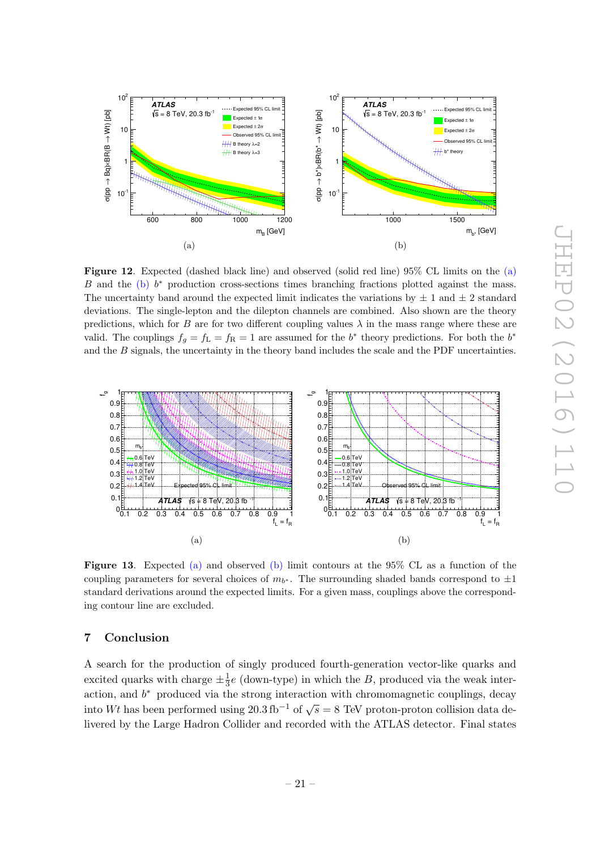

Figure 12. Expected (dashed black line) and observed (solid red line) 95% CL limits on the [\(a\)](#page-21-1) B and the [\(b\)](#page-21-2)  $b^*$  production cross-sections times branching fractions plotted against the mass. The uncertainty band around the expected limit indicates the variations by  $\pm 1$  and  $\pm 2$  standard deviations. The single-lepton and the dilepton channels are combined. Also shown are the theory predictions, which for B are for two different coupling values  $\lambda$  in the mass range where these are valid. The couplings  $f_g = f_L = f_R = 1$  are assumed for the  $b^*$  theory predictions. For both the  $b^*$ and the B signals, the uncertainty in the theory band includes the scale and the PDF uncertainties.



Figure 13. Expected [\(a\)](#page-21-4) and observed [\(b\)](#page-21-5) limit contours at the 95% CL as a function of the coupling parameters for several choices of  $m_{b^*}$ . The surrounding shaded bands correspond to  $\pm 1$ standard derivations around the expected limits. For a given mass, couplings above the corresponding contour line are excluded.

# 7 Conclusion

A search for the production of singly produced fourth-generation vector-like quarks and excited quarks with charge  $\pm \frac{1}{3}e$  (down-type) in which the B, produced via the weak interaction, and  $b<sup>*</sup>$  produced via the strong interaction with chromomagnetic couplings, decay into Wt has been performed using  $20.3 \text{ fb}^{-1}$  of  $\sqrt{s} = 8$  TeV proton-proton collision data delivered by the Large Hadron Collider and recorded with the ATLAS detector. Final states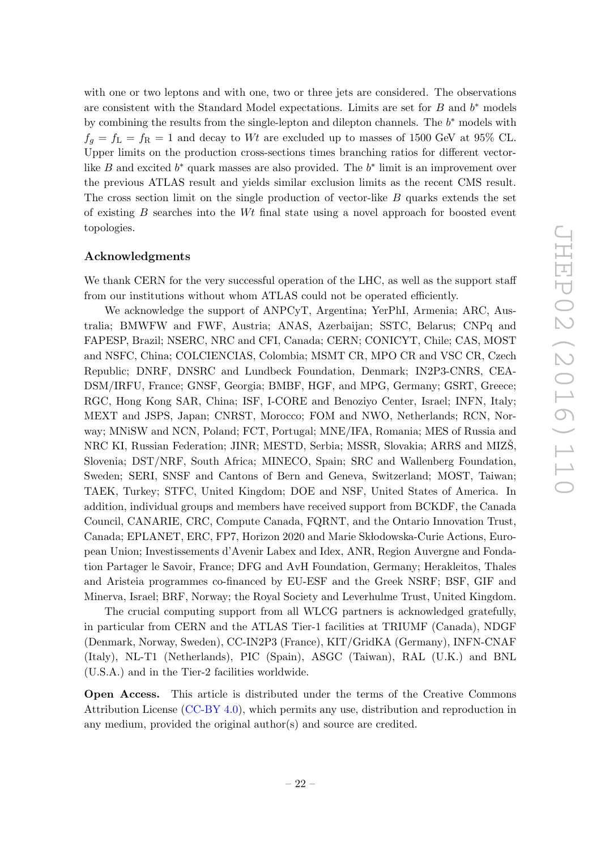<span id="page-23-0"></span>with one or two leptons and with one, two or three jets are considered. The observations are consistent with the Standard Model expectations. Limits are set for  $B$  and  $b^*$  models by combining the results from the single-lepton and dilepton channels. The  $b^*$  models with  $f_g = f_L = f_R = 1$  and decay to Wt are excluded up to masses of 1500 GeV at 95% CL. Upper limits on the production cross-sections times branching ratios for different vectorlike B and excited  $b^*$  quark masses are also provided. The  $b^*$  limit is an improvement over the previous ATLAS result and yields similar exclusion limits as the recent CMS result. The cross section limit on the single production of vector-like B quarks extends the set of existing B searches into the Wt final state using a novel approach for boosted event topologies.

#### <span id="page-23-2"></span><span id="page-23-1"></span>Acknowledgments

<span id="page-23-3"></span>We thank CERN for the very successful operation of the LHC, as well as the support staff from our institutions without whom ATLAS could not be operated efficiently.

<span id="page-23-8"></span><span id="page-23-7"></span><span id="page-23-6"></span><span id="page-23-5"></span><span id="page-23-4"></span>We acknowledge the support of ANPCyT, Argentina; YerPhI, Armenia; ARC, Australia; BMWFW and FWF, Austria; ANAS, Azerbaijan; SSTC, Belarus; CNPq and FAPESP, Brazil; NSERC, NRC and CFI, Canada; CERN; CONICYT, Chile; CAS, MOST and NSFC, China; COLCIENCIAS, Colombia; MSMT CR, MPO CR and VSC CR, Czech Republic; DNRF, DNSRC and Lundbeck Foundation, Denmark; IN2P3-CNRS, CEA-DSM/IRFU, France; GNSF, Georgia; BMBF, HGF, and MPG, Germany; GSRT, Greece; RGC, Hong Kong SAR, China; ISF, I-CORE and Benoziyo Center, Israel; INFN, Italy; MEXT and JSPS, Japan; CNRST, Morocco; FOM and NWO, Netherlands; RCN, Norway; MNiSW and NCN, Poland; FCT, Portugal; MNE/IFA, Romania; MES of Russia and NRC KI, Russian Federation; JINR; MESTD, Serbia; MSSR, Slovakia; ARRS and MIZŠ, Slovenia; DST/NRF, South Africa; MINECO, Spain; SRC and Wallenberg Foundation, Sweden; SERI, SNSF and Cantons of Bern and Geneva, Switzerland; MOST, Taiwan; TAEK, Turkey; STFC, United Kingdom; DOE and NSF, United States of America. In addition, individual groups and members have received support from BCKDF, the Canada Council, CANARIE, CRC, Compute Canada, FQRNT, and the Ontario Innovation Trust, Canada; EPLANET, ERC, FP7, Horizon 2020 and Marie Sk lodowska-Curie Actions, European Union; Investissements d'Avenir Labex and Idex, ANR, Region Auvergne and Fondation Partager le Savoir, France; DFG and AvH Foundation, Germany; Herakleitos, Thales and Aristeia programmes co-financed by EU-ESF and the Greek NSRF; BSF, GIF and Minerva, Israel; BRF, Norway; the Royal Society and Leverhulme Trust, United Kingdom.

<span id="page-23-13"></span><span id="page-23-12"></span><span id="page-23-11"></span><span id="page-23-10"></span><span id="page-23-9"></span>The crucial computing support from all WLCG partners is acknowledged gratefully, in particular from CERN and the ATLAS Tier-1 facilities at TRIUMF (Canada), NDGF (Denmark, Norway, Sweden), CC-IN2P3 (France), KIT/GridKA (Germany), INFN-CNAF (Italy), NL-T1 (Netherlands), PIC (Spain), ASGC (Taiwan), RAL (U.K.) and BNL (U.S.A.) and in the Tier-2 facilities worldwide.

<span id="page-23-15"></span><span id="page-23-14"></span>Open Access. This article is distributed under the terms of the Creative Commons Attribution License [\(CC-BY 4.0\)](http://creativecommons.org/licenses/by/4.0/), which permits any use, distribution and reproduction in any medium, provided the original author(s) and source are credited.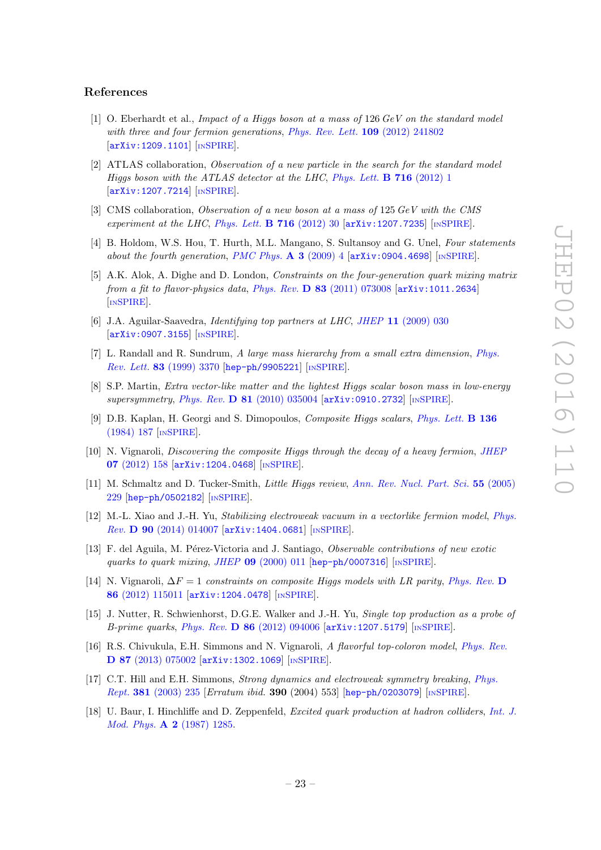#### <span id="page-24-0"></span>References

- <span id="page-24-1"></span>[1] O. Eberhardt et al., Impact of a Higgs boson at a mass of 126 GeV on the standard model with three and four fermion generations, *[Phys. Rev. Lett.](http://dx.doi.org/10.1103/PhysRevLett.109.241802)* **109** (2012) 241802 [[arXiv:1209.1101](http://arxiv.org/abs/1209.1101)] [IN[SPIRE](http://inspirehep.net/search?p=find+EPRINT+arXiv:1209.1101)].
- <span id="page-24-3"></span><span id="page-24-2"></span>[2] ATLAS collaboration, Observation of a new particle in the search for the standard model Higgs boson with the ATLAS detector at the LHC, [Phys. Lett.](http://dx.doi.org/10.1016/j.physletb.2012.08.020) **B** 716 (2012) 1 [[arXiv:1207.7214](http://arxiv.org/abs/1207.7214)] [IN[SPIRE](http://inspirehep.net/search?p=find+EPRINT+arXiv:1207.7214)].
- <span id="page-24-4"></span>[3] CMS collaboration, Observation of a new boson at a mass of 125 GeV with the CMS experiment at the LHC, [Phys. Lett.](http://dx.doi.org/10.1016/j.physletb.2012.08.021) **B** 716 (2012) 30  $[\text{arXiv:1207.7235}]$  $[\text{arXiv:1207.7235}]$  $[\text{arXiv:1207.7235}]$   $[\text{insPIRE}]$ .
- <span id="page-24-5"></span>[4] B. Holdom, W.S. Hou, T. Hurth, M.L. Mangano, S. Sultansoy and G. Unel, Four statements about the fourth generation, [PMC Phys.](http://dx.doi.org/10.1186/1754-0410-3-4) A  $3$  (2009) 4 [[arXiv:0904.4698](http://arxiv.org/abs/0904.4698)] [IN[SPIRE](http://inspirehep.net/search?p=find+EPRINT+arXiv:0904.4698)].
- <span id="page-24-6"></span>[5] A.K. Alok, A. Dighe and D. London, Constraints on the four-generation quark mixing matrix from a fit to flavor-physics data, Phys. Rev.  $D$  83 [\(2011\) 073008](http://dx.doi.org/10.1103/PhysRevD.83.073008)  $\left[$ [arXiv:1011.2634](http://arxiv.org/abs/1011.2634) $\right]$ [IN[SPIRE](http://inspirehep.net/search?p=find+EPRINT+arXiv:1011.2634)].
- <span id="page-24-7"></span>[6] J.A. Aguilar-Saavedra, Identifying top partners at LHC, JHEP 11 [\(2009\) 030](http://dx.doi.org/10.1088/1126-6708/2009/11/030) [[arXiv:0907.3155](http://arxiv.org/abs/0907.3155)] [IN[SPIRE](http://inspirehep.net/search?p=find+EPRINT+arXiv:0907.3155)].
- <span id="page-24-8"></span>[7] L. Randall and R. Sundrum, A large mass hierarchy from a small extra dimension , [Phys.](http://dx.doi.org/10.1103/PhysRevLett.83.3370) Rev. Lett. 83 [\(1999\) 3370](http://dx.doi.org/10.1103/PhysRevLett.83.3370) [[hep-ph/9905221](http://arxiv.org/abs/hep-ph/9905221)] [IN[SPIRE](http://inspirehep.net/search?p=find+EPRINT+hep-ph/9905221)].
- <span id="page-24-9"></span>[8] S.P. Martin, Extra vector-like matter and the lightest Higgs scalar boson mass in low-energy supersymmetry , Phys. Rev. D 81 [\(2010\) 035004](http://dx.doi.org/10.1103/PhysRevD.81.035004) [[arXiv:0910.2732](http://arxiv.org/abs/0910.2732)] [IN[SPIRE](http://inspirehep.net/search?p=find+EPRINT+arXiv:0910.2732)].
- [9] D.B. Kaplan, H. Georgi and S. Dimopoulos, Composite Higgs scalars, [Phys. Lett.](http://dx.doi.org/10.1016/0370-2693(84)91178-X) **B 136** [\(1984\) 187](http://dx.doi.org/10.1016/0370-2693(84)91178-X) [IN[SPIRE](http://inspirehep.net/search?p=find+J+PHLTA,B136,187)].
- [10] N. Vignaroli, Discovering the composite Higgs through the decay of a heavy fermion, JHEF 07 [\(2012\) 158](http://dx.doi.org/10.1007/JHEP07(2012)158) [[arXiv:1204.0468](http://arxiv.org/abs/1204.0468)] [IN[SPIRE](http://inspirehep.net/search?p=find+EPRINT+arXiv:1204.0468)].
- <span id="page-24-10"></span>[11] M. Schmaltz and D. Tucker-Smith, *Little Higgs review*, [Ann. Rev. Nucl. Part. Sci.](http://dx.doi.org/10.1146/annurev.nucl.55.090704.151502) 55 (2005) [229](http://dx.doi.org/10.1146/annurev.nucl.55.090704.151502) [[hep-ph/0502182](http://arxiv.org/abs/hep-ph/0502182)] [IN[SPIRE](http://inspirehep.net/search?p=find+EPRINT+hep-ph/0502182)].
- <span id="page-24-11"></span>[12] M.-L. Xiao and J.-H. Yu, *Stabilizing electroweak vacuum in a vectorlike fermion model*, *[Phys.](http://dx.doi.org/10.1103/PhysRevD.90.014007)* Rev. D 90 [\(2014\) 014007](http://dx.doi.org/10.1103/PhysRevD.90.014007) [[arXiv:1404.0681](http://arxiv.org/abs/1404.0681)] [IN[SPIRE](http://inspirehep.net/search?p=find+EPRINT+arXiv:1404.0681)].
- [13] F. del Aguila, M. Pérez-Victoria and J. Santiago, *Observable contributions of new exotic* quarks to quark mixing , JHEP 09 [\(2000\) 011](http://dx.doi.org/10.1088/1126-6708/2000/09/011) [[hep-ph/0007316](http://arxiv.org/abs/hep-ph/0007316)] [IN[SPIRE](http://inspirehep.net/search?p=find+EPRINT+hep-ph/0007316)].
- <span id="page-24-12"></span>[14] N. Vignaroli,  $\Delta F = 1$  constraints on composite Higgs models with LR parity, [Phys. Rev.](http://dx.doi.org/10.1103/PhysRevD.86.115011) D 86 [\(2012\) 115011](http://dx.doi.org/10.1103/PhysRevD.86.115011) [[arXiv:1204.0478](http://arxiv.org/abs/1204.0478)] [IN[SPIRE](http://inspirehep.net/search?p=find+EPRINT+arXiv:1204.0478)].
- <span id="page-24-13"></span>[15] J. Nutter, R. Schwienhorst, D.G.E. Walker and J.-H. Yu, Single top production as a probe of B-prime quarks, Phys. Rev. D 86 [\(2012\) 094006](http://dx.doi.org/10.1103/PhysRevD.86.094006) [[arXiv:1207.5179](http://arxiv.org/abs/1207.5179)] [IN[SPIRE](http://inspirehep.net/search?p=find+EPRINT+arXiv:1207.5179)].
- <span id="page-24-15"></span><span id="page-24-14"></span>[16] R.S. Chivukula, E.H. Simmons and N. Vignaroli, A flavorful top-coloron model, [Phys. Rev.](http://dx.doi.org/10.1103/PhysRevD.87.075002) D 87 [\(2013\) 075002](http://dx.doi.org/10.1103/PhysRevD.87.075002) [[arXiv:1302.1069](http://arxiv.org/abs/1302.1069)] [IN[SPIRE](http://inspirehep.net/search?p=find+EPRINT+arXiv:1302.1069)].
- [17] C.T. Hill and E.H. Simmons, Strong dynamics and electroweak symmetry breaking , [Phys.](http://dx.doi.org/10.1016/S0370-1573(03)00140-6) Rept. 381 [\(2003\) 235](http://dx.doi.org/10.1016/S0370-1573(03)00140-6) [Erratum ibid. 390 (2004) 553] [[hep-ph/0203079](http://arxiv.org/abs/hep-ph/0203079)] [IN[SPIRE](http://inspirehep.net/search?p=find+EPRINT+hep-ph/0203079)].
- <span id="page-24-16"></span>[18] U. Baur, I. Hinchliffe and D. Zeppenfeld, *Excited quark production at hadron colliders*, *[Int. J.](http://dx.doi.org/10.1142/S0217751X87000661)* Mod. Phys. **A 2** [\(1987\) 1285](http://dx.doi.org/10.1142/S0217751X87000661).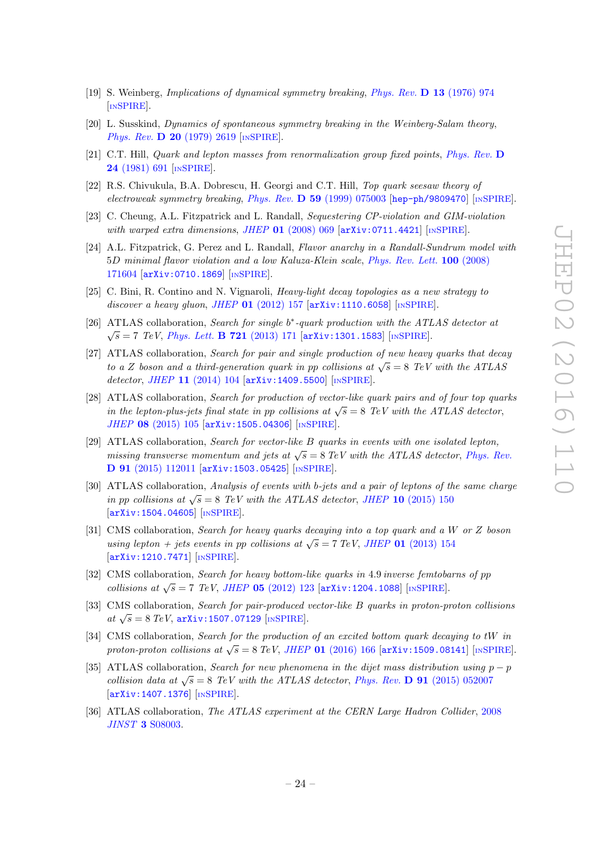- <span id="page-25-0"></span>[19] S. Weinberg, Implications of dynamical symmetry breaking , [Phys. Rev.](http://dx.doi.org/10.1103/PhysRevD.13.974) D 13 (1976) 974 [IN[SPIRE](http://inspirehep.net/search?p=find+J+PHRVA,D13,974)].
- <span id="page-25-1"></span>[20] L. Susskind, Dynamics of spontaneous symmetry breaking in the Weinberg-Salam theory , Phys. Rev. **D 20** [\(1979\) 2619](http://dx.doi.org/10.1103/PhysRevD.20.2619) [IN[SPIRE](http://inspirehep.net/search?p=find+J+PHRVA,D20,2619)].
- <span id="page-25-2"></span>[21] C.T. Hill, Quark and lepton masses from renormalization group fixed points, [Phys. Rev.](http://Dx.doi.org/10.1103/PhysRevD.24.691) D 24 [\(1981\) 691](http://Dx.doi.org/10.1103/PhysRevD.24.691) [IN[SPIRE](http://inspirehep.net/search?p=find+J+PHRVA,D24,691)].
- <span id="page-25-3"></span>[22] R.S. Chivukula, B.A. Dobrescu, H. Georgi and C.T. Hill, Top quark seesaw theory of electroweak symmetry breaking, Phys. Rev. D 59 [\(1999\) 075003](http://dx.doi.org/10.1103/PhysRevD.59.075003) [[hep-ph/9809470](http://arxiv.org/abs/hep-ph/9809470)] [IN[SPIRE](http://inspirehep.net/search?p=find+EPRINT+hep-ph/9809470)].
- <span id="page-25-4"></span>[23] C. Cheung, A.L. Fitzpatrick and L. Randall, Sequestering CP-violation and GIM-violation with warped extra dimensions, JHEP  $01$  [\(2008\) 069](http://dx.doi.org/10.1088/1126-6708/2008/01/069) [[arXiv:0711.4421](http://arxiv.org/abs/0711.4421)] [IN[SPIRE](http://inspirehep.net/search?p=find+EPRINT+arXiv:0711.4421)].
- <span id="page-25-5"></span>[24] A.L. Fitzpatrick, G. Perez and L. Randall, Flavor anarchy in a Randall-Sundrum model with 5D minimal flavor violation and a low Kaluza-Klein scale, [Phys. Rev. Lett.](http://dx.doi.org/10.1103/PhysRevLett.100.171604) 100 (2008) [171604](http://dx.doi.org/10.1103/PhysRevLett.100.171604) [[arXiv:0710.1869](http://arxiv.org/abs/0710.1869)] [IN[SPIRE](http://inspirehep.net/search?p=find+EPRINT+arXiv:0710.1869)].
- <span id="page-25-6"></span>[25] C. Bini, R. Contino and N. Vignaroli, Heavy-light decay topologies as a new strategy to discover a heavy gluon, JHEP 01 [\(2012\) 157](http://dx.doi.org/10.1007/JHEP01(2012)157) [[arXiv:1110.6058](http://arxiv.org/abs/1110.6058)] [IN[SPIRE](http://inspirehep.net/search?p=find+EPRINT+arXiv:1110.6058)].
- <span id="page-25-7"></span>[26] ATLAS collaboration, Search for single b\*-quark production with the ATLAS detector at  $\sqrt{s} = 7$  TeV, [Phys. Lett.](http://dx.doi.org/10.1016/j.physletb.2013.03.016) **B 721** (2013) 171 [[arXiv:1301.1583](http://arxiv.org/abs/1301.1583)] [IN[SPIRE](http://inspirehep.net/search?p=find+EPRINT+arXiv:1301.1583)].
- <span id="page-25-8"></span>[27] ATLAS collaboration, Search for pair and single production of new heavy quarks that decay to a Z boson and a third-generation quark in pp collisions at  $\sqrt{s} = 8$  TeV with the ATLAS detector, JHEP 11 [\(2014\) 104](http://dx.doi.org/10.1007/JHEP11(2014)104) [[arXiv:1409.5500](http://arxiv.org/abs/1409.5500)] [IN[SPIRE](http://inspirehep.net/search?p=find+EPRINT+arXiv:1409.5500)].
- [28] ATLAS collaboration, Search for production of vector-like quark pairs and of four top quarks in the lepton-plus-jets final state in pp collisions at  $\sqrt{s} = 8$  TeV with the ATLAS detector, JHEP 08 [\(2015\) 105](http://dx.doi.org/10.1007/JHEP08(2015)105) [[arXiv:1505.04306](http://arxiv.org/abs/1505.04306)] [IN[SPIRE](http://inspirehep.net/search?p=find+EPRINT+arXiv:1505.04306)].
- [29] ATLAS collaboration, Search for vector-like B quarks in events with one isolated lepton, missing transverse momentum and jets at  $\sqrt{s} = 8$  TeV with the ATLAS detector, [Phys. Rev.](http://dx.doi.org/10.1103/PhysRevD.91.112011) D 91 [\(2015\) 112011](http://dx.doi.org/10.1103/PhysRevD.91.112011) [[arXiv:1503.05425](http://arxiv.org/abs/1503.05425)] [IN[SPIRE](http://inspirehep.net/search?p=find+EPRINT+arXiv:1503.05425)].
- [30] ATLAS collaboration, Analysis of events with b-jets and a pair of leptons of the same charge in pp collisions at  $\sqrt{s} = 8$  TeV with the ATLAS detector, JHEP 10 [\(2015\) 150](http://dx.doi.org/10.1007/JHEP10(2015)150) [[arXiv:1504.04605](http://arxiv.org/abs/1504.04605)] [IN[SPIRE](http://inspirehep.net/search?p=find+EPRINT+arXiv:1504.04605)].
- <span id="page-25-14"></span>[31] CMS collaboration, Search for heavy quarks decaying into a top quark and a W or Z boson using lepton + jets events in pp collisions at  $\sqrt{s} = 7 \text{ TeV}$ , JHEP 01 [\(2013\) 154](http://dx.doi.org/10.1007/JHEP01(2013)154) [[arXiv:1210.7471](http://arxiv.org/abs/1210.7471)] [IN[SPIRE](http://inspirehep.net/search?p=find+EPRINT+arXiv:1210.7471)].
- <span id="page-25-9"></span>[32] CMS collaboration, Search for heavy bottom-like quarks in 4.9 inverse femtobarns of pp collisions at  $\sqrt{s} = 7$  TeV, JHEP 05 [\(2012\) 123](http://dx.doi.org/10.1007/JHEP05(2012)123) [[arXiv:1204.1088](http://arxiv.org/abs/1204.1088)] [IN[SPIRE](http://inspirehep.net/search?p=find+EPRINT+arXiv:1204.1088)].
- <span id="page-25-10"></span>[33] CMS collaboration, Search for pair-produced vector-like B quarks in proton-proton collisions at  $\sqrt{s} = 8 \text{ TeV}$ , [arXiv:1507.07129](http://arxiv.org/abs/1507.07129) [IN[SPIRE](http://inspirehep.net/search?p=find+EPRINT+arXiv:1507.07129)].
- <span id="page-25-11"></span>[34] CMS collaboration, Search for the production of an excited bottom quark decaying to tW in proton-proton collisions at  $\sqrt{s} = 8 \text{ TeV}$ , JHEP 01 [\(2016\) 166](http://dx.doi.org/10.1007/JHEP01(2016)166) [[arXiv:1509.08141](http://arxiv.org/abs/1509.08141)] [IN[SPIRE](http://inspirehep.net/search?p=find+EPRINT+arXiv:1509.08141)].
- <span id="page-25-12"></span>[35] ATLAS collaboration, Search for new phenomena in the dijet mass distribution using  $p - p$ collision data at  $\sqrt{s} = 8$  TeV with the ATLAS detector, Phys. Rev. D 91 [\(2015\) 052007](http://dx.doi.org/10.1103/PhysRevD.91.052007) [[arXiv:1407.1376](http://arxiv.org/abs/1407.1376)] [IN[SPIRE](http://inspirehep.net/search?p=find+EPRINT+arXiv:1407.1376)].
- <span id="page-25-13"></span>[36] ATLAS collaboration, The ATLAS experiment at the CERN Large Hadron Collider, [2008](http://dx.doi.org/10.1088/1748-0221/3/08/S08003) JINST 3 [S08003](http://dx.doi.org/10.1088/1748-0221/3/08/S08003).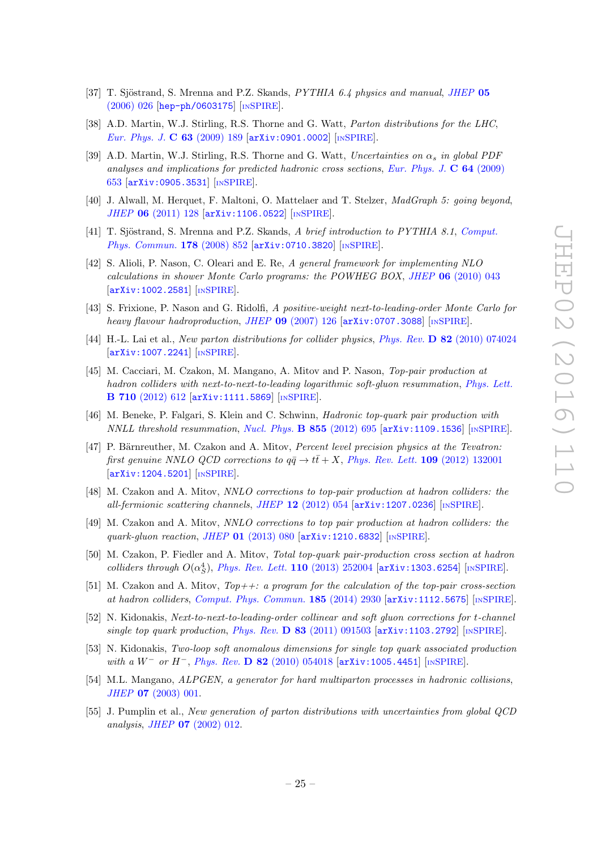- <span id="page-26-0"></span>[37] T. Sjöstrand, S. Mrenna and P.Z. Skands, PYTHIA 6.4 physics and manual, [JHEP](http://dx.doi.org/10.1088/1126-6708/2006/05/026) 05 [\(2006\) 026](http://dx.doi.org/10.1088/1126-6708/2006/05/026) [[hep-ph/0603175](http://arxiv.org/abs/hep-ph/0603175)] [IN[SPIRE](http://inspirehep.net/search?p=find+EPRINT+hep-ph/0603175)].
- <span id="page-26-1"></span>[38] A.D. Martin, W.J. Stirling, R.S. Thorne and G. Watt, Parton distributions for the LHC, [Eur. Phys. J.](http://dx.doi.org/10.1140/epjc/s10052-009-1072-5) C 63 (2009) 189 [[arXiv:0901.0002](http://arxiv.org/abs/0901.0002)] [IN[SPIRE](http://inspirehep.net/search?p=find+EPRINT+arXiv:0901.0002)].
- <span id="page-26-2"></span>[39] A.D. Martin, W.J. Stirling, R.S. Thorne and G. Watt, Uncertainties on  $\alpha_s$  in global PDF analyses and implications for predicted hadronic cross sections, [Eur. Phys. J.](http://dx.doi.org/10.1140/epjc/s10052-009-1164-2)  $\bf{C}$  64 (2009) [653](http://dx.doi.org/10.1140/epjc/s10052-009-1164-2) [[arXiv:0905.3531](http://arxiv.org/abs/0905.3531)] [IN[SPIRE](http://inspirehep.net/search?p=find+EPRINT+arXiv:0905.3531)].
- <span id="page-26-3"></span>[40] J. Alwall, M. Herquet, F. Maltoni, O. Mattelaer and T. Stelzer, *MadGraph 5: going beyond*, JHEP 06 [\(2011\) 128](http://dx.doi.org/10.1007/JHEP06(2011)128) [[arXiv:1106.0522](http://arxiv.org/abs/1106.0522)] [IN[SPIRE](http://inspirehep.net/search?p=find+EPRINT+arXiv:1106.0522)].
- <span id="page-26-5"></span><span id="page-26-4"></span>[41] T. Sjöstrand, S. Mrenna and P.Z. Skands, A brief introduction to PYTHIA 8.1, [Comput.](http://dx.doi.org/10.1016/j.cpc.2008.01.036) [Phys. Commun.](http://dx.doi.org/10.1016/j.cpc.2008.01.036) 178 (2008) 852 [[arXiv:0710.3820](http://arxiv.org/abs/0710.3820)] [IN[SPIRE](http://inspirehep.net/search?p=find+EPRINT+arXiv:0710.3820)].
- <span id="page-26-6"></span>[42] S. Alioli, P. Nason, C. Oleari and E. Re, A general framework for implementing NLO  $calculations in shower Monte Carlo programs: the POWHEG BOX, JHEP 06 (2010) 043$  $calculations in shower Monte Carlo programs: the POWHEG BOX, JHEP 06 (2010) 043$ [[arXiv:1002.2581](http://arxiv.org/abs/1002.2581)] [IN[SPIRE](http://inspirehep.net/search?p=find+EPRINT+arXiv:1002.2581)].
- <span id="page-26-7"></span>[43] S. Frixione, P. Nason and G. Ridolfi, A positive-weight next-to-leading-order Monte Carlo for heavy flavour hadroproduction, JHEP 09 [\(2007\) 126](http://dx.doi.org/10.1088/1126-6708/2007/09/126) [[arXiv:0707.3088](http://arxiv.org/abs/0707.3088)] [IN[SPIRE](http://inspirehep.net/search?p=find+EPRINT+arXiv:0707.3088)].
- <span id="page-26-8"></span>[44] H.-L. Lai et al., New parton distributions for collider physics, Phys. Rev. D 82 [\(2010\) 074024](http://dx.doi.org/10.1103/PhysRevD.82.074024) [[arXiv:1007.2241](http://arxiv.org/abs/1007.2241)] [IN[SPIRE](http://inspirehep.net/search?p=find+EPRINT+arXiv:1007.2241)].
- <span id="page-26-9"></span>[45] M. Cacciari, M. Czakon, M. Mangano, A. Mitov and P. Nason, Top-pair production at hadron colliders with next-to-next-to-leading logarithmic soft-gluon resummation, [Phys. Lett.](http://dx.doi.org/10.1016/j.physletb.2012.03.013) B 710 [\(2012\) 612](http://dx.doi.org/10.1016/j.physletb.2012.03.013) [[arXiv:1111.5869](http://arxiv.org/abs/1111.5869)] [IN[SPIRE](http://inspirehep.net/search?p=find+EPRINT+arXiv:1111.5869)].
- <span id="page-26-10"></span>[46] M. Beneke, P. Falgari, S. Klein and C. Schwinn, Hadronic top-quark pair production with  $NNLL$  threshold resummation, [Nucl. Phys.](http://dx.doi.org/10.1016/j.nuclphysb.2011.10.021) **B** 855 (2012) 695  $[$ [arXiv:1109.1536](http://arxiv.org/abs/1109.1536)]  $[$ IN[SPIRE](http://inspirehep.net/search?p=find+EPRINT+arXiv:1109.1536)].
- <span id="page-26-11"></span>[47] P. Bärnreuther, M. Czakon and A. Mitov, Percent level precision physics at the Tevatron: first genuine NNLO QCD corrections to  $q\bar{q} \to t\bar{t} + X$ , [Phys. Rev. Lett.](http://dx.doi.org/10.1103/PhysRevLett.109.132001) 109 (2012) 132001 [[arXiv:1204.5201](http://arxiv.org/abs/1204.5201)] [IN[SPIRE](http://inspirehep.net/search?p=find+EPRINT+arXiv:1204.5201)].
- <span id="page-26-12"></span>[48] M. Czakon and A. Mitov, NNLO corrections to top-pair production at hadron colliders: the all-fermionic scattering channels, JHEP 12 [\(2012\) 054](http://dx.doi.org/10.1007/JHEP12(2012)054) [[arXiv:1207.0236](http://arxiv.org/abs/1207.0236)] [IN[SPIRE](http://inspirehep.net/search?p=find+EPRINT+arXiv:1207.0236)].
- [49] M. Czakon and A. Mitov, NNLO corrections to top pair production at hadron colliders: the quark-gluon reaction , JHEP 01 [\(2013\) 080](http://dx.doi.org/10.1007/JHEP01(2013)080) [[arXiv:1210.6832](http://arxiv.org/abs/1210.6832)] [IN[SPIRE](http://inspirehep.net/search?p=find+EPRINT+arXiv:1210.6832)].
- <span id="page-26-13"></span>[50] M. Czakon, P. Fiedler and A. Mitov, Total top-quark pair-production cross section at hadron colliders through  $O(\alpha_S^4)$ , [Phys. Rev. Lett.](http://dx.doi.org/10.1103/PhysRevLett.110.252004) 110 (2013) 252004 [[arXiv:1303.6254](http://arxiv.org/abs/1303.6254)] [IN[SPIRE](http://inspirehep.net/search?p=find+EPRINT+arXiv:1303.6254)].
- <span id="page-26-14"></span>[51] M. Czakon and A. Mitov,  $Top++: a program for the calculation of the top-pair cross-section$ at hadron colliders , [Comput. Phys. Commun.](http://dx.doi.org/10.1016/j.cpc.2014.06.021) 185 (2014) 2930 [[arXiv:1112.5675](http://arxiv.org/abs/1112.5675)] [IN[SPIRE](http://inspirehep.net/search?p=find+EPRINT+arXiv:1112.5675)].
- [52] N. Kidonakis, Next-to-next-to-leading-order collinear and soft gluon corrections for t-channel single top quark production, Phys. Rev. D 83 [\(2011\) 091503](http://dx.doi.org/10.1103/PhysRevD.83.091503)  $\left[\text{arXiv}:1103.2792\right]$  [IN[SPIRE](http://inspirehep.net/search?p=find+EPRINT+arXiv:1103.2792)].
- <span id="page-26-15"></span>[53] N. Kidonakis, Two-loop soft anomalous dimensions for single top quark associated production with a  $W^-$  or  $H^-$ , Phys. Rev. D 82 [\(2010\) 054018](http://dx.doi.org/10.1103/PhysRevD.82.054018) [[arXiv:1005.4451](http://arxiv.org/abs/1005.4451)] [IN[SPIRE](http://inspirehep.net/search?p=find+EPRINT+arXiv:1005.4451)].
- <span id="page-26-16"></span>[54] M.L. Mangano, ALPGEN, a generator for hard multiparton processes in hadronic collisions, JHEP **07** [\(2003\) 001](http://dx.doi.org/10.1088/1126-6708/2003/07/001).
- <span id="page-26-17"></span>[55] J. Pumplin et al., New generation of parton distributions with uncertainties from global QCD analysis, *JHEP* **07** [\(2002\) 012](http://dx.doi.org/10.1088/1126-6708/2002/07/012).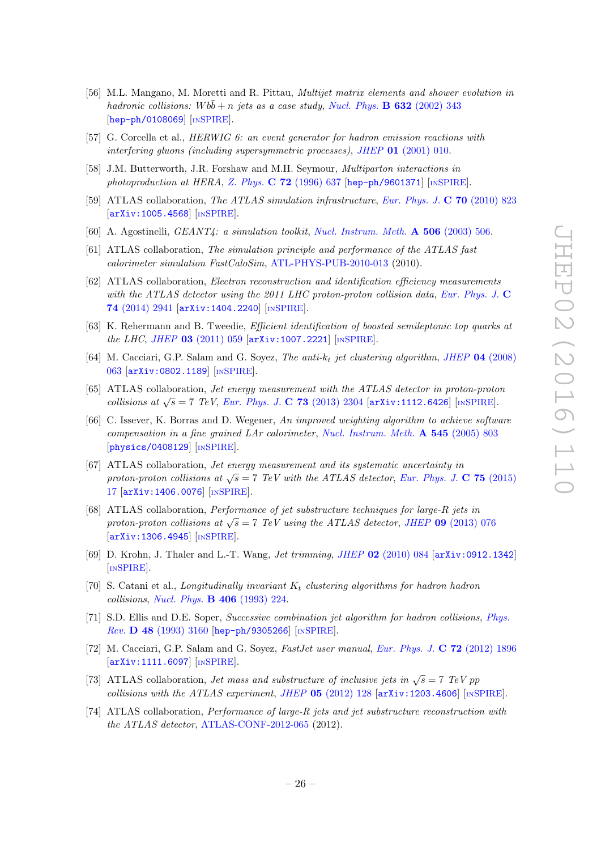- <span id="page-27-0"></span>[56] M.L. Mangano, M. Moretti and R. Pittau, *Multijet matrix elements and shower evolution in* hadronic collisions:  $Wb\bar{b} + n$  jets as a case study, [Nucl. Phys.](http://dx.doi.org/10.1016/S0550-3213(02)00249-3) **B** 632 (2002) 343 [[hep-ph/0108069](http://arxiv.org/abs/hep-ph/0108069)] [IN[SPIRE](http://inspirehep.net/search?p=find+EPRINT+hep-ph/0108069)].
- <span id="page-27-1"></span>[57] G. Corcella et al., HERWIG 6: an event generator for hadron emission reactions with interfering gluons (including supersymmetric processes), JHEP 01 [\(2001\) 010](http://dx.doi.org/10.1088/1126-6708/2001/01/010).
- <span id="page-27-2"></span>[58] J.M. Butterworth, J.R. Forshaw and M.H. Seymour, Multiparton interactions in photoproduction at HERA, Z. Phys.  $C$  72 [\(1996\) 637](http://dx.doi.org/10.1007/s002880050286) [[hep-ph/9601371](http://arxiv.org/abs/hep-ph/9601371)] [IN[SPIRE](http://inspirehep.net/search?p=find+EPRINT+hep-ph/9601371)].
- <span id="page-27-3"></span>[59] ATLAS collaboration, The ATLAS simulation infrastructure, [Eur. Phys. J.](http://dx.doi.org/10.1140/epjc/s10052-010-1429-9) C 70 (2010) 823 [[arXiv:1005.4568](http://arxiv.org/abs/1005.4568)] [IN[SPIRE](http://inspirehep.net/search?p=find+EPRINT+arXiv:1005.4568)].
- [60] A. Agostinelli, *GEANT4*: a simulation toolkit, *[Nucl. Instrum. Meth.](http://dx.doi.org/10.1016/S0168-9002(03)01368-8)* A 506 (2003) 506.
- [61] ATLAS collaboration, The simulation principle and performance of the ATLAS fast calorimeter simulation FastCaloSim , [ATL-PHYS-PUB-2010-013](http://cds.cern.ch/record/1300517) (2010).
- <span id="page-27-4"></span>[62] ATLAS collaboration, Electron reconstruction and identification efficiency measurements with the ATLAS detector using the 2011 LHC proton-proton collision data, [Eur. Phys. J.](http://dx.doi.org/10.1140/epjc/s10052-014-2941-0) C 74 [\(2014\) 2941](http://dx.doi.org/10.1140/epjc/s10052-014-2941-0) [[arXiv:1404.2240](http://arxiv.org/abs/1404.2240)] [IN[SPIRE](http://inspirehep.net/search?p=find+EPRINT+arXiv:1404.2240)].
- <span id="page-27-5"></span>[63] K. Rehermann and B. Tweedie, Efficient identification of boosted semileptonic top quarks at the LHC, JHEP  $03$  [\(2011\) 059](http://dx.doi.org/10.1007/JHEP03(2011)059) [[arXiv:1007.2221](http://arxiv.org/abs/1007.2221)] [IN[SPIRE](http://inspirehep.net/search?p=find+EPRINT+arXiv:1007.2221)].
- <span id="page-27-6"></span>[64] M. Cacciari, G.P. Salam and G. Soyez, The anti- $k_t$  jet clustering algorithm, JHEP 04 [\(2008\)](http://dx.doi.org/10.1088/1126-6708/2008/04/063) [063](http://dx.doi.org/10.1088/1126-6708/2008/04/063) [[arXiv:0802.1189](http://arxiv.org/abs/0802.1189)] [IN[SPIRE](http://inspirehep.net/search?p=find+EPRINT+arXiv:0802.1189)].
- [65] ATLAS collaboration, Jet energy measurement with the ATLAS detector in proton-proton collisions at  $\sqrt{s} = 7$  TeV, [Eur. Phys. J.](http://dx.doi.org/10.1140/epjc/s10052-013-2304-2) C 73 (2013) 2304 [[arXiv:1112.6426](http://arxiv.org/abs/1112.6426)] [IN[SPIRE](http://inspirehep.net/search?p=find+EPRINT+arXiv:1112.6426)].
- <span id="page-27-7"></span>[66] C. Issever, K. Borras and D. Wegener, An improved weighting algorithm to achieve software compensation in a fine grained LAr calorimeter , [Nucl. Instrum. Meth.](http://dx.doi.org/10.1016/j.nima.2005.02.010) A 545 (2005) 803 [[physics/0408129](http://arxiv.org/abs/physics/0408129)] [IN[SPIRE](http://inspirehep.net/search?p=find+EPRINT+physics/0408129)].
- <span id="page-27-9"></span><span id="page-27-8"></span>[67] ATLAS collaboration, Jet energy measurement and its systematic uncertainty in proton-proton collisions at  $\sqrt{s} = 7$  TeV with the ATLAS detector, [Eur. Phys. J.](http://dx.doi.org/10.1140/epjc/s10052-014-3190-y) C 75 (2015) [17](http://dx.doi.org/10.1140/epjc/s10052-014-3190-y) [[arXiv:1406.0076](http://arxiv.org/abs/1406.0076)] [IN[SPIRE](http://inspirehep.net/search?p=find+EPRINT+arXiv:1406.0076)].
- <span id="page-27-10"></span>[68] ATLAS collaboration, Performance of jet substructure techniques for large-R jets in proton-proton collisions at  $\sqrt{s} = 7$  TeV using the ATLAS detector, JHEP 09 [\(2013\) 076](http://dx.doi.org/10.1007/JHEP09(2013)076) [[arXiv:1306.4945](http://arxiv.org/abs/1306.4945)] [IN[SPIRE](http://inspirehep.net/search?p=find+EPRINT+arXiv:1306.4945)].
- <span id="page-27-12"></span><span id="page-27-11"></span>[69] D. Krohn, J. Thaler and L.-T. Wang, *Jet trimming*, *JHEP* 02 [\(2010\) 084](http://dx.doi.org/10.1007/JHEP02(2010)084) [[arXiv:0912.1342](http://arxiv.org/abs/0912.1342)] [IN[SPIRE](http://inspirehep.net/search?p=find+EPRINT+arXiv:0912.1342)].
- <span id="page-27-13"></span>[70] S. Catani et al., Longitudinally invariant  $K_t$  clustering algorithms for hadron hadron collisions, [Nucl. Phys.](http://dx.doi.org/10.1016/0550-3213(93)90166-M) **B 406** (1993) 224.
- <span id="page-27-14"></span>[71] S.D. Ellis and D.E. Soper, Successive combination jet algorithm for hadron collisions, [Phys.](http://dx.doi.org/10.1103/PhysRevD.48.3160) Rev. D 48 [\(1993\) 3160](http://dx.doi.org/10.1103/PhysRevD.48.3160) [[hep-ph/9305266](http://arxiv.org/abs/hep-ph/9305266)] [IN[SPIRE](http://inspirehep.net/search?p=find+EPRINT+hep-ph/9305266)].
- <span id="page-27-15"></span>[72] M. Cacciari, G.P. Salam and G. Soyez, *FastJet user manual, [Eur. Phys. J.](http://dx.doi.org/10.1140/epjc/s10052-012-1896-2)* C 72 (2012) 1896 [[arXiv:1111.6097](http://arxiv.org/abs/1111.6097)] [IN[SPIRE](http://inspirehep.net/search?p=find+EPRINT+arXiv:1111.6097)].
- [73] ATLAS collaboration, *Jet mass and substructure of inclusive jets in*  $\sqrt{s} = 7$  TeV pp collisions with the ATLAS experiment, JHEP  $05$  [\(2012\) 128](http://dx.doi.org/10.1007/JHEP05(2012)128) [[arXiv:1203.4606](http://arxiv.org/abs/1203.4606)] [IN[SPIRE](http://inspirehep.net/search?p=find+EPRINT+arXiv:1203.4606)].
- <span id="page-27-16"></span>[74] ATLAS collaboration, Performance of large-R jets and jet substructure reconstruction with the ATLAS detector, [ATLAS-CONF-2012-065](http://cds.cern.ch/record/1459530) (2012).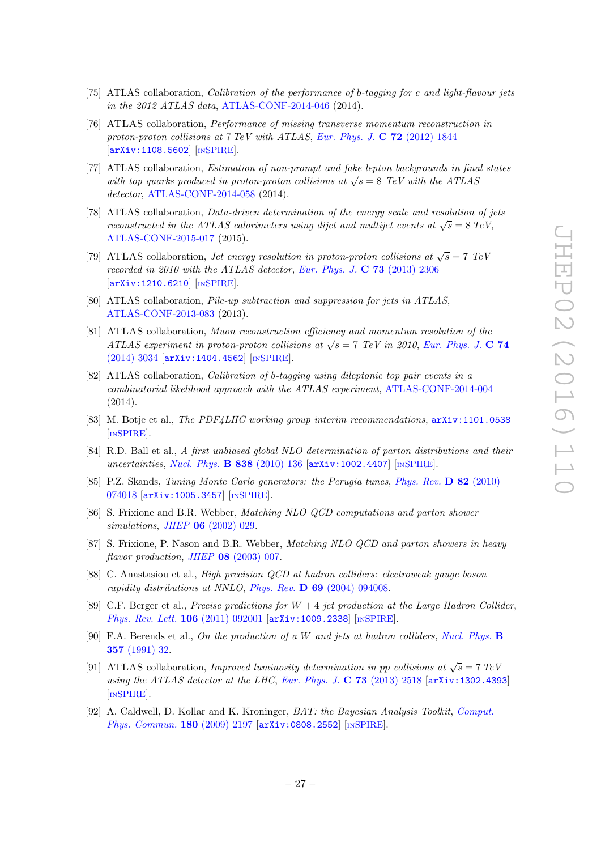- <span id="page-28-1"></span>[75] ATLAS collaboration, Calibration of the performance of b-tagging for c and light-flavour jets in the 2012 ATLAS data , [ATLAS-CONF-2014-046](http://cds.cern.ch/record/1741020) (2014).
- <span id="page-28-0"></span>[76] ATLAS collaboration, Performance of missing transverse momentum reconstruction in proton-proton collisions at  $7 \text{ TeV}$  with ATLAS, [Eur. Phys. J.](http://dx.doi.org/10.1140/epjc/s10052-011-1844-6)  $\bf{C}$  72 (2012) 1844 [[arXiv:1108.5602](http://arxiv.org/abs/1108.5602)] [IN[SPIRE](http://inspirehep.net/search?p=find+EPRINT+arXiv:1108.5602)].
- <span id="page-28-2"></span>[77] ATLAS collaboration, Estimation of non-prompt and fake lepton backgrounds in final states with top quarks produced in proton-proton collisions at  $\sqrt{s} = 8$  TeV with the ATLAS detector , [ATLAS-CONF-2014-058](http://cds.cern.ch/record/1951336) (2014).
- [78] ATLAS collaboration, Data-driven determination of the energy scale and resolution of jets reconstructed in the ATLAS calorimeters using dijet and multijet events at  $\sqrt{s} = 8 \text{ TeV}$ , [ATLAS-CONF-2015-017](http://cdsweb.cern.ch/record/2008678) (2015).
- [79] ATLAS collaboration, *Jet energy resolution in proton-proton collisions at*  $\sqrt{s} = 7$  TeV recorded in 2010 with the ATLAS detector, [Eur. Phys. J.](http://dx.doi.org/10.1140/epjc/s10052-013-2306-0)  $\bf{C}$  **73** (2013) 2306 [[arXiv:1210.6210](http://arxiv.org/abs/1210.6210)] [IN[SPIRE](http://inspirehep.net/search?p=find+EPRINT+arXiv:1210.6210)].
- [80] ATLAS collaboration, Pile-up subtraction and suppression for jets in ATLAS , [ATLAS-CONF-2013-083](http://cds.cern.ch/record/1570994) (2013).
- [81] ATLAS collaboration, Muon reconstruction efficiency and momentum resolution of the ATLAS experiment in proton-proton collisions at  $\sqrt{s} = 7$  TeV in 2010, [Eur. Phys. J.](http://dx.doi.org/10.1140/epjc/s10052-014-3034-9) C 74 [\(2014\) 3034](http://dx.doi.org/10.1140/epjc/s10052-014-3034-9) [[arXiv:1404.4562](http://arxiv.org/abs/1404.4562)] [IN[SPIRE](http://inspirehep.net/search?p=find+EPRINT+arXiv:1404.4562)].
- [82] ATLAS collaboration, *Calibration of b-tagging using dileptonic top pair events in a* combinatorial likelihood approach with the ATLAS experiment , [ATLAS-CONF-2014-004](http://cds.cern.ch/record/1664335) (2014).
- [83] M. Botje et al., *The PDF4LHC working group interim recommendations*,  $arXiv:1101.0538$ [IN[SPIRE](http://inspirehep.net/search?p=find+EPRINT+arXiv:1101.0538)].
- [84] R.D. Ball et al., A first unbiased global NLO determination of parton distributions and their uncertainties, [Nucl. Phys.](http://dx.doi.org/10.1016/j.nuclphysb.2010.05.008) **B 838** (2010) 136 [[arXiv:1002.4407](http://arxiv.org/abs/1002.4407)] [IN[SPIRE](http://inspirehep.net/search?p=find+EPRINT+arXiv:1002.4407)].
- [85] P.Z. Skands, Tuning Monte Carlo generators: the Perugia tunes, [Phys. Rev.](http://dx.doi.org/10.1103/PhysRevD.82.074018) D 82 (2010) [074018](http://dx.doi.org/10.1103/PhysRevD.82.074018) [[arXiv:1005.3457](http://arxiv.org/abs/1005.3457)] [IN[SPIRE](http://inspirehep.net/search?p=find+EPRINT+arXiv:1005.3457)].
- [86] S. Frixione and B.R. Webber, Matching NLO QCD computations and parton shower simulations, JHEP **06** [\(2002\) 029](http://dx.doi.org/10.1088/1126-6708/2002/06/029).
- [87] S. Frixione, P. Nason and B.R. Webber, *Matching NLO QCD and parton showers in heavy*  $flavor\ production, JHEP$  08 [\(2003\) 007](http://dx.doi.org/10.1088/1126-6708/2003/08/007).
- [88] C. Anastasiou et al., High precision QCD at hadron colliders: electroweak gauge boson rapidity distributions at NNLO, Phys. Rev.  $\bf{D}$  69 [\(2004\) 094008](http://dx.doi.org/10.1103/PhysRevD.69.094008).
- [89] C.F. Berger et al., *Precise predictions for*  $W + 4$  *jet production at the Large Hadron Collider*, [Phys. Rev. Lett.](http://dx.doi.org/10.1103/PhysRevLett.106.092001) 106 (2011) 092001 [[arXiv:1009.2338](http://arxiv.org/abs/1009.2338)] [IN[SPIRE](http://inspirehep.net/search?p=find+EPRINT+arXiv:1009.2338)].
- [90] F.A. Berends et al., On the production of a W and jets at hadron colliders, [Nucl. Phys.](http://dx.doi.org/10.1016/0550-3213(91)90458-A) B 357 [\(1991\) 32](http://dx.doi.org/10.1016/0550-3213(91)90458-A) .
- [91] ATLAS collaboration, *Improved luminosity determination in pp collisions at*  $\sqrt{s} = 7 \text{ TeV}$ using the ATLAS detector at the LHC, [Eur. Phys. J.](http://dx.doi.org/10.1140/epjc/s10052-013-2518-3)  $C$  73 (2013) 2518 [[arXiv:1302.4393](http://arxiv.org/abs/1302.4393)] [IN[SPIRE](http://inspirehep.net/search?p=find+EPRINT+arXiv:1302.4393)].
- [92] A. Caldwell, D. Kollar and K. Kroninger, *BAT: the Bayesian Analysis Toolkit, [Comput.](http://dx.doi.org/10.1016/j.cpc.2009.06.026)* [Phys. Commun.](http://dx.doi.org/10.1016/j.cpc.2009.06.026) 180 (2009) 2197 [[arXiv:0808.2552](http://arxiv.org/abs/0808.2552)] [IN[SPIRE](http://inspirehep.net/search?p=find+EPRINT+arXiv:0808.2552)].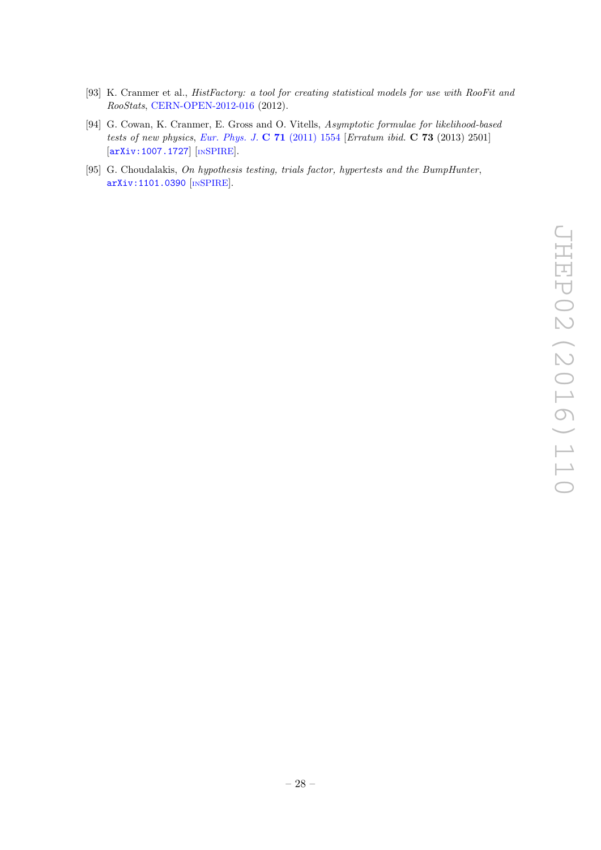- [93] K. Cranmer et al., HistFactory: a tool for creating statistical models for use with RooFit and RooStats , [CERN-OPEN-2012-016](http://cds.cern.ch/record/1456844) (2012).
- <span id="page-29-0"></span>[94] G. Cowan, K. Cranmer, E. Gross and O. Vitells, Asymptotic formulae for likelihood-based tests of new physics, [Eur. Phys. J.](http://dx.doi.org/10.1140/epjc/s10052-011-1554-0)  $C$  71 (2011) 1554 [Erratum ibid.  $C$  73 (2013) 2501] [[arXiv:1007.1727](http://arxiv.org/abs/1007.1727)] [IN[SPIRE](http://inspirehep.net/search?p=find+EPRINT+arXiv:1007.1727)].
- [95] G. Choudalakis, On hypothesis testing, trials factor, hypertests and the BumpHunter, [arXiv:1101.0390](http://arxiv.org/abs/1101.0390) [IN[SPIRE](http://inspirehep.net/search?p=find+EPRINT+arXiv:1101.0390)].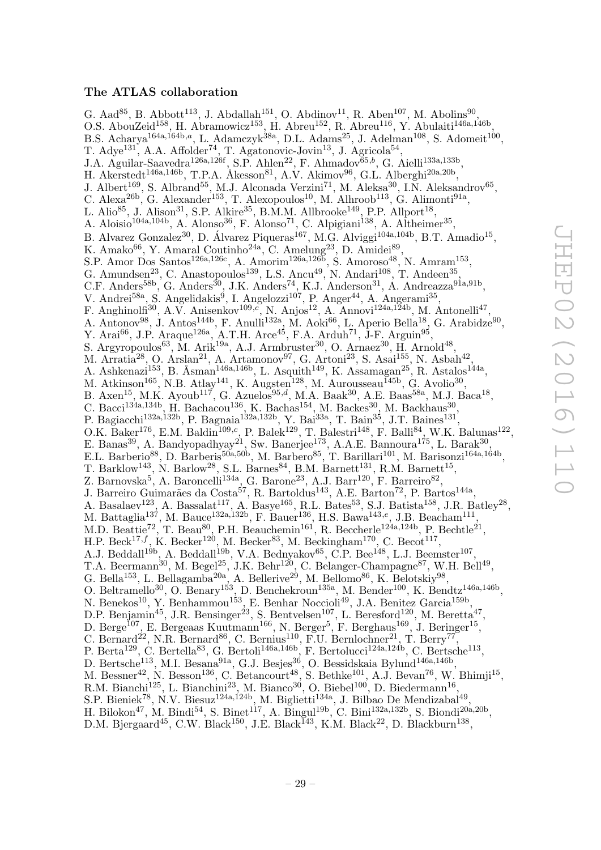#### The ATLAS collaboration

G. Aad<sup>85</sup>, B. Abbott<sup>113</sup>, J. Abdallah<sup>151</sup>, O. Abdinov<sup>11</sup>, R. Aben<sup>107</sup>, M. Abolins<sup>90</sup>, O.S. AbouZeid<sup>158</sup>, H. Abramowicz<sup>153</sup>, H. Abreu<sup>152</sup>, R. Abreu<sup>116</sup>, Y. Abulaiti<sup>146a,146b</sup>, B.S. Acharya<sup>164a,164b,a</sup>, L. Adamczyk<sup>38a</sup>, D.L. Adams<sup>25</sup>, J. Adelman<sup>108</sup>, S. Adomeit<sup>100</sup>, T. Adye<sup>131</sup>, A.A. Affolder<sup>74</sup>, T. Agatonovic-Jovin<sup>13</sup>, J. Agricola<sup>54</sup>, J.A. Aguilar-Saavedra<sup>126a,126f</sup>, S.P. Ahlen<sup>22</sup>, F. Ahmadov<sup>65,b</sup>, G. Aielli<sup>133a,133b</sup>, H. Akerstedt<sup>146a,146b</sup>, T.P.A. Åkesson<sup>81</sup>, A.V. Akimov<sup>96</sup>, G.L. Alberghi<sup>20a,20b</sup>, J. Albert<sup>169</sup>, S. Albrand<sup>55</sup>, M.J. Alconada Verzini<sup>71</sup>, M. Aleksa<sup>30</sup>, I.N. Aleksandrov<sup>65</sup>, C. Alexa<sup>26b</sup>, G. Alexander<sup>153</sup>, T. Alexopoulos<sup>10</sup>, M. Alhroob<sup>113</sup>, G. Alimonti<sup>91a</sup>, L. Alio $^{85}$ , J. Alison $^{31}$ , S.P. Alkire $^{35}$ , B.M.M. Allbrooke $^{149}$ , P.P. Allport $^{18}$ , A. Aloisio<sup>104a,104b</sup>, A. Alonso<sup>36</sup>, F. Alonso<sup>71</sup>, C. Alpigiani<sup>138</sup>, A. Altheimer<sup>35</sup>, B. Alvarez Gonzalez<sup>30</sup>, D. Álvarez Piqueras<sup>167</sup>, M.G. Alviggi<sup>104a,104b</sup>, B.T. Amadio<sup>15</sup>, K. Amako $^{66}$ , Y. Amaral Coutinho<sup>24a</sup>, C. Amelung<sup>23</sup>, D. Amidei<sup>89</sup>, S.P. Amor Dos Santos<sup>126a,126c</sup>, A. Amorim<sup>126a,126b</sup>, S. Amoroso<sup>48</sup>, N. Amram<sup>153</sup>, G. Amundsen<sup>23</sup>, C. Anastopoulos<sup>139</sup>, L.S. Ancu<sup>49</sup>, N. Andari<sup>108</sup>, T. Andeen<sup>35</sup>, C.F. Anders<sup>58b</sup>, G. Anders<sup>30</sup>, J.K. Anders<sup>74</sup>, K.J. Anderson<sup>31</sup>, A. Andreazza<sup>91a,91b</sup>, V. Andrei<sup>58a</sup>, S. Angelidakis<sup>9</sup>, I. Angelozzi<sup>107</sup>, P. Anger<sup>44</sup>, A. Angerami<sup>35</sup>, F. Anghinolfi<sup>30</sup>, A.V. Anisenkov<sup>109,c</sup>, N. Anjos<sup>12</sup>, A. Annovi<sup>124a,124b</sup>, M. Antonelli<sup>47</sup>, A. Antonov $^{98}$ , J. Antos<sup>144b</sup>, F. Anulli<sup>132a</sup>, M. Aoki<sup>66</sup>, L. Aperio Bella<sup>18</sup>, G. Arabidze<sup>90</sup>, Y. Arai<sup>66</sup>, J.P. Araque<sup>126a</sup>, A.T.H. Arce<sup>45</sup>, F.A. Arduh<sup>71</sup>, J-F. Arguin<sup>95</sup>, S. Argyropoulos<sup>63</sup>, M. Arik<sup>19a</sup>, A.J. Armbruster<sup>30</sup>, O. Arnaez<sup>30</sup>, H. Arnold<sup>48</sup>, M. Arratia<sup>28</sup>, O. Arslan<sup>21</sup>, A. Artamonov<sup>97</sup>, G. Artoni<sup>23</sup>, S. Asai<sup>155</sup>, N. Asbah<sup>42</sup>, A. Ashkenazi<sup>153</sup>, B. Åsman<sup>146a,146b</sup>, L. Asquith<sup>149</sup>, K. Assamagan<sup>25</sup>, R. Astalos<sup>144a</sup>, M. Atkinson<sup>165</sup>, N.B. Atlay<sup>141</sup>, K. Augsten<sup>128</sup>, M. Aurousseau<sup>145b</sup>, G. Avolio<sup>30</sup>, B. Axen<sup>15</sup>, M.K. Ayoub<sup>117</sup>, G. Azuelos<sup>95,d</sup>, M.A. Baak<sup>30</sup>, A.E. Baas<sup>58a</sup>, M.J. Baca<sup>18</sup>, C. Bacci<sup>134a,134b</sup>, H. Bachacou<sup>136</sup>, K. Bachas<sup>154</sup>, M. Backes<sup>30</sup>, M. Backhaus<sup>30</sup>, P. Bagiacchi<sup>132a,132b</sup>, P. Bagnaia<sup>132a,132b</sup>, Y. Bai<sup>33a</sup>, T. Bain<sup>35</sup>, J.T. Baines<sup>131</sup>, O.K. Baker<sup>176</sup>, E.M. Baldin<sup>109,c</sup>, P. Balek<sup>129</sup>, T. Balestri<sup>148</sup>, F. Balli<sup>84</sup>, W.K. Balunas<sup>122</sup>, E. Banas<sup>39</sup>, A. Bandyopadhyay<sup>21</sup>, Sw. Banerjee<sup>173</sup>, A.A.E. Bannoura<sup>175</sup>, L. Barak<sup>30</sup>, E.L. Barberio<sup>88</sup>, D. Barberis<sup>50a,50b</sup>, M. Barbero<sup>85</sup>, T. Barillari<sup>101</sup>, M. Barisonzi<sup>164a,164b</sup>, T. Barklow<sup>143</sup>, N. Barlow<sup>28</sup>, S.L. Barnes<sup>84</sup>, B.M. Barnett<sup>131</sup>, R.M. Barnett<sup>15</sup>, Z. Barnovska<sup>5</sup>, A. Baroncelli<sup>134a</sup>, G. Barone<sup>23</sup>, A.J. Barr<sup>120</sup>, F. Barreiro<sup>82</sup>, J. Barreiro Guimarães da Costa<sup>57</sup>, R. Bartoldus<sup>143</sup>, A.E. Barton<sup>72</sup>, P. Bartos<sup>144a</sup>, A. Basalaev<sup>123</sup>, A. Bassalat<sup>117</sup>, A. Basye<sup>165</sup>, R.L. Bates<sup>53</sup>, S.J. Batista<sup>158</sup>, J.R. Batley<sup>28</sup>, M. Battaglia<sup>137</sup>, M. Bauce<sup>132a,132b</sup>, F. Bauer<sup>136</sup>, H.S. Bawa<sup>143,e</sup>, J.B. Beacham<sup>111</sup>, M.D. Beattie<sup>72</sup>, T. Beau<sup>80</sup>, P.H. Beauchemin<sup>161</sup>, R. Beccherle<sup>124a,124b</sup>, P. Bechtle<sup>21</sup>, H.P. Beck<sup>17,f</sup>, K. Becker<sup>120</sup>, M. Becker<sup>83</sup>, M. Beckingham<sup>170</sup>, C. Becot<sup>117</sup>, A.J. Beddall<sup>19b</sup>, A. Beddall<sup>19b</sup>, V.A. Bednyakov<sup>65</sup>, C.P. Bee<sup>148</sup>, L.J. Beemster<sup>107</sup>, T.A. Beermann<sup>30</sup>, M. Begel<sup>25</sup>, J.K. Behr<sup>120</sup>, C. Belanger-Champagne<sup>87</sup>, W.H. Bell<sup>49</sup>, G. Bella<sup>153</sup>, L. Bellagamba<sup>20a</sup>, A. Bellerive<sup>29</sup>, M. Bellomo<sup>86</sup>, K. Belotskiy<sup>98</sup>, O. Beltramello<sup>30</sup>, O. Benary<sup>153</sup>, D. Benchekroun<sup>135a</sup>, M. Bender<sup>100</sup>, K. Bendtz<sup>146a,146b</sup>, N. Benekos<sup>10</sup>, Y. Benhammou<sup>153</sup>, E. Benhar Noccioli<sup>49</sup>, J.A. Benitez Garcia<sup>159b</sup>, D.P. Benjamin<sup>45</sup>, J.R. Bensinger<sup>23</sup>, S. Bentvelsen<sup>107</sup>, L. Beresford<sup>120</sup>, M. Beretta<sup>47</sup>, D. Berge<sup>107</sup>, E. Bergeaas Kuutmann<sup>166</sup>, N. Berger<sup>5</sup>, F. Berghaus<sup>169</sup>, J. Beringer<sup>15</sup>, C. Bernard<sup>22</sup>, N.R. Bernard<sup>86</sup>, C. Bernius<sup>110</sup>, F.U. Bernlochner<sup>21</sup>, T. Berry<sup>77</sup>, P. Berta<sup>129</sup>, C. Bertella<sup>83</sup>, G. Bertoli<sup>146a,146b</sup>, F. Bertolucci<sup>124a,124b</sup>, C. Bertsche<sup>113</sup>, D. Bertsche<sup>113</sup>, M.I. Besana<sup>91a</sup>, G.J. Besjes<sup>36</sup>, O. Bessidskaia Bylund<sup>146a,146b</sup>, M. Bessner<sup>42</sup>, N. Besson<sup>136</sup>, C. Betancourt<sup>48</sup>, S. Bethke<sup>101</sup>, A.J. Bevan<sup>76</sup>, W. Bhimji<sup>15</sup>, R.M. Bianchi<sup>125</sup>, L. Bianchini<sup>23</sup>, M. Bianco<sup>30</sup>, O. Biebel<sup>100</sup>, D. Biedermann<sup>16</sup>, S.P. Bieniek<sup>78</sup>, N.V. Biesuz<sup>124a,124b</sup>, M. Biglietti<sup>134a</sup>, J. Bilbao De Mendizabal<sup>49</sup>, H. Bilokon<sup>47</sup>, M. Bindi<sup>54</sup>, S. Binet<sup>117</sup>, A. Bingul<sup>19b</sup>, C. Bini<sup>132a,132b</sup>, S. Biondi<sup>20a,20b</sup>, D.M. Bjergaard<sup>45</sup>, C.W. Black<sup>150</sup>, J.E. Black<sup>143</sup>, K.M. Black<sup>22</sup>, D. Blackburn<sup>138</sup>,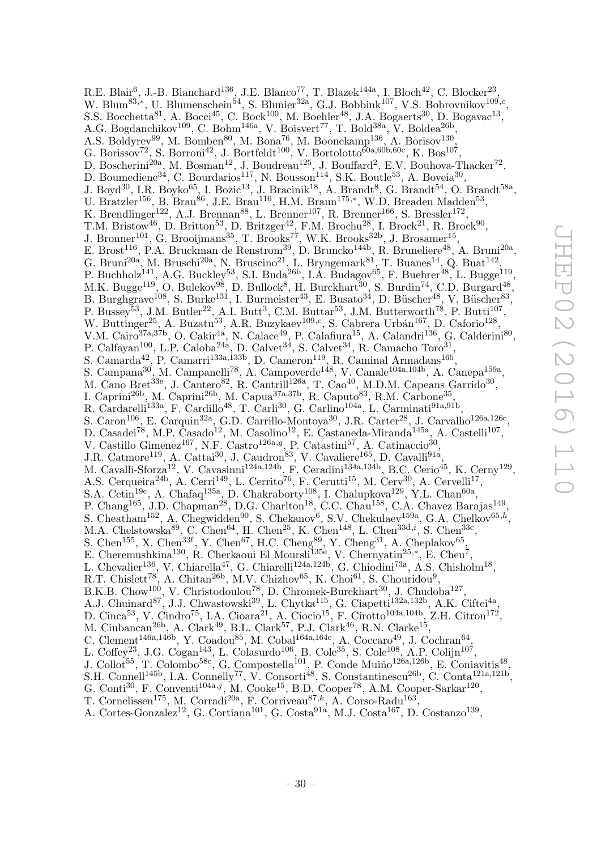R.E. Blair<sup>6</sup>, J.-B. Blanchard<sup>136</sup>, J.E. Blanco<sup>77</sup>, T. Blazek<sup>144a</sup>, I. Bloch<sup>42</sup>, C. Blocker<sup>23</sup>, W. Blum<sup>83,\*</sup>, U. Blumenschein<sup>54</sup>, S. Blunier<sup>32a</sup>, G.J. Bobbink<sup>107</sup>, V.S. Bobrovnikov<sup>109,c</sup>, S.S. Bocchetta<sup>81</sup>, A. Bocci<sup>45</sup>, C. Bock<sup>100</sup>, M. Boehler<sup>48</sup>, J.A. Bogaerts<sup>30</sup>, D. Bogavac<sup>13</sup>, A.G. Bogdanchikov<sup>109</sup>, C. Bohm<sup>146a</sup>, V. Boisvert<sup>77</sup>, T. Bold<sup>38a</sup>, V. Boldea<sup>26b</sup>, A.S. Boldyrev<sup>99</sup>, M. Bomben<sup>80</sup>, M. Bona<sup>76</sup>, M. Boonekamp<sup>136</sup>, A. Borisov<sup>130</sup>, G. Borissov<sup>72</sup>, S. Borroni<sup>42</sup>, J. Bortfeldt<sup>100</sup>, V. Bortolotto<sup>60a,60b,60c</sup>, K. Bos<sup>107</sup>, D. Boscherini<sup>20a</sup>, M. Bosman<sup>12</sup>, J. Boudreau<sup>125</sup>, J. Bouffard<sup>2</sup>, E.V. Bouhova-Thacker<sup>72</sup>, D. Boumediene<sup>34</sup>, C. Bourdarios<sup>117</sup>, N. Bousson<sup>114</sup>, S.K. Boutle<sup>53</sup>, A. Boveia<sup>30</sup>, J. Boyd<sup>30</sup>, I.R. Boyko<sup>65</sup>, I. Bozic<sup>13</sup>, J. Bracinik<sup>18</sup>, A. Brandt<sup>8</sup>, G. Brandt<sup>54</sup>, O. Brandt<sup>58a</sup>, U. Bratzler<sup>156</sup>, B. Brau<sup>86</sup>, J.E. Brau<sup>116</sup>, H.M. Braun<sup>175,\*</sup>, W.D. Breaden Madden<sup>53</sup>, K. Brendlinger<sup>122</sup>, A.J. Brennan<sup>88</sup>, L. Brenner<sup>107</sup>, R. Brenner<sup>166</sup>, S. Bressler<sup>172</sup>, T.M. Bristow<sup>46</sup>, D. Britton<sup>53</sup>, D. Britzger<sup>42</sup>, F.M. Brochu<sup>28</sup>, I. Brock<sup>21</sup>, R. Brock<sup>90</sup>, J. Bronner<sup>101</sup>, G. Brooijmans<sup>35</sup>, T. Brooks<sup>77</sup>, W.K. Brooks<sup>32b</sup>, J. Brosamer<sup>15</sup>, E. Brost<sup>116</sup>, P.A. Bruckman de Renstrom<sup>39</sup>, D. Bruncko<sup>144b</sup>, R. Bruneliere<sup>48</sup>, A. Bruni<sup>20a</sup>, G. Bruni<sup>20a</sup>, M. Bruschi<sup>20a</sup>, N. Bruscino<sup>21</sup>, L. Bryngemark<sup>81</sup>, T. Buanes<sup>14</sup>, Q. Buat<sup>142</sup>, P. Buchholz<sup>141</sup>, A.G. Buckley<sup>53</sup>, S.I. Buda<sup>26b</sup>, I.A. Budagov<sup>65</sup>, F. Buehrer<sup>48</sup>, L. Bugge<sup>119</sup>, M.K. Bugge<sup>119</sup>, O. Bulekov<sup>98</sup>, D. Bullock<sup>8</sup>, H. Burckhart<sup>30</sup>, S. Burdin<sup>74</sup>, C.D. Burgard<sup>48</sup>, B. Burghgrave<sup>108</sup>, S. Burke<sup>131</sup>, I. Burmeister<sup>43</sup>, E. Busato<sup>34</sup>, D. Büscher<sup>48</sup>, V. Büscher<sup>83</sup>, P. Buscher<sup>83</sup>, P. Buscher<sup>83</sup>, P. Buscher<sup>83</sup>, P. Buscher<sup>83</sup>, P. Butti<sup>107</sup>, P. Bussey<sup>53</sup>, J.M. Butler<sup>22</sup>, A.I. Butt<sup>3</sup>, C.M. Buttar<sup>53</sup>, J.M. Butterworth<sup>78</sup>, P. Butti<sup>107</sup>, W. Buttinger<sup>25</sup>, A. Buzatu<sup>53</sup>, A.R. Buzykaev<sup>109, c</sup>, S. Cabrera Urbán<sup>167</sup>, D. Caforio<sup>128</sup>, V.M. Cairo<sup>37a,37b</sup>, O. Cakir<sup>4a</sup>, N. Calace<sup>49</sup>, P. Calafiura<sup>15</sup>, A. Calandri<sup>136</sup>, G. Calderini<sup>80</sup>, P. Calfayan<sup>100</sup>, L.P. Caloba<sup>24a</sup>, D. Calvet<sup>34</sup>, S. Calvet<sup>34</sup>, R. Camacho Toro<sup>31</sup>, S. Camarda<sup>42</sup>, P. Camarri<sup>133a, 133b</sup>, D. Cameron<sup>119</sup>, R. Caminal Armadans<sup>165</sup>, S. Campana<sup>30</sup>, M. Campanelli<sup>78</sup>, A. Campoverde<sup>148</sup>, V. Canale<sup>104a,104b</sup>, A. Canepa<sup>159a</sup>, M. Cano Bret<sup>33e</sup>, J. Cantero<sup>82</sup>, R. Cantrill<sup>126a</sup>, T. Cao<sup>40</sup>, M.D.M. Capeans Garrido<sup>30</sup>, I. Caprini<sup>26b</sup>, M. Caprini<sup>26b</sup>, M. Capua<sup>37a,37b</sup>, R. Caputo<sup>83</sup>, R.M. Carbone<sup>35</sup>, R. Cardarelli<sup>133a</sup>, F. Cardillo<sup>48</sup>, T. Carli<sup>30</sup>, G. Carlino<sup>104a</sup>, L. Carminati<sup>91a,91b</sup>, S. Caron<sup>106</sup>, E. Carquin<sup>32a</sup>, G.D. Carrillo-Montoya<sup>30</sup>, J.R. Carter<sup>28</sup>, J. Carvalho<sup>126a,126c</sup>, D. Casadei<sup>78</sup>, M.P. Casado<sup>12</sup>, M. Casolino<sup>12</sup>, E. Castaneda-Miranda<sup>145a</sup>, A. Castelli<sup>107</sup>, V. Castillo Gimenez<sup>167</sup>, N.F. Castro<sup>126a,g</sup>, P. Catastini<sup>57</sup>, A. Catinaccio<sup>30</sup>, J.R. Catmore<sup>119</sup>, A. Cattai<sup>30</sup>, J. Caudron<sup>83</sup>, V. Cavaliere<sup>165</sup>, D. Cavalli<sup>91a</sup>, M. Cavalli-Sforza<sup>12</sup>, V. Cavasinni<sup>124a,124b</sup>, F. Ceradini<sup>134a,134b</sup>, B.C. Cerio<sup>45</sup>, K. Cerny<sup>129</sup>, A.S. Cerqueira<sup>24b</sup>, A. Cerri<sup>149</sup>, L. Cerrito<sup>76</sup>, F. Cerutti<sup>15</sup>, M. Cerv<sup>30</sup>, A. Cervelli<sup>17</sup>, S.A. Cetin<sup>19c</sup>, A. Chafaq<sup>135a</sup>, D. Chakraborty<sup>108</sup>, I. Chalupkova<sup>129</sup>, Y.L. Chan<sup>60a</sup>, P. Chang<sup>165</sup>, J.D. Chapman<sup>28</sup>, D.G. Charlton<sup>18</sup>, C.C. Chau<sup>158</sup>, C.A. Chavez Barajas<sup>149</sup>, S. Cheatham<sup>152</sup>, A. Chegwidden<sup>90</sup>, S. Chekanov<sup>6</sup>, S.V. Chekulaev<sup>159a</sup>, G.A. Chelkov<sup>65,h</sup>, M.A. Chelstowska<sup>89</sup>, C. Chen<sup>64</sup>, H. Chen<sup>25</sup>, K. Chen<sup>148</sup>, L. Chen<sup>33d,i</sup>, S. Chen<sup>33c</sup>, S. Chen<sup>155</sup>, X. Chen<sup>33f</sup>, Y. Chen<sup>67</sup>, H.C. Cheng<sup>89</sup>, Y. Cheng<sup>31</sup>, A. Cheplakov<sup>65</sup>, E. Cheremushkina<sup>130</sup>, R. Cherkaoui El Moursli<sup>135e</sup>, V. Chernyatin<sup>25,\*</sup>, E. Cheu<sup>7</sup>, L. Chevalier<sup>136</sup>, V. Chiarella<sup>47</sup>, G. Chiarelli<sup>124a,124b</sup>, G. Chiodini<sup>73a</sup>, A.S. Chisholm<sup>18</sup>, R.T. Chislett<sup>78</sup>, A. Chitan<sup>26b</sup>, M.V. Chizhov<sup>65</sup>, K. Choi<sup>61</sup>, S. Chouridou<sup>9</sup>, B.K.B. Chow<sup>100</sup>, V. Christodoulou<sup>78</sup>, D. Chromek-Burckhart<sup>30</sup>, J. Chudoba<sup>127</sup>, A.J. Chuinard<sup>87</sup>, J.J. Chwastowski<sup>39</sup>, L. Chytka<sup>115</sup>, G. Ciapetti<sup>132a,132b</sup>, A.K. Ciftci<sup>4a</sup>, D. Cinca<sup>53</sup>, V. Cindro<sup>75</sup>, I.A. Cioara<sup>21</sup>, A. Ciocio<sup>15</sup>, F. Cirotto<sup>104a,104b</sup>, Z.H. Citron<sup>172</sup>, M. Ciubancan<sup>26b</sup>, A. Clark<sup>49</sup>, B.L. Clark<sup>57</sup>, P.J. Clark<sup>46</sup>, R.N. Clarke<sup>15</sup>, C. Clement<sup>146a,146b</sup>, Y. Coadou<sup>85</sup>, M. Cobal<sup>164a,164c</sup>, A. Coccaro<sup>49</sup>, J. Cochran<sup>64</sup>, L. Coffey<sup>23</sup>, J.G. Cogan<sup>143</sup>, L. Colasurdo<sup>106</sup>, B. Cole<sup>35</sup>, S. Cole<sup>108</sup>, A.P. Colijn<sup>107</sup>, J. Collot<sup>55</sup>, T. Colombo<sup>58c</sup>, G. Compostella<sup>101</sup>, P. Conde Muiño<sup>126a,126b</sup>, E. Coniavitis<sup>48</sup>, S.H. Connell<sup>145b</sup>, I.A. Connelly<sup>77</sup>, V. Consorti<sup>48</sup>, S. Constantinescu<sup>26b</sup>, C. Conta<sup>121a,121b</sup>, G. Conti<sup>30</sup>, F. Conventi<sup>104a,j</sup>, M. Cooke<sup>15</sup>, B.D. Cooper<sup>78</sup>, A.M. Cooper-Sarkar<sup>120</sup>,

T. Cornelissen<sup>175</sup>, M. Corradi<sup>20a</sup>, F. Corriveau<sup>87,k</sup>, A. Corso-Radu<sup>163</sup>,

A. Cortes-Gonzalez<sup>12</sup>, G. Cortiana<sup>101</sup>, G. Costa<sup>91a</sup>, M.J. Costa<sup>167</sup>, D. Costanzo<sup>139</sup>,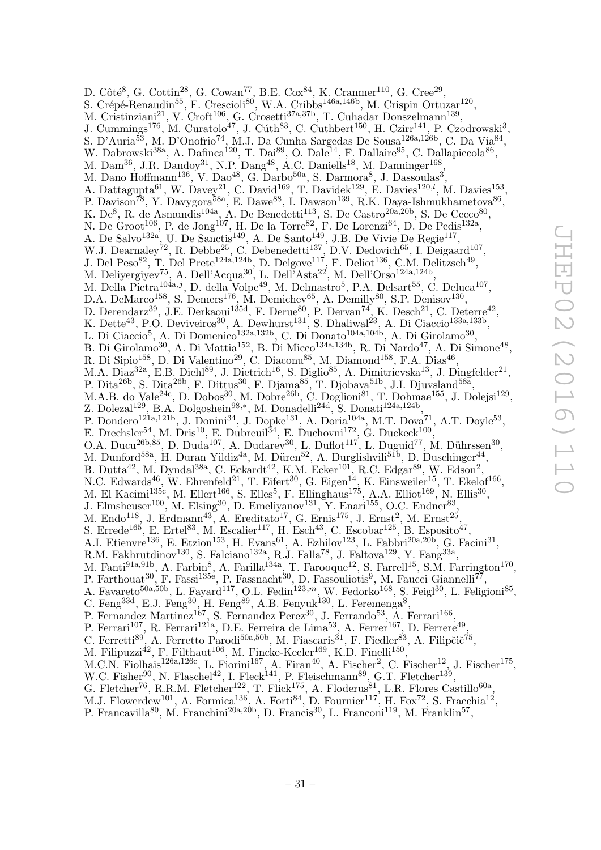D. Côté<sup>8</sup>, G. Cottin<sup>28</sup>, G. Cowan<sup>77</sup>, B.E. Cox<sup>84</sup>, K. Cranmer<sup>110</sup>, G. Cree<sup>29</sup>, S. Crépé-Renaudin<sup>55</sup>, F. Crescioli<sup>80</sup>, W.A. Cribbs<sup>146a,146b</sup>, M. Crispin Ortuzar<sup>120</sup>, M. Cristinziani<sup>21</sup>, V. Croft<sup>106</sup>, G. Crosetti<sup>37a,37b</sup>, T. Cuhadar Donszelmann<sup>139</sup>, J. Cummings<sup>176</sup>, M. Curatolo<sup>47</sup>, J. Cúth<sup>83</sup>, C. Cuthbert<sup>150</sup>, H. Czirr<sup>141</sup>, P. Czodrowski<sup>3</sup>, S. D'Auria $^{53}$ , M. D'Onofrio $^{74}$ , M.J. Da Cunha Sargedas De Sousa $^{126a,126b}$ , C. Da Via $^{84}$ , W. Dabrowski<sup>38a</sup>, A. Dafinca<sup>120</sup>, T. Dai<sup>89</sup>, O. Dale<sup>14</sup>, F. Dallaire<sup>95</sup>, C. Dallapiccola<sup>86</sup>, M. Dam<sup>36</sup>, J.R. Dandoy<sup>31</sup>, N.P. Dang<sup>48</sup>, A.C. Daniells<sup>18</sup>, M. Danninger<sup>168</sup>, M. Dano Hoffmann<sup>136</sup>, V. Dao<sup>48</sup>, G. Darbo<sup>50a</sup>, S. Darmora<sup>8</sup>, J. Dassoulas<sup>3</sup>, A. Dattagupta<sup>61</sup>, W. Davey<sup>21</sup>, C. David<sup>169</sup>, T. Davidek<sup>129</sup>, E. Davies<sup>120,*l*</sup>, M. Davies<sup>153</sup>, P. Davison<sup>78</sup>, Y. Davygora<sup>58a</sup>, E. Dawe<sup>88</sup>, I. Dawson<sup>139</sup>, R.K. Daya-Ishmukhametova<sup>86</sup>, K. De<sup>8</sup>, R. de Asmundis<sup>104a</sup>, A. De Benedetti<sup>113</sup>, S. De Castro<sup>20a, 20b</sup>, S. De Cecco<sup>80</sup>, N. De Groot<sup>106</sup>, P. de Jong<sup>107</sup>, H. De la Torre<sup>82</sup>, F. De Lorenzi<sup>64</sup>, D. De Pedis<sup>132a</sup>, A. De Salvo<sup>132a</sup>, U. De Sanctis<sup>149</sup>, A. De Santo<sup>149</sup>, J.B. De Vivie De Regie<sup>117</sup>, W.J. Dearnaley<sup>72</sup>, R. Debbe<sup>25</sup>, C. Debenedetti<sup>137</sup>, D.V. Dedovich<sup>65</sup>, I. Deigaard<sup>107</sup>, J. Del Peso<sup>82</sup>, T. Del Prete<sup>124a,124b</sup>, D. Delgove<sup>117</sup>, F. Deliot<sup>136</sup>, C.M. Delitzsch<sup>49</sup>, M. Deliyergiyev<sup>75</sup>, A. Dell'Acqua<sup>30</sup>, L. Dell'Asta<sup>22</sup>, M. Dell'Orso<sup>124a,124b</sup>, M. Della Pietra<sup>104a,j</sup>, D. della Volpe<sup>49</sup>, M. Delmastro<sup>5</sup>, P.A. Delsart<sup>55</sup>, C. Deluca<sup>107</sup>, D.A. DeMarco<sup>158</sup>, S. Demers<sup>176</sup>, M. Demichev<sup>65</sup>, A. Demilly<sup>80</sup>, S.P. Denisov<sup>130</sup>, D. Derendarz<sup>39</sup>, J.E. Derkaoui<sup>135d</sup>, F. Derue<sup>80</sup>, P. Dervan<sup>74</sup>, K. Desch<sup>21</sup>, C. Deterre<sup>42</sup>, K. Dette<sup>43</sup>, P.O. Deviveiros<sup>30</sup>, A. Dewhurst<sup>131</sup>, S. Dhaliwal<sup>23</sup>, A. Di Ciaccio<sup>133a,133b</sup>, L. Di Ciaccio<sup>5</sup>, A. Di Domenico<sup>132a,132b</sup>, C. Di Donato<sup>104a,104b</sup>, A. Di Girolamo<sup>30</sup>, B. Di Girolamo<sup>30</sup>, A. Di Mattia<sup>152</sup>, B. Di Micco<sup>134a,134b</sup>, R. Di Nardo<sup>47</sup>, A. Di Simone<sup>48</sup>, R. Di Sipio $^{158}$ , D. Di Valentino<sup>29</sup>, C. Diaconu<sup>85</sup>, M. Diamond<sup>158</sup>, F.A. Dias<sup>46</sup>, M.A. Diaz<sup>32a</sup>, E.B. Diehl<sup>89</sup>, J. Dietrich<sup>16</sup>, S. Diglio<sup>85</sup>, A. Dimitrievska<sup>13</sup>, J. Dingfelder<sup>21</sup>, P. Dita<sup>26b</sup>, S. Dita<sup>26b</sup>, F. Dittus<sup>30</sup>, F. Djama<sup>85</sup>, T. Djobava<sup>51b</sup>, J.I. Djuvsland<sup>58a</sup>, M.A.B. do Vale<sup>24c</sup>, D. Dobos<sup>30</sup>, M. Dobre<sup>26b</sup>, C. Doglioni<sup>81</sup>, T. Dohmae<sup>155</sup>, J. Dolejsi<sup>129</sup>, Z. Dolezal<sup>129</sup>, B.A. Dolgoshein<sup>98,\*</sup>, M. Donadelli<sup>24d</sup>, S. Donati<sup>124a,124b</sup>, P. Dondero<sup>121a,121b</sup>, J. Donini<sup>34</sup>, J. Dopke<sup>131</sup>, A. Doria<sup>104a</sup>, M.T. Dova<sup>71</sup>, A.T. Doyle<sup>53</sup>, E. Drechsler<sup>54</sup>, M. Dris<sup>10</sup>, E. Dubreuil<sup>34</sup>, E. Duchovni<sup>172</sup>, G. Duckeck<sup>100</sup>, O.A. Ducu<sup>26b,85</sup>, D. Duda<sup>107</sup>, A. Dudarev<sup>30</sup>, L. Duflot<sup>117</sup>, L. Duguid<sup>77</sup>, M. Dührssen<sup>30</sup>, M. Dunford<sup>58a</sup>, H. Duran Yildiz<sup>4a</sup>, M. Düren<sup>52</sup>, A. Durglishvili<sup>51b</sup>, D. Duschinger<sup>44</sup>, B. Dutta<sup>42</sup>, M. Dyndal<sup>38a</sup>, C. Eckardt<sup>42</sup>, K.M. Ecker<sup>101</sup>, R.C. Edgar<sup>89</sup>, W. Edson<sup>2</sup>, N.C. Edwards<sup>46</sup>, W. Ehrenfeld<sup>21</sup>, T. Eifert<sup>30</sup>, G. Eigen<sup>14</sup>, K. Einsweiler<sup>15</sup>, T. Ekelof<sup>166</sup>, M. El Kacimi<sup>135c</sup>, M. Ellert<sup>166</sup>, S. Elles<sup>5</sup>, F. Ellinghaus<sup>175</sup>, A.A. Elliot<sup>169</sup>, N. Ellis<sup>30</sup>, J. Elmsheuser<sup>100</sup>, M. Elsing<sup>30</sup>, D. Emeliyanov<sup>131</sup>, Y. Enari<sup>155</sup>, O.C. Endner<sup>83</sup>, M. Endo<sup>118</sup>, J. Erdmann<sup>43</sup>, A. Ereditato<sup>17</sup>, G. Ernis<sup>175</sup>, J. Ernst<sup>2</sup>, M. Ernst<sup>25</sup>, S. Errede<sup>165</sup>, E. Ertel<sup>83</sup>, M. Escalier<sup>117</sup>, H. Esch<sup>43</sup>, C. Escobar<sup>125</sup>, B. Esposito<sup>47</sup>, A.I. Etienvre<sup>136</sup>, E. Etzion<sup>153</sup>, H. Evans<sup>61</sup>, A. Ezhilov<sup>123</sup>, L. Fabbri<sup>20a,20b</sup>, G. Facini<sup>31</sup>, R.M. Fakhrutdinov<sup>130</sup>, S. Falciano<sup>132a</sup>, R.J. Falla<sup>78</sup>, J. Faltova<sup>129</sup>, Y. Fang<sup>33a</sup>, M. Fanti<sup>91a,91b</sup>, A. Farbin<sup>8</sup>, A. Farilla<sup>134a</sup>, T. Farooque<sup>12</sup>, S. Farrell<sup>15</sup>, S.M. Farrington<sup>170</sup>, P. Farthouat<sup>30</sup>, F. Fassi<sup>135e</sup>, P. Fassnacht<sup>30</sup>, D. Fassouliotis<sup>9</sup>, M. Faucci Giannelli<sup>77</sup>, A. Favareto<sup>50a,50b</sup>, L. Fayard<sup>117</sup>, O.L. Fedin<sup>123,*m*</sup>, W. Fedorko<sup>168</sup>, S. Feigl<sup>30</sup>, L. Feligioni<sup>85</sup>, C. Feng<sup>33d</sup>, E.J. Feng<sup>30</sup>, H. Feng<sup>89</sup>, A.B. Fenyuk<sup>130</sup>, L. Feremenga<sup>8</sup>, P. Fernandez Martinez<sup>167</sup>, S. Fernandez Perez<sup>30</sup>, J. Ferrando<sup>53</sup>, A. Ferrari<sup>166</sup>, P. Ferrari<sup>107</sup>, R. Ferrari<sup>121a</sup>, D.E. Ferreira de Lima<sup>53</sup>, A. Ferrer<sup>167</sup>, D. Ferrere<sup>49</sup>, C. Ferretti<sup>89</sup>, A. Ferretto Parodi<sup>50a,50b</sup>, M. Fiascaris<sup>31</sup>, F. Fiedler<sup>83</sup>, A. Filipčič<sup>75</sup>, M. Filipuzzi<sup>42</sup>, F. Filthaut<sup>106</sup>, M. Fincke-Keeler<sup>169</sup>, K.D. Finelli<sup>150</sup>, M.C.N. Fiolhais<sup>126a,126c</sup>, L. Fiorini<sup>167</sup>, A. Firan<sup>40</sup>, A. Fischer<sup>2</sup>, C. Fischer<sup>12</sup>, J. Fischer<sup>175</sup>, W.C. Fisher<sup>90</sup>, N. Flaschel<sup>42</sup>, I. Fleck<sup>141</sup>, P. Fleischmann<sup>89</sup>, G.T. Fletcher<sup>139</sup>, G. Fletcher<sup>76</sup>, R.R.M. Fletcher<sup>122</sup>, T. Flick<sup>175</sup>, A. Floderus<sup>81</sup>, L.R. Flores Castillo<sup>60a</sup>,

M.J. Flowerdew<sup>101</sup>, A. Formica<sup>136</sup>, A. Forti<sup>84</sup>, D. Fournier<sup>117</sup>, H. Fox<sup>72</sup>, S. Fracchia<sup>12</sup>,

P. Francavilla<sup>80</sup>, M. Franchini<sup>20a, 20b</sup>, D. Francis<sup>30</sup>, L. Franconi<sup>119</sup>, M. Franklin<sup>57</sup>,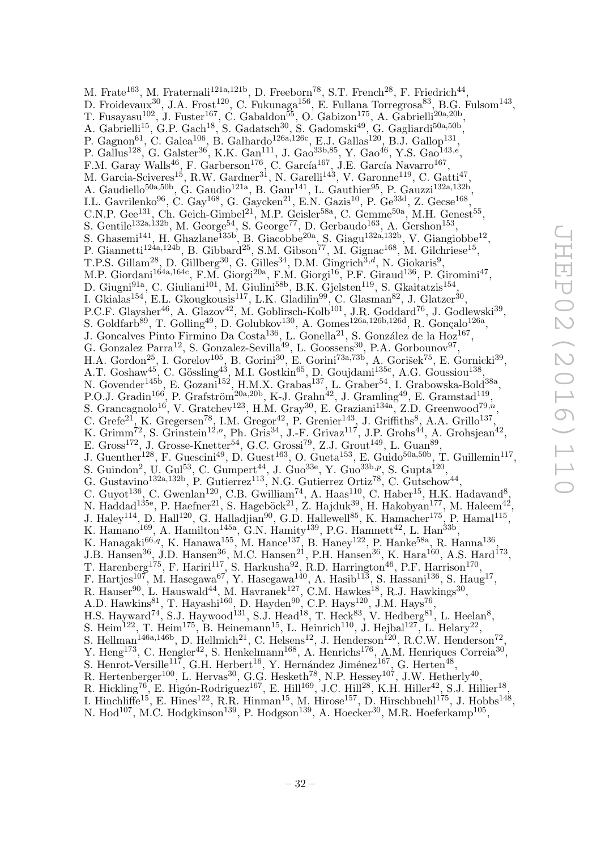M. Frate<sup>163</sup>, M. Fraternali<sup>121a,121b</sup>, D. Freeborn<sup>78</sup>, S.T. French<sup>28</sup>, F. Friedrich<sup>44</sup>, D. Froidevaux $^{30}$ , J.A. Frost $^{120}$ , C. Fukunaga $^{156}$ , E. Fullana Torregrosa $^{83}$ , B.G. Fulsom $^{143}$ , T. Fusayasu<sup>102</sup>, J. Fuster<sup>167</sup>, C. Gabaldon<sup>55</sup>, O. Gabizon<sup>175</sup>, A. Gabrielli<sup>20a,20b</sup>, A. Gabrielli<sup>15</sup>, G.P. Gach<sup>18</sup>, S. Gadatsch<sup>30</sup>, S. Gadomski<sup>49</sup>, G. Gagliardi<sup>50a,50b</sup>, P. Gagnon<sup>61</sup>, C. Galea<sup>106</sup>, B. Galhardo<sup>126a,126c</sup>, E.J. Gallas<sup>120</sup>, B.J. Gallop<sup>131</sup>, P. Gallus<sup>128</sup>, G. Galster<sup>36</sup>, K.K. Gan<sup>111</sup>, J. Gao<sup>33b,85</sup>, Y. Gao<sup>46</sup>, Y.S. Gao<sup>143,e</sup>, F.M. Garay Walls<sup>46</sup>, F. Garberson<sup>176</sup>, C. García<sup>167</sup>, J.E. García Navarro<sup>167</sup>, M. Garcia-Sciveres<sup>15</sup>, R.W. Gardner<sup>31</sup>, N. Garelli<sup>143</sup>, V. Garonne<sup>119</sup>, C. Gatti<sup>47</sup> , A. Gaudiello<sup>50a,50b</sup>, G. Gaudio<sup>121a</sup>, B. Gaur<sup>141</sup>, L. Gauthier<sup>95</sup>, P. Gauzzi<sup>132a,132b</sup>, I.L. Gavrilenko $^{96}$ , C. Gay<sup>168</sup>, G. Gaycken<sup>21</sup>, E.N. Gazis<sup>10</sup>, P. Ge<sup>33d</sup>, Z. Gecse<sup>168</sup>, C.N.P. Gee<sup>131</sup>, Ch. Geich-Gimbel<sup>21</sup>, M.P. Geisler<sup>58a</sup>, C. Gemme<sup>50a</sup>, M.H. Genest<sup>55</sup>, S. Gentile<sup>132a,132b</sup>, M. George<sup>54</sup>, S. George<sup>77</sup>, D. Gerbaudo<sup>163</sup>, A. Gershon<sup>153</sup>, S. Ghasemi<sup>141</sup>, H. Ghazlane<sup>135b</sup>, B. Giacobbe<sup>20a</sup>, S. Giagu<sup>132a,132b</sup>, V. Giangiobbe<sup>12</sup>, P. Giannetti<sup>124a,124b</sup>, B. Gibbard<sup>25</sup>, S.M. Gibson<sup>77</sup>, M. Gignac<sup>168</sup>, M. Gilchriese<sup>15</sup>, T.P.S. Gillam<sup>28</sup>, D. Gillberg<sup>30</sup>, G. Gilles<sup>34</sup>, D.M. Gingrich<sup>3,d</sup>, N. Giokaris<sup>9</sup>, M.P. Giordani<sup>164a,164c</sup>, F.M. Giorgi<sup>20a</sup>, F.M. Giorgi<sup>16</sup>, P.F. Giraud<sup>136</sup>, P. Giromini<sup>47</sup>, D. Giugni<sup>91a</sup>, C. Giuliani<sup>101</sup>, M. Giulini<sup>58b</sup>, B.K. Gjelsten<sup>119</sup>, S. Gkaitatzis<sup>154</sup>, I. Gkialas<sup>154</sup>, E.L. Gkougkousis<sup>117</sup>, L.K. Gladilin<sup>99</sup>, C. Glasman<sup>82</sup>, J. Glatzer<sup>30</sup>, , P.C.F. Glaysher<sup>46</sup>, A. Glazov<sup>42</sup>, M. Goblirsch-Kolb<sup>101</sup>, J.R. Goddard<sup>76</sup>, J. Godlewski<sup>39</sup>, S. Goldfarb<sup>89</sup>, T. Golling<sup>49</sup>, D. Golubkov<sup>130</sup>, A. Gomes<sup>126a,126b,126d</sup>, R. Gonçalo<sup>126a</sup>, J. Goncalves Pinto Firmino Da Costa<sup>136</sup>, L. Gonella<sup>21</sup>, S. González de la Hoz<sup>167</sup>, G. Gonzalez Parra<sup>12</sup>, S. Gonzalez-Sevilla<sup>49</sup>, L. Goossens<sup>30</sup>, P.A. Gorbounov<sup>97</sup>, H.A. Gordon<sup>25</sup>, I. Gorelov<sup>105</sup>, B. Gorini<sup>30</sup>, E. Gorini<sup>73a,73b</sup>, A. Gorišek<sup>75</sup>, E. Gornicki<sup>39</sup>, A.T. Goshaw<sup>45</sup>, C. Gössling<sup>43</sup>, M.I. Gostkin<sup>65</sup>, D. Goujdami<sup>135c</sup>, A.G. Goussiou<sup>138</sup>, N. Govender<sup>145b</sup>, E. Gozani<sup>152</sup>, H.M.X. Grabas<sup>137</sup>, L. Graber<sup>54</sup>, I. Grabowska-Bold<sup>38a</sup>, P.O.J. Gradin<sup>166</sup>, P. Grafström<sup>20a,20b</sup>, K-J. Grahn<sup>42</sup>, J. Gramling<sup>49</sup>, E. Gramstad<sup>119</sup>, S. Grancagnolo<sup>16</sup>, V. Gratchev<sup>123</sup>, H.M. Gray<sup>30</sup>, E. Graziani<sup>134a</sup>, Z.D. Greenwood<sup>79,n</sup>,<br>C. Grefe<sup>21</sup> K. Gregersen<sup>78</sup> I.M. Gregor<sup>42</sup> P. Grenier<sup>143</sup> I. Griffiths<sup>8</sup> A.A. Grillo<sup>137</sup> C. Grefe<sup>21</sup>, K. Gregersen<sup>78</sup>, I.M. Gregor<sup>42</sup>, P. Grenier<sup>143</sup>, J. Griffiths<sup>8</sup>, A.A. Grillo<sup>137</sup>, K. Grimm<sup>72</sup>, S. Grinstein<sup>12,</sup><sup>o</sup>, Ph. Gris<sup>34</sup>, J.-F. Grivaz<sup>117</sup>, J.P. Grohs<sup>44</sup>, A. Grohsjean<sup>42</sup>, E. Gross<sup>172</sup>, J. Grosse-Knetter<sup>54</sup>, G.C. Grossi<sup>79</sup>, Z.J. Grout<sup>149</sup>, L. Guan<sup>89</sup>, J. Guenther<sup>128</sup>, F. Guescini<sup>49</sup>, D. Guest<sup>163</sup>, O. Gueta<sup>153</sup>, E. Guido<sup>50a,50b</sup>, T. Guillemin<sup>117</sup>, S. Guindon<sup>2</sup>, U. Gul<sup>53</sup>, C. Gumpert<sup>44</sup>, J. Guo<sup>33e</sup>, Y. Guo<sup>33b,p</sup>, S. Gupta<sup>120</sup>, G. Gustavino<sup>132a, 132b</sup>, P. Gutierrez<sup>113</sup>, N.G. Gutierrez Ortiz<sup>78</sup>, C. Gutschow<sup>44</sup>, C. Guyot<sup>136</sup>, C. Gwenlan<sup>120</sup>, C.B. Gwilliam<sup>74</sup>, A. Haas<sup>110</sup>, C. Haber<sup>15</sup>, H.K. Hadavand<sup>8</sup>, N. Haddad $^{135e}$ , P. Haefner<sup>21</sup>, S. Hageböck<sup>21</sup>, Z. Hajduk<sup>39</sup>, H. Hakobyan<sup>177</sup>, M. Haleem<sup>42</sup>, J. Haley<sup>114</sup>, D. Hall<sup>120</sup>, G. Halladjian<sup>90</sup>, G.D. Hallewell<sup>85</sup>, K. Hamacher<sup>175</sup>, P. Hamal<sup>115</sup>, K. Hamano<sup>169</sup>, A. Hamilton<sup>145a</sup>, G.N. Hamity<sup>139</sup>, P.G. Hamnett<sup>42</sup>, L. Han<sup>33b</sup>, K. Hanagaki $^{66,q}$ , K. Hanawa $^{155}$ , M. Hance $^{137}$ , B. Haney $^{122}$ , P. Hanke $^{58a}$ , R. Hanna $^{136}$ , J.B. Hansen<sup>36</sup>, J.D. Hansen<sup>36</sup>, M.C. Hansen<sup>21</sup>, P.H. Hansen<sup>36</sup>, K. Hara<sup>160</sup>, A.S. Hard<sup>173</sup>, T. Harenberg<sup>175</sup>, F. Hariri<sup>117</sup>, S. Harkusha<sup>92</sup>, R.D. Harrington<sup>46</sup>, P.F. Harrison<sup>170</sup>, F. Hartjes<sup>107</sup>, M. Hasegawa<sup>67</sup>, Y. Hasegawa<sup>140</sup>, A. Hasib<sup>113</sup>, S. Hassani<sup>136</sup>, S. Haug<sup>17</sup>, R. Hauser<sup>90</sup>, L. Hauswald<sup>44</sup>, M. Havranek<sup>127</sup>, C.M. Hawkes<sup>18</sup>, R.J. Hawkings<sup>30</sup>, A.D. Hawkins<sup>81</sup>, T. Hayashi<sup>160</sup>, D. Hayden<sup>90</sup>, C.P. Hays<sup>120</sup>, J.M. Hays<sup>76</sup>, H.S. Hayward<sup>74</sup>, S.J. Haywood<sup>131</sup>, S.J. Head<sup>18</sup>, T. Heck<sup>83</sup>, V. Hedberg<sup>81</sup>, L. Heelan<sup>8</sup>, S. Heim<sup>122</sup>, T. Heim<sup>175</sup>, B. Heinemann<sup>15</sup>, L. Heinrich<sup>110</sup>, J. Hejbal<sup>127</sup>, L. Helary<sup>22</sup>, S. Hellman<sup>146a,146b</sup>, D. Hellmich<sup>21</sup>, C. Helsens<sup>12</sup>, J. Henderson<sup>120</sup>, R.C.W. Henderson<sup>72</sup>, Y. Heng<sup>173</sup>, C. Hengler<sup>42</sup>, S. Henkelmann<sup>168</sup>, A. Henrichs<sup>176</sup>, A.M. Henriques Correia<sup>30</sup>, S. Henrot-Versille<sup>117</sup>, G.H. Herbert<sup>16</sup>, Y. Hernández Jiménez<sup>167</sup>, G. Herten<sup>48</sup>, R. Hertenberger<sup>100</sup>, L. Hervas<sup>30</sup>, G.G. Hesketh<sup>78</sup>, N.P. Hessey<sup>107</sup>, J.W. Hetherly<sup>40</sup>, R. Hickling<sup>76</sup>, E. Higón-Rodriguez<sup>167</sup>, E. Hill<sup>169</sup>, J.C. Hill<sup>28</sup>, K.H. Hiller<sup>42</sup>, S.J. Hillier<sup>18</sup>, I. Hinchliffe<sup>15</sup>, E. Hines<sup>122</sup>, R.R. Hinman<sup>15</sup>, M. Hirose<sup>157</sup>, D. Hirschbuehl<sup>175</sup>, J. Hobbs<sup>148</sup>,

N. Hod<sup>107</sup>, M.C. Hodgkinson<sup>139</sup>, P. Hodgson<sup>139</sup>, A. Hoecker<sup>30</sup>, M.R. Hoeferkamp<sup>105</sup>,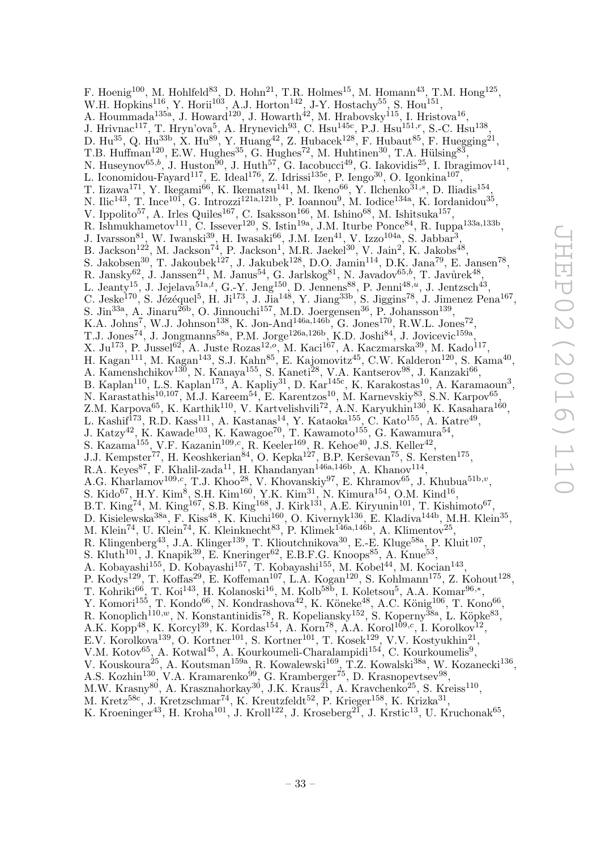F. Hoenig<sup>100</sup>, M. Hohlfeld<sup>83</sup>, D. Hohn<sup>21</sup>, T.R. Holmes<sup>15</sup>, M. Homann<sup>43</sup>, T.M. Hong<sup>125</sup>, W.H. Hopkins<sup>116</sup>, Y. Horii<sup>103</sup>, A.J. Horton<sup>142</sup>, J-Y. Hostachy<sup>55</sup>, S. Hou<sup>151</sup>, A. Hoummada<sup>135a</sup>, J. Howard<sup>120</sup>, J. Howarth<sup>42</sup>, M. Hrabovsky<sup>115</sup>, I. Hristova<sup>16</sup>, J. Hrivnac<sup>117</sup>, T. Hryn'ova<sup>5</sup>, A. Hrynevich<sup>93</sup>, C. Hsu<sup>145c</sup>, P.J. Hsu<sup>151,r</sup>, S.-C. Hsu<sup>138</sup>, D. Hu<sup>35</sup>, Q. Hu<sup>33b</sup>, X. Hu<sup>89</sup>, Y. Huang<sup>42</sup>, Z. Hubacek<sup>128</sup>, F. Hubaut<sup>85</sup>, F. Huegging<sup>21</sup>, T.B. Huffman<sup>120</sup>, E.W. Hughes<sup>35</sup>, G. Hughes<sup>72</sup>, M. Huhtinen<sup>30</sup>, T.A. Hülsing<sup>83</sup>, N. Huseynov<sup>65,b</sup>, J. Huston<sup>50</sup>, J. Huth<sup>57</sup>, G. Iacobucci<sup>49</sup>, G. Iakovidis<sup>25</sup>, I. Ibragimov<sup>141</sup>, L. Iconomidou-Fayard<sup>117</sup>, E. Ideal<sup>176</sup>, Z. Idrissi<sup>135e</sup>, P. Iengo<sup>30</sup>, O. Igonkina<sup>107</sup>, T. Iizawa<sup>171</sup>, Y. Ikegami<sup>66</sup>, K. Ikematsu<sup>141</sup>, M. Ikeno<sup>66</sup>, Y. Ilchenko<sup>31,s</sup>, D. Iliadis<sup>154</sup>, N. Ilic<sup>143</sup>, T. Ince<sup>101</sup>, G. Introzzi<sup>121a,121b</sup>, P. Ioannou<sup>9</sup>, M. Iodice<sup>134a</sup>, K. Iordanidou<sup>35</sup>, V. Ippolito<sup>57</sup>, A. Irles Quiles<sup>167</sup>, C. Isaksson<sup>166</sup>, M. Ishino<sup>68</sup>, M. Ishitsuka<sup>157</sup>, R. Ishmukhametov<sup>111</sup>, C. Issever<sup>120</sup>, S. Istin<sup>19a</sup>, J.M. Iturbe Ponce<sup>84</sup>, R. Iuppa<sup>133a,133b</sup>, J. Ivarsson<sup>81</sup>, W. Iwanski<sup>39</sup>, H. Iwasaki<sup>66</sup>, J.M. Izen<sup>41</sup>, V. Izzo<sup>104a</sup>, S. Jabbar<sup>3</sup>, B. Jackson<sup>122</sup>, M. Jackson<sup>74</sup>, P. Jackson<sup>1</sup>, M.R. Jaekel<sup>30</sup>, V. Jain<sup>2</sup>, K. Jakobs<sup>48</sup>, S. Jakobsen<sup>30</sup>, T. Jakoubek<sup>127</sup>, J. Jakubek<sup>128</sup>, D.O. Jamin<sup>114</sup>, D.K. Jana<sup>79</sup>, E. Jansen<sup>78</sup>, R. Jansky<sup>62</sup>, J. Janssen<sup>21</sup>, M. Janus<sup>54</sup>, G. Jarlskog<sup>81</sup>, N. Javadov<sup>65,b</sup>, T. Javůrek<sup>48</sup>, L. Jeanty<sup>15</sup>, J. Jejelava<sup>51a,t</sup>, G.-Y. Jeng<sup>150</sup>, D. Jennens<sup>88</sup>, P. Jenni<sup>48,*u*</sup>, J. Jentzsch<sup>43</sup>, C. Jeske<sup>170</sup>, S. Jézéquel<sup>5</sup>, H. Ji<sup>173</sup>, J. Jia<sup>148</sup>, Y. Jiang<sup>33b</sup>, S. Jiggins<sup>78</sup>, J. Jimenez Pena<sup>167</sup>, S. Jin<sup>33a</sup>, A. Jinaru<sup>26b</sup>, O. Jinnouchi<sup>157</sup>, M.D. Joergensen<sup>36</sup>, P. Johansson<sup>139</sup>, K.A. Johns<sup>7</sup>, W.J. Johnson<sup>138</sup>, K. Jon-And<sup>146a,146b</sup>, G. Jones<sup>170</sup>, R.W.L. Jones<sup>72</sup>, T.J. Jones<sup>74</sup>, J. Jongmanns<sup>58a</sup>, P.M. Jorge<sup>126a,126b</sup>, K.D. Joshi<sup>84</sup>, J. Jovicevic<sup>159a</sup>, X. Ju<sup>173</sup>, P. Jussel<sup>62</sup>, A. Juste Rozas<sup>12,0</sup>, M. Kaci<sup>167</sup>, A. Kaczmarska<sup>39</sup>, M. Kado<sup>117</sup>, H. Kagan $^{111}$ , M. Kagan $^{143}$ , S.J. Kahn $^{85}$ , E. Kajomovitz $^{45}$ , C.W. Kalderon $^{120}$ , S. Kama $^{40}$ , A. Kamenshchikov<sup>130</sup>, N. Kanaya<sup>155</sup>, S. Kaneti<sup>28</sup>, V.A. Kantserov<sup>98</sup>, J. Kanzaki<sup>66</sup>, B. Kaplan<sup>110</sup>, L.S. Kaplan<sup>173</sup>, A. Kapliy<sup>31</sup>, D. Kar<sup>145c</sup>, K. Karakostas<sup>10</sup>, A. Karamaoun<sup>3</sup>, N. Karastathis<sup>10,107</sup>, M.J. Kareem<sup>54</sup>, E. Karentzos<sup>10</sup>, M. Karnevskiy<sup>83</sup>, S.N. Karpov<sup>65</sup>, Z.M. Karpova<sup>65</sup>, K. Karthik<sup>110</sup>, V. Kartvelishvili<sup>72</sup>, A.N. Karyukhin<sup>130</sup>, K. Kasahara<sup>160</sup>, L. Kashif<sup>173</sup>, R.D. Kass<sup>111</sup>, A. Kastanas<sup>14</sup>, Y. Kataoka<sup>155</sup>, C. Kato<sup>155</sup>, A. Katre<sup>49</sup>, J. Katzy<sup>42</sup>, K. Kawade<sup>103</sup>, K. Kawagoe<sup>70</sup>, T. Kawamoto<sup>155</sup>, G. Kawamura<sup>54</sup>, S. Kazama<sup>155</sup>, V.F. Kazanin<sup>109,c</sup>, R. Keeler<sup>169</sup>, R. Kehoe<sup>40</sup>, J.S. Keller<sup>42</sup>, J.J. Kempster<sup>77</sup>, H. Keoshkerian<sup>84</sup>, O. Kepka<sup>127</sup>, B.P. Kerševan<sup>75</sup>, S. Kersten<sup>175</sup>, R.A. Keyes<sup>87</sup>, F. Khalil-zada<sup>11</sup>, H. Khandanyan<sup>146a,146b</sup>, A. Khanov<sup>114</sup>, A.G. Kharlamov<sup>109,c</sup>, T.J. Khoo<sup>28</sup>, V. Khovanskiy<sup>97</sup>, E. Khramov<sup>65</sup>, J. Khubua<sup>51b,v</sup>, S. Kido<sup>67</sup>, H.Y. Kim<sup>8</sup>, S.H. Kim<sup>160</sup>, Y.K. Kim<sup>31</sup>, N. Kimura<sup>154</sup>, O.M. Kind<sup>16</sup>, B.T. King<sup>74</sup>, M. King<sup>167</sup>, S.B. King<sup>168</sup>, J. Kirk<sup>131</sup>, A.E. Kiryunin<sup>101</sup>, T. Kishimoto<sup>67</sup>, D. Kisielewska $^{38a}$ , F. Kiss $^{48}$ , K. Kiuchi $^{160}$ , O. Kivernyk $^{136}$ , E. Kladiva $^{144b}$ , M.H. Klein $^{35}$ , M. Klein<sup>74</sup>, U. Klein<sup>74</sup>, K. Kleinknecht<sup>83</sup>, P. Klimek<sup>146a,146b</sup>, A. Klimentov<sup>25</sup>, R. Klingenberg<sup>43</sup>, J.A. Klinger<sup>139</sup>, T. Klioutchnikova<sup>30</sup>, E.-E. Kluge<sup>58a</sup>, P. Kluit<sup>107</sup>, S. Kluth<sup>101</sup>, J. Knapik<sup>39</sup>, E. Kneringer<sup>62</sup>, E.B.F.G. Knoops<sup>85</sup>, A. Knue<sup>53</sup>, A. Kobayashi<sup>155</sup>, D. Kobayashi<sup>157</sup>, T. Kobayashi<sup>155</sup>, M. Kobel<sup>44</sup>, M. Kocian<sup>143</sup>, P. Kodys<sup>129</sup>, T. Koffas<sup>29</sup>, E. Koffeman<sup>107</sup>, L.A. Kogan<sup>120</sup>, S. Kohlmann<sup>175</sup>, Z. Kohout<sup>128</sup>, T. Kohriki<sup>66</sup>, T. Koi<sup>143</sup>, H. Kolanoski<sup>16</sup>, M. Kolb<sup>58b</sup>, I. Koletsou<sup>5</sup>, A.A. Komar<sup>96,\*</sup>, Y. Komori<sup>155</sup>, T. Kondo<sup>66</sup>, N. Kondrashova<sup>42</sup>, K. Köneke<sup>48</sup>, A.C. König<sup>106</sup>, T. Kono<sup>66</sup>, R. Konoplich<sup>110,w</sup>, N. Konstantinidis<sup>78</sup>, R. Kopeliansky<sup>152</sup>, S. Koperny<sup>38a</sup>, L. Köpke<sup>83</sup>, A.K. Kopp<sup>48</sup>, K. Korcyl<sup>39</sup>, K. Kordas<sup>154</sup>, A. Korn<sup>78</sup>, A.A. Korol<sup>109,c</sup>, I. Korolkov<sup>12</sup>, E.V. Korolkova<sup>139</sup>, O. Kortner<sup>101</sup>, S. Kortner<sup>101</sup>, T. Kosek<sup>129</sup>, V.V. Kostyukhin<sup>21</sup>, V.M. Kotov<sup>65</sup>, A. Kotwal<sup>45</sup>, A. Kourkoumeli-Charalampidi<sup>154</sup>, C. Kourkoumelis<sup>9</sup>, V. Kouskoura<sup>25</sup>, A. Koutsman<sup>159a</sup>, R. Kowalewski<sup>169</sup>, T.Z. Kowalski<sup>38a</sup>, W. Kozanecki<sup>136</sup>, A.S. Kozhin<sup>130</sup>, V.A. Kramarenko<sup>99</sup>, G. Kramberger<sup>75</sup>, D. Krasnopevtsev<sup>98</sup>, M.W. Krasny<sup>80</sup>, A. Krasznahorkay<sup>30</sup>, J.K. Kraus<sup>21</sup>, A. Kravchenko<sup>25</sup>, S. Kreiss<sup>110</sup>, M. Kretz<sup>58c</sup>, J. Kretzschmar<sup>74</sup>, K. Kreutzfeldt<sup>52</sup>, P. Krieger<sup>158</sup>, K. Krizka<sup>31</sup>,

K. Kroeninger<sup>43</sup>, H. Kroha<sup>101</sup>, J. Kroll<sup>122</sup>, J. Kroseberg<sup>21</sup>, J. Krstic<sup>13</sup>, U. Kruchonak<sup>65</sup>,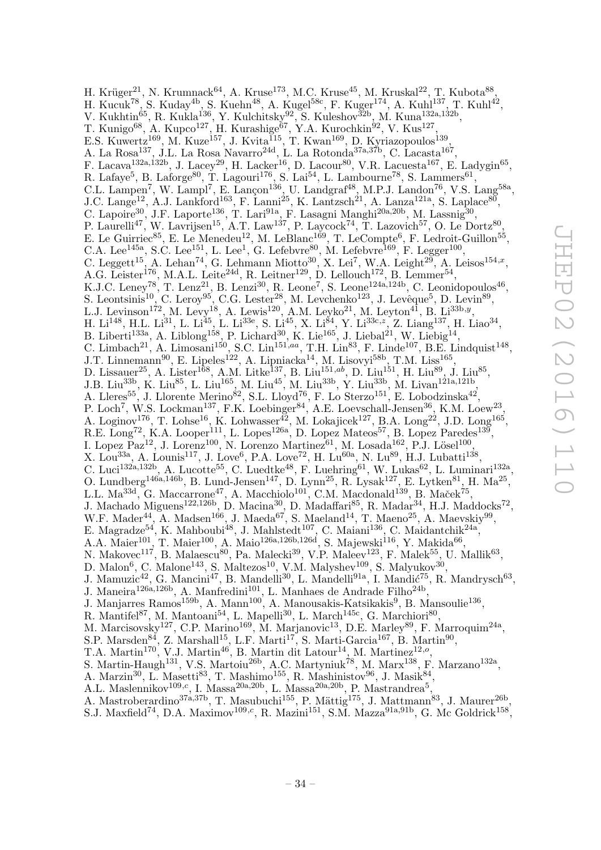H. Krüger $^{21}$ , N. Krumnack $^{64}$ , A. Kruse $^{173}$ , M.C. Kruse $^{45}$ , M. Kruskal $^{22}$ , T. Kubota $^{88}$ , H. Kucuk<sup>78</sup>, S. Kuday<sup>4b</sup>, S. Kuehn<sup>48</sup>, A. Kugel<sup>58c</sup>, F. Kuger<sup>174</sup>, A. Kuhl<sup>137</sup>, T. Kuhl<sup>42</sup>, V. Kukhtin<sup>65</sup>, R. Kukla<sup>136</sup>, Y. Kulchitsky<sup>92</sup>, S. Kuleshov<sup>32b</sup>, M. Kuna<sup>132a,132b</sup>, T. Kunigo $^{68}$ , A. Kupco<sup>127</sup>, H. Kurashige $^{67}$ , Y.A. Kurochkin $^{92}$ , V. Kus<sup>127</sup>, E.S. Kuwertz<sup>169</sup>, M. Kuze<sup>157</sup>, J. Kvita<sup>115</sup>, T. Kwan<sup>169</sup>, D. Kyriazopoulos<sup>139</sup>, A. La Rosa<sup>137</sup>, J.L. La Rosa Navarro<sup>24d</sup>, L. La Rotonda<sup>37a,37b</sup>, C. Lacasta<sup>167</sup>, F. Lacava<sup>132a,132b</sup>, J. Lacey<sup>29</sup>, H. Lacker<sup>16</sup>, D. Lacour<sup>80</sup>, V.R. Lacuesta<sup>167</sup>, E. Ladygin<sup>65</sup>, R. Lafaye<sup>5</sup>, B. Laforge<sup>80</sup>, T. Lagouri<sup>176</sup>, S. Lai<sup>54</sup>, L. Lambourne<sup>78</sup>, S. Lammers<sup>61</sup>, C.L. Lampen<sup>7</sup>, W. Lampl<sup>7</sup>, E. Lançon<sup>136</sup>, U. Landgraf<sup>48</sup>, M.P.J. Landon<sup>76</sup>, V.S. Lang<sup>58a</sup>, J.C. Lange<sup>12</sup>, A.J. Lankford<sup>163</sup>, F. Lanni<sup>25</sup>, K. Lantzsch<sup>21</sup>, A. Lanza<sup>121a</sup>, S. Laplace<sup>80</sup>, C. Lapoire<sup>30</sup>, J.F. Laporte<sup>136</sup>, T. Lari<sup>91a</sup>, F. Lasagni Manghi<sup>20a,20b</sup>, M. Lassnig<sup>30</sup>, P. Laurelli<sup>47</sup>, W. Lavrijsen<sup>15</sup>, A.T. Law<sup>137</sup>, P. Laycock<sup>74</sup>, T. Lazovich<sup>57</sup>, O. Le Dortz<sup>80</sup>, E. Le Guirriec<sup>85</sup>, E. Le Menedeu<sup>12</sup>, M. LeBlanc<sup>169</sup>, T. LeCompte<sup>6</sup>, F. Ledroit-Guillon<sup>55</sup>, C.A. Lee<sup>145a</sup>, S.C. Lee<sup>151</sup>, L. Lee<sup>1</sup>, G. Lefebvre<sup>80</sup>, M. Lefebvre<sup>169</sup>, F. Legger<sup>100</sup>, C. Leggett<sup>15</sup>, A. Lehan<sup>74</sup>, G. Lehmann Miotto<sup>30</sup>, X. Lei<sup>7</sup>, W.A. Leight<sup>29</sup>, A. Leisos<sup>154,x</sup>, A.G. Leister<sup>176</sup>, M.A.L. Leite<sup>24d</sup>, R. Leitner<sup>129</sup>, D. Lellouch<sup>172</sup>, B. Lemmer<sup>54</sup>, K.J.C. Leney<sup>78</sup>, T. Lenz<sup>21</sup>, B. Lenzi<sup>30</sup>, R. Leone<sup>7</sup>, S. Leone<sup>124a,124b</sup>, C. Leonidopoulos<sup>46</sup>, S. Leontsinis<sup>10</sup>, C. Leroy<sup>95</sup>, C.G. Lester<sup>28</sup>, M. Levchenko<sup>123</sup>, J. Levêque<sup>5</sup>, D. Levin<sup>89</sup>, L.J. Levinson<sup>172</sup>, M. Levy<sup>18</sup>, A. Lewis<sup>120</sup>, A.M. Leyko<sup>21</sup>, M. Leyton<sup>41</sup>, B. Li<sup>33b,y</sup>, H. Li<sup>148</sup>, H.L. Li<sup>31</sup>, L. Li<sup>45</sup>, L. Li<sup>33e</sup>, S. Li<sup>45</sup>, X. Li<sup>84</sup>, Y. Li<sup>33c, z</sup>, Z. Liang<sup>137</sup>, H. Liao<sup>34</sup>, B. Liberti<sup>133a</sup>, A. Liblong<sup>158</sup>, P. Lichard<sup>30</sup>, K. Lie<sup>165</sup>, J. Liebal<sup>21</sup>, W. Liebig<sup>14</sup>, C. Limbach<sup>21</sup>, A. Limosani<sup>150</sup>, S.C. Lin<sup>151,aa</sup>, T.H. Lin<sup>83</sup>, F. Linde<sup>107</sup>, B.E. Lindquist<sup>148</sup>, J.T. Linnemann<sup>90</sup>, E. Lipeles<sup>122</sup>, A. Lipniacka<sup>14</sup>, M. Lisovyi<sup>58b</sup>, T.M. Liss<sup>165</sup>, D. Lissauer<sup>25</sup>, A. Lister<sup>168</sup>, A.M. Litke<sup>137</sup>, B. Liu<sup>151,ab</sup>, D. Liu<sup>151</sup>, H. Liu<sup>89</sup>, J. Liu<sup>85</sup>, J.B. Liu<sup>33b</sup>, K. Liu<sup>85</sup>, L. Liu<sup>165</sup>, M. Liu<sup>45</sup>, M. Liu<sup>33b</sup>, Y. Liu<sup>33b</sup>, M. Livan<sup>121a,121b</sup>, A. Lleres<sup>55</sup>, J. Llorente Merino<sup>82</sup>, S.L. Lloyd<sup>76</sup>, F. Lo Sterzo<sup>151</sup>, E. Lobodzinska<sup>42</sup>, P. Loch<sup>7</sup>, W.S. Lockman<sup>137</sup>, F.K. Loebinger<sup>84</sup>, A.E. Loevschall-Jensen<sup>36</sup>, K.M. Loew<sup>23</sup>, A. Loginov<sup>176</sup>, T. Lohse<sup>16</sup>, K. Lohwasser<sup>42</sup>, M. Lokajicek<sup>127</sup>, B.A. Long<sup>22</sup>, J.D. Long<sup>165</sup>, R.E. Long<sup>72</sup>, K.A. Looper<sup>111</sup>, L. Lopes<sup>126a</sup>, D. Lopez Mateos<sup>57</sup>, B. Lopez Paredes<sup>139</sup>, I. Lopez Paz<sup>12</sup>, J. Lorenz<sup>100</sup>, N. Lorenzo Martinez<sup>61</sup>, M. Losada<sup>162</sup>, P.J. Lösel<sup>100</sup>, X. Lou<sup>33a</sup>, A. Lounis<sup>117</sup>, J. Love<sup>6</sup>, P.A. Love<sup>72</sup>, H. Lu<sup>60a</sup>, N. Lu<sup>89</sup>, H.J. Lubatti<sup>138</sup>, C. Luci<sup>132a,132b</sup>, A. Lucotte<sup>55</sup>, C. Luedtke<sup>48</sup>, F. Luehring<sup>61</sup>, W. Lukas<sup>62</sup>, L. Luminari<sup>132a</sup>, O. Lundberg<sup>146a,146b</sup>, B. Lund-Jensen<sup>147</sup>, D. Lynn<sup>25</sup>, R. Lysak<sup>127</sup>, E. Lytken<sup>81</sup>, H. Ma<sup>25</sup>, L.L. Ma<sup>33d</sup>, G. Maccarrone<sup>47</sup>, A. Macchiolo<sup>101</sup>, C.M. Macdonald<sup>139</sup>, B. Maček<sup>75</sup>, J. Machado Miguens<sup>122,126b</sup>, D. Macina<sup>30</sup>, D. Madaffari<sup>85</sup>, R. Madar<sup>34</sup>, H.J. Maddocks<sup>72</sup>, W.F. Mader<sup>44</sup>, A. Madsen<sup>166</sup>, J. Maeda<sup>67</sup>, S. Maeland<sup>14</sup>, T. Maeno<sup>25</sup>, A. Maevskiy<sup>99</sup>, E. Magradze<sup>54</sup>, K. Mahboubi<sup>48</sup>, J. Mahlstedt<sup>107</sup>, C. Maiani<sup>136</sup>, C. Maidantchik<sup>24a</sup>, A.A. Maier $^{101}$ , T. Maier $^{100}$ , A. Maio $^{126a,126b,126d}$ , S. Majewski $^{116}$ , Y. Makida $^{66}$ , N. Makovec<sup>117</sup>, B. Malaescu<sup>80</sup>, Pa. Malecki<sup>39</sup>, V.P. Maleev<sup>123</sup>, F. Malek<sup>55</sup>, U. Mallik<sup>63</sup>, D. Malon<sup>6</sup>, C. Malone<sup>143</sup>, S. Maltezos<sup>10</sup>, V.M. Malyshev<sup>109</sup>, S. Malyukov<sup>30</sup>, J. Mamuzic<sup>42</sup>, G. Mancini<sup>47</sup>, B. Mandelli<sup>30</sup>, L. Mandelli<sup>91a</sup>, I. Mandić<sup>75</sup>, R. Mandrysch<sup>63</sup>, J. Maneira<sup>126a,126b</sup>, A. Manfredini<sup>101</sup>, L. Manhaes de Andrade Filho<sup>24b</sup>,<br>J. Maniarres Bamos<sup>159b</sup>, A. Mann<sup>100</sup>, A. Manousakis-Katsikakis<sup>9</sup>, B. M J. Manjarres Ramos<sup>159b</sup>, A. Mann<sup>100</sup>, A. Manousakis-Katsikakis<sup>9</sup>, B. Mansoulie<sup>136</sup>, R. Mantifel<sup>87</sup>, M. Mantoani<sup>54</sup>, L. Mapelli<sup>30</sup>, L. March<sup>145c</sup>, G. Marchiori<sup>80</sup>, M. Marcisovsky<sup>127</sup>, C.P. Marino<sup>169</sup>, M. Marjanovic<sup>13</sup>, D.E. Marley<sup>89</sup>, F. Marroquim<sup>24a</sup>, S.P. Marsden<sup>84</sup>, Z. Marshall<sup>15</sup>, L.F. Marti<sup>17</sup>, S. Marti-Garcia<sup>167</sup>, B. Martin<sup>90</sup>, T.A. Martin<sup>170</sup>, V.J. Martin<sup>46</sup>, B. Martin dit Latour<sup>14</sup>, M. Martinez<sup>12,0</sup>, S. Martin-Haugh<sup>131</sup>, V.S. Martoiu<sup>26b</sup>, A.C. Martyniuk<sup>78</sup>, M. Marx<sup>138</sup>, F. Marzano<sup>132a</sup>, A. Marzin<sup>30</sup>, L. Masetti<sup>83</sup>, T. Mashimo<sup>155</sup>, R. Mashinistov<sup>96</sup>, J. Masik<sup>84</sup>, A.L. Maslennikov<sup>109, c</sup>, I. Massa<sup>20a, 20b</sup>, L. Massa<sup>20a, 20b</sup>, P. Mastrandrea<sup>5</sup>,

A. Mastroberardino<sup>37a,37b</sup>, T. Masubuchi<sup>155</sup>, P. Mättig<sup>175</sup>, J. Mattmann<sup>83</sup>, J. Maurer<sup>26b</sup>, S.J. Maxfield<sup>74</sup>, D.A. Maximov<sup>109,c</sup>, R. Mazini<sup>151</sup>, S.M. Mazza<sup>91a,91b</sup>, G. Mc Goldrick<sup>158</sup>,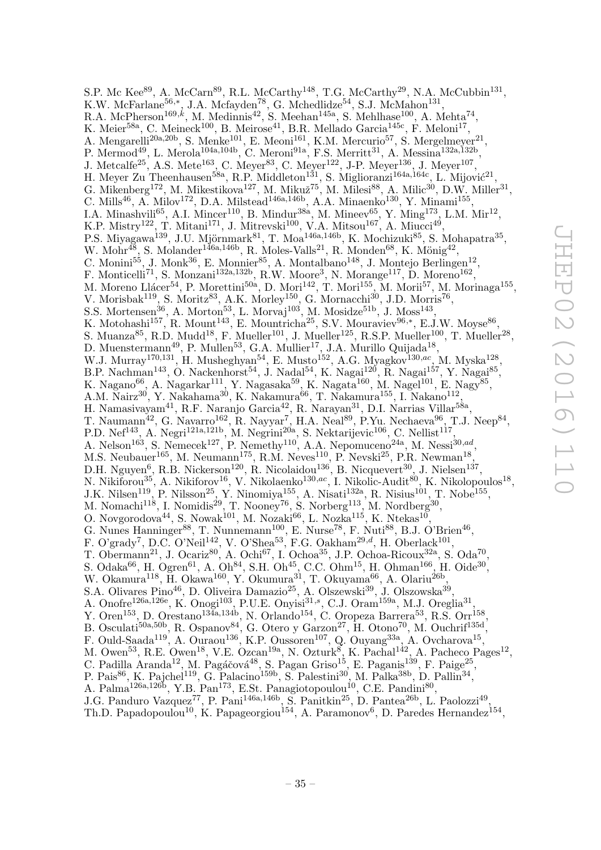S.P. Mc Kee $^{89}$ , A. McCarn $^{89}$ , R.L. McCarthy<sup>148</sup>, T.G. McCarthy<sup>29</sup>, N.A. McCubbin<sup>131</sup>, K.W. McFarlane<sup>56,\*</sup>, J.A. Mcfayden<sup>78</sup>, G. Mchedlidze<sup>54</sup>, S.J. McMahon<sup>131</sup>, R.A. McPherson<sup>169,k</sup>, M. Medinnis<sup>42</sup>, S. Meehan<sup>145a</sup>, S. Mehlhase<sup>100</sup>, A. Mehta<sup>74</sup>, K. Meier<sup>58a</sup>, C. Meineck<sup>100</sup>, B. Meirose<sup>41</sup>, B.R. Mellado Garcia<sup>145c</sup>, F. Meloni<sup>17</sup>, A. Mengarelli<sup>20a,20b</sup>, S. Menke<sup>101</sup>, E. Meoni<sup>161</sup>, K.M. Mercurio<sup>57</sup>, S. Mergelmeyer<sup>21</sup>, P. Mermod<sup>49</sup>, L. Merola<sup>104a,104b</sup>, C. Meroni<sup>91a</sup>, F.S. Merritt<sup>31</sup>, A. Messina<sup>132a,132b</sup>, J. Metcalfe<sup>25</sup>, A.S. Mete<sup>163</sup>, C. Meyer<sup>83</sup>, C. Meyer<sup>122</sup>, J-P. Meyer<sup>136</sup>, J. Meyer<sup>107</sup>, H. Meyer Zu Theenhausen<sup>58a</sup>, R.P. Middleton<sup>131</sup>, S. Miglioranzi<sup>164a,164c</sup>, L. Mijović<sup>21</sup>, G. Mikenberg<sup>172</sup>, M. Mikestikova<sup>127</sup>, M. Mikuž<sup>75</sup>, M. Milesi<sup>88</sup>, A. Milic<sup>30</sup>, D.W. Miller<sup>31</sup>, C. Mills<sup>46</sup>, A. Milov<sup>172</sup>, D.A. Milstead<sup>146a,146b</sup>, A.A. Minaenko<sup>130</sup>, Y. Minami<sup>155</sup>, I.A. Minashvili<sup>65</sup>, A.I. Mincer<sup>110</sup>, B. Mindur<sup>38a</sup>, M. Mineev<sup>65</sup>, Y. Ming<sup>173</sup>, L.M. Mir<sup>12</sup>, K.P. Mistry<sup>122</sup>, T. Mitani<sup>171</sup>, J. Mitrevski<sup>100</sup>, V.A. Mitsou<sup>167</sup>, A. Miucci<sup>49</sup>, P.S. Miyagawa<sup>139</sup>, J.U. Mjörnmark $^{81}$ , T. Moa<sup>146a,146b</sup>, K. Mochizuki $^{85}$ , S. Mohapatra<sup>35</sup>, W. Mohr<sup>48</sup>, S. Molander<sup>146a,146b</sup>, R. Moles-Valls<sup>21</sup>, R. Monden<sup>68</sup>, K. Mönig<sup>42</sup>, C. Monini<sup>55</sup>, J. Monk<sup>36</sup>, E. Monnier<sup>85</sup>, A. Montalbano<sup>148</sup>, J. Montejo Berlingen<sup>12</sup>, F. Monticelli<sup>71</sup>, S. Monzani<sup>132a,132b</sup>, R.W. Moore<sup>3</sup>, N. Morange<sup>117</sup>, D. Moreno<sup>162</sup>, M. Moreno Llácer<sup>54</sup>, P. Morettini<sup>50a</sup>, D. Mori<sup>142</sup>, T. Mori<sup>155</sup>, M. Morii<sup>57</sup>, M. Morinaga<sup>155</sup>, V. Morisbak<sup>119</sup>, S. Moritz<sup>83</sup>, A.K. Morley<sup>150</sup>, G. Mornacchi<sup>30</sup>, J.D. Morris<sup>76</sup>, S.S. Mortensen<sup>36</sup>, A. Morton<sup>53</sup>, L. Morvaj<sup>103</sup>, M. Mosidze<sup>51b</sup>, J. Moss<sup>143</sup>, K. Motohashi<sup>157</sup>, R. Mount<sup>143</sup>, E. Mountricha<sup>25</sup>, S.V. Mouraviev<sup>96,\*</sup>, E.J.W. Moyse<sup>86</sup>, S. Muanza<sup>85</sup>, R.D. Mudd<sup>18</sup>, F. Mueller<sup>101</sup>, J. Mueller<sup>125</sup>, R.S.P. Mueller<sup>100</sup>, T. Mueller<sup>28</sup>, D. Muenstermann<sup>49</sup>, P. Mullen<sup>53</sup>, G.A. Mullier<sup>17</sup>, J.A. Murillo Quijada<sup>18</sup>, W.J. Murray<sup>170,131</sup>, H. Musheghyan<sup>54</sup>, E. Musto<sup>152</sup>, A.G. Myagkov<sup>130,ac</sup>, M. Myska<sup>128</sup>, B.P. Nachman<sup>143</sup>, O. Nackenhorst<sup>54</sup>, J. Nadal<sup>54</sup>, K. Nagai<sup>120</sup>, R. Nagai<sup>157</sup>, Y. Nagai<sup>85</sup>, K. Nagano $^{66}$ , A. Nagarkar $^{111}$ , Y. Nagasaka $^{59}$ , K. Nagata $^{160}$ , M. Nagel $^{101}$ , E. Nagy $^{85}$ , A.M. Nairz $^{30}$ , Y. Nakahama $^{30}$ , K. Nakamura $^{66}$ , T. Nakamura $^{155}$ , I. Nakano $^{112}$ , H. Namasivayam<sup>41</sup>, R.F. Naranjo Garcia<sup>42</sup>, R. Narayan<sup>31</sup>, D.I. Narrias Villar<sup>58a</sup>, T. Naumann<sup>42</sup>, G. Navarro<sup>162</sup>, R. Nayyar<sup>7</sup>, H.A. Neal<sup>89</sup>, P.Yu. Nechaeva<sup>96</sup>, T.J. Neep<sup>84</sup>, P.D. Nef<sup>143</sup>, A. Negri<sup>121a,121b</sup>, M. Negrini<sup>20a</sup>, S. Nektarijevic<sup>106</sup>, C. Nellist<sup>117</sup>, A. Nelson<sup>163</sup>, S. Nemecek<sup>127</sup>, P. Nemethy<sup>110</sup>, A.A. Nepomuceno<sup>24a</sup>, M. Nessi<sup>30,ad</sup>, M.S. Neubauer<sup>165</sup>, M. Neumann<sup>175</sup>, R.M. Neves<sup>110</sup>, P. Nevski<sup>25</sup>, P.R. Newman<sup>18</sup>, D.H. Nguyen<sup>6</sup>, R.B. Nickerson<sup>120</sup>, R. Nicolaidou<sup>136</sup>, B. Nicquevert<sup>30</sup>, J. Nielsen<sup>137</sup>, N. Nikiforou<sup>35</sup>, A. Nikiforov<sup>16</sup>, V. Nikolaenko<sup>130,ac</sup>, I. Nikolic-Audit<sup>80</sup>, K. Nikolopoulos<sup>18</sup>, J.K. Nilsen<sup>119</sup>, P. Nilsson<sup>25</sup>, Y. Ninomiya<sup>155</sup>, A. Nisati<sup>132a</sup>, R. Nisius<sup>101</sup>, T. Nobe<sup>155</sup>, M. Nomachi<sup>118</sup>, I. Nomidis<sup>29</sup>, T. Nooney<sup>76</sup>, S. Norberg<sup>113</sup>, M. Nordberg<sup>30</sup>, O. Novgorodova $^{44}$ , S. Nowak<sup>101</sup>, M. Nozaki<sup>66</sup>, L. Nozka<sup>115</sup>, K. Ntekas<sup>10</sup>, G. Nunes Hanninger<sup>88</sup>, T. Nunnemann<sup>100</sup>, E. Nurse<sup>78</sup>, F. Nuti<sup>88</sup>, B.J. O'Brien<sup>46</sup>, F. O'grady<sup>7</sup>, D.C. O'Neil<sup>142</sup>, V. O'Shea<sup>53</sup>, F.G. Oakham<sup>29,d</sup>, H. Oberlack<sup>101</sup>, T. Obermann<sup>21</sup>, J. Ocariz<sup>80</sup>, A. Ochi<sup>67</sup>, I. Ochoa<sup>35</sup>, J.P. Ochoa-Ricoux<sup>32a</sup>, S. Oda<sup>70</sup>, S. Odaka<sup>66</sup>, H. Ogren<sup>61</sup>, A. Oh<sup>84</sup>, S.H. Oh<sup>45</sup>, C.C. Ohm<sup>15</sup>, H. Ohman<sup>166</sup>, H. Oide<sup>30</sup>, W. Okamura<sup>118</sup>, H. Okawa<sup>160</sup>, Y. Okumura<sup>31</sup>, T. Okuyama<sup>66</sup>, A. Olariu<sup>26b</sup>, S.A. Olivares Pino<sup>46</sup>, D. Oliveira Damazio<sup>25</sup>, A. Olszewski<sup>39</sup>, J. Olszowska<sup>39</sup>, A. Onofre<sup>126a,126e</sup>, K. Onogi<sup>103</sup>, P.U.E. Onyisi<sup>31,s</sup>, C.J. Oram<sup>159a</sup>, M.J. Oreglia<sup>31</sup>, Y. Oren<sup>153</sup>, D. Orestano<sup>134a, 134b</sup>, N. Orlando<sup>154</sup>, C. Oropeza Barrera<sup>53</sup>, R.S. Orr<sup>158</sup> , B. Osculati<sup>50a,50b</sup>, R. Ospanov<sup>84</sup>, G. Otero y Garzon<sup>27</sup>, H. Otono<sup>70</sup>, M. Ouchrif<sup>135d</sup>, F. Ould-Saada<sup>119</sup>, A. Ouraou<sup>136</sup>, K.P. Oussoren<sup>107</sup>, Q. Ouyang<sup>33a</sup>, A. Ovcharova<sup>15</sup>, M. Owen<sup>53</sup>, R.E. Owen<sup>18</sup>, V.E. Ozcan<sup>19a</sup>, N. Ozturk<sup>8</sup>, K. Pachal<sup>142</sup>, A. Pacheco Pages<sup>12</sup>, C. Padilla Aranda<sup>12</sup>, M. Pagáčová<sup>48</sup>, S. Pagan Griso<sup>15</sup>, E. Paganis<sup>139</sup>, F. Paige<sup>25</sup>, P. Pais<sup>86</sup>, K. Pajchel<sup>119</sup>, G. Palacino<sup>159b</sup>, S. Palestini<sup>30</sup>, M. Palka<sup>38b</sup>, D. Pallin<sup>34</sup>, A. Palma<sup>126a,126b</sup>, Y.B. Pan<sup>173</sup>, E.St. Panagiotopoulou<sup>10</sup>, C.E. Pandini<sup>80</sup>, J.G. Panduro Vazquez<sup>77</sup>, P. Pani<sup>146a,146b</sup>, S. Panitkin<sup>25</sup>, D. Pantea<sup>26b</sup>, L. Paolozzi<sup>49</sup>, Th.D. Papadopoulou<sup>10</sup>, K. Papageorgiou<sup>154</sup>, A. Paramonov<sup>6</sup>, D. Paredes Hernandez<sup>154</sup>,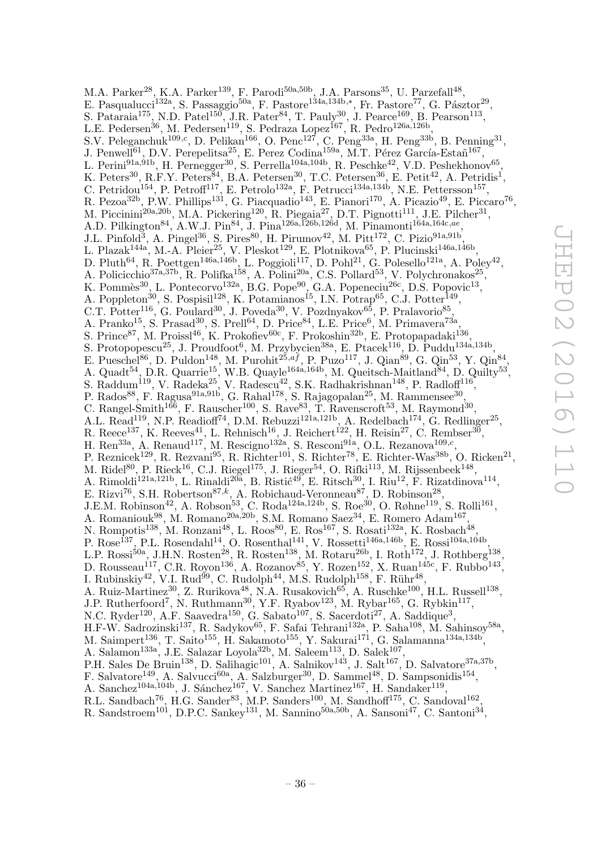M.A. Parker<sup>28</sup>, K.A. Parker<sup>139</sup>, F. Parodi<sup>50a,50b</sup>, J.A. Parsons<sup>35</sup>, U. Parzefall<sup>48</sup>, E. Pasqualucci<sup>132a</sup>, S. Passaggio<sup>50a</sup>, F. Pastore<sup>134a,134b,\*</sup>, Fr. Pastore<sup>77</sup>, G. Pásztor<sup>29</sup>, S. Pataraia<sup>175</sup>, N.D. Patel<sup>150</sup>, J.R. Pater<sup>84</sup>, T. Pauly<sup>30</sup>, J. Pearce<sup>169</sup>, B. Pearson<sup>113</sup>, L.E. Pedersen<sup>36</sup>, M. Pedersen<sup>119</sup>, S. Pedraza Lopez<sup>167</sup>, R. Pedro<sup>126a,126b</sup>, S.V. Peleganchuk<sup>109,c</sup>, D. Pelikan<sup>166</sup>, O. Penc<sup>127</sup>, C. Peng<sup>33a</sup>, H. Peng<sup>33b</sup>, B. Penning<sup>31</sup>, J. Penwell<sup>61</sup>, D.V. Perepelitsa<sup>25</sup>, E. Perez Codina<sup>159a</sup>, M.T. Pérez García-Estañ<sup>167</sup>, L. Perini $^{91a,91b}$ , H. Pernegger<sup>30</sup>, S. Perrella<sup>104a,104b</sup>, R. Peschke<sup>42</sup>, V.D. Peshekhonov<sup>65</sup>, K. Peters<sup>30</sup>, R.F.Y. Peters<sup>84</sup>, B.A. Petersen<sup>30</sup>, T.C. Petersen<sup>36</sup>, E. Petit<sup>42</sup>, A. Petridis<sup>1</sup>, C. Petridou<sup>154</sup>, P. Petroff<sup>117</sup>, E. Petrolo<sup>132a</sup>, F. Petrucci<sup>134a,134b</sup>, N.E. Pettersson<sup>157</sup>, R. Pezoa $^{32b}$ , P.W. Phillips<sup>131</sup>, G. Piacquadio<sup>143</sup>, E. Pianori<sup>170</sup>, A. Picazio<sup>49</sup>, E. Piccaro<sup>76</sup>, M. Piccinini<sup>20a, 20b</sup>, M.A. Pickering<sup>120</sup>, R. Piegaia<sup>27</sup>, D.T. Pignotti<sup>111</sup>, J.E. Pilcher<sup>31</sup>, A.D. Pilkington<sup>84</sup>, A.W.J. Pin<sup>84</sup>, J. Pina<sup>126a,126b,126d</sup>, M. Pinamonti<sup>164a,164c,ae</sup>, J.L. Pinfold<sup>3</sup>, A. Pingel<sup>36</sup>, S. Pires<sup>80</sup>, H. Pirumov<sup>42</sup>, M. Pitt<sup>172</sup>, C. Pizio<sup>91a,91b</sup>, L. Plazak<sup>144a</sup>, M.-A. Pleier<sup>25</sup>, V. Pleskot<sup>129</sup>, E. Plotnikova<sup>65</sup>, P. Plucinski<sup>146a,146b</sup>, D. Pluth<sup>64</sup>, R. Poettgen<sup>146a,146b</sup>, L. Poggioli<sup>117</sup>, D. Pohl<sup>21</sup>, G. Polesello<sup>121a</sup>, A. Poley<sup>42</sup>, A. Policicchio<sup>37a,37b</sup>, R. Polifka<sup>158</sup>, A. Polini<sup>20a</sup>, C.S. Pollard<sup>53</sup>, V. Polychronakos<sup>25</sup>, K. Pommès<sup>30</sup>, L. Pontecorvo<sup>132a</sup>, B.G. Pope<sup>90</sup>, G.A. Popeneciu<sup>26c</sup>, D.S. Popovic<sup>13</sup>, A. Poppleton<sup>30</sup>, S. Pospisil<sup>128</sup>, K. Potamianos<sup>15</sup>, I.N. Potrap<sup>65</sup>, C.J. Potter<sup>149</sup>, C.T. Potter<sup>116</sup>, G. Poulard<sup>30</sup>, J. Poveda<sup>30</sup>, V. Pozdnyakov<sup>65</sup>, P. Pralavorio<sup>85</sup>, A. Pranko<sup>15</sup>, S. Prasad<sup>30</sup>, S. Prell<sup>64</sup>, D. Price<sup>84</sup>, L.E. Price<sup>6</sup>, M. Primavera<sup>73a</sup>, S. Prince<sup>87</sup>, M. Proissl<sup>46</sup>, K. Prokofiev<sup>60c</sup>, F. Prokoshin<sup>32b</sup>, E. Protopapadaki<sup>136</sup> , S. Protopopescu<sup>25</sup>, J. Proudfoot<sup>6</sup>, M. Przybycien<sup>38a</sup>, E. Ptacek<sup>116</sup>, D. Puddu<sup>134a,134b</sup>, E. Pueschel<sup>86</sup>, D. Puldon<sup>148</sup>, M. Purohit<sup>25,af</sup>, P. Puzo<sup>117</sup>, J. Qian<sup>89</sup>, G. Qin<sup>53</sup>, Y. Qin<sup>84</sup>, A. Quadt<sup>54</sup>, D.R. Quarrie<sup>15</sup>, W.B. Quayle<sup>164a,164b</sup>, M. Queitsch-Maitland<sup>84</sup>, D. Quilty<sup>53</sup>, S. Raddum<sup>119</sup>, V. Radeka<sup>25</sup>, V. Radescu<sup>42</sup>, S.K. Radhakrishnan<sup>148</sup>, P. Radloff<sup>116</sup>, P. Rados<sup>88</sup>, F. Ragusa<sup>91a,91b</sup>, G. Rahal<sup>178</sup>, S. Rajagopalan<sup>25</sup>, M. Rammensee<sup>30</sup>, C. Rangel-Smith<sup>166</sup>, F. Rauscher<sup>100</sup>, S. Rave<sup>83</sup>, T. Ravenscroft<sup>53</sup>, M. Raymond<sup>30</sup>, A.L. Read<sup>119</sup>, N.P. Readioff<sup>74</sup>, D.M. Rebuzzi<sup>121a,121b</sup>, A. Redelbach<sup>174</sup>, G. Redlinger<sup>25</sup>, R. Reece<sup>137</sup>, K. Reeves<sup>41</sup>, L. Rehnisch<sup>16</sup>, J. Reichert<sup>122</sup>, H. Reisin<sup>27</sup>, C. Rembser<sup>30</sup>, H. Ren<sup>33a</sup>, A. Renaud<sup>117</sup>, M. Rescigno<sup>132a</sup>, S. Resconi<sup>91a</sup>, O.L. Rezanova<sup>109,*c*</sup>, P. Reznicek<sup>129</sup>, R. Rezvani<sup>95</sup>, R. Richter<sup>101</sup>, S. Richter<sup>78</sup>, E. Richter-Was<sup>38b</sup>, O. Ricken<sup>21</sup>, M. Ridel $^{80}$ , P. Rieck $^{16}$ , C.J. Riegel $^{175}$ , J. Rieger $^{54}$ , O. Rifki $^{113}$ , M. Rijssenbeek $^{148}$ , A. Rimoldi<sup>121a,121b</sup>, L. Rinaldi<sup>20a</sup>, B. Ristić<sup>49</sup>, E. Ritsch<sup>30</sup>, I. Riu<sup>12</sup>, F. Rizatdinova<sup>114</sup>, E. Rizvi<sup>76</sup>, S.H. Robertson<sup>87,k</sup>, A. Robichaud-Veronneau<sup>87</sup>, D. Robinson<sup>28</sup>, J.E.M. Robinson<sup>42</sup>, A. Robson<sup>53</sup>, C. Roda<sup>124a,124b</sup>, S. Roe<sup>30</sup>, O. Røhne<sup>119</sup>, S. Rolli<sup>161</sup>, A. Romaniouk<sup>98</sup>, M. Romano<sup>20a, 20b</sup>, S.M. Romano Saez<sup>34</sup>, E. Romero Adam<sup>167</sup>, N. Rompotis<sup>138</sup>, M. Ronzani<sup>48</sup>, L. Roos<sup>80</sup>, E. Ros<sup>167</sup>, S. Rosati<sup>132a</sup>, K. Rosbach<sup>48</sup>, P. Rose<sup>137</sup>, P.L. Rosendahl<sup>14</sup>, O. Rosenthal<sup>141</sup>, V. Rossetti<sup>146a,146b</sup>, E. Rossi<sup>104a,104b</sup>, L.P. Rossi<sup>50a</sup>, J.H.N. Rosten<sup>28</sup>, R. Rosten<sup>138</sup>, M. Rotaru<sup>26b</sup>, I. Roth<sup>172</sup>, J. Rothberg<sup>138</sup>, D. Rousseau<sup>117</sup>, C.R. Royon<sup>136</sup>, A. Rozanov<sup>85</sup>, Y. Rozen<sup>152</sup>, X. Ruan<sup>145c</sup>, F. Rubbo<sup>143</sup>, I. Rubinskiy<sup>42</sup>, V.I. Rud<sup>99</sup>, C. Rudolph<sup>44</sup>, M.S. Rudolph<sup>158</sup>, F. Rühr<sup>48</sup>, A. Ruiz-Martinez<sup>30</sup>, Z. Rurikova<sup>48</sup>, N.A. Rusakovich<sup>65</sup>, A. Ruschke<sup>100</sup>, H.L. Russell<sup>138</sup>, J.P. Rutherfoord<sup>7</sup>, N. Ruthmann<sup>30</sup>, Y.F. Ryabov<sup>123</sup>, M. Rybar<sup>165</sup>, G. Rybkin<sup>117</sup>, N.C. Ryder<sup>120</sup>, A.F. Saavedra<sup>150</sup>, G. Sabato<sup>107</sup>, S. Sacerdoti<sup>27</sup>, A. Saddique<sup>3</sup>, H.F-W. Sadrozinski<sup>137</sup>, R. Sadykov<sup>65</sup>, F. Safai Tehrani<sup>132a</sup>, P. Saha<sup>108</sup>, M. Sahinsoy<sup>58a</sup>, M. Saimpert $^{136}$ , T. Saito $^{155}$ , H. Sakamoto $^{155}$ , Y. Sakurai $^{171}$ , G. Salamanna $^{134a,134b}$ , A. Salamon<sup>133a</sup>, J.E. Salazar Loyola<sup>32b</sup>, M. Saleem<sup>113</sup>, D. Salek<sup>107</sup>, P.H. Sales De Bruin<sup>138</sup>, D. Salihagic<sup>101</sup>, A. Salnikov<sup>143</sup>, J. Salt<sup>167</sup>, D. Salvatore<sup>37a,37b</sup>, F. Salvatore<sup>149</sup>, A. Salvucci<sup>60a</sup>, A. Salzburger<sup>30</sup>, D. Sammel<sup>48</sup>, D. Sampsonidis<sup>154</sup>, A. Sanchez<sup>104a,104b</sup>, J. Sánchez<sup>167</sup>, V. Sanchez Martinez<sup>167</sup>, H. Sandaker<sup>119</sup>, R.L. Sandbach<sup>76</sup>, H.G. Sander<sup>83</sup>, M.P. Sanders<sup>100</sup>, M. Sandhoff<sup>175</sup>, C. Sandoval<sup>162</sup>,

R. Sandstroem<sup>101</sup>, D.P.C. Sankey<sup>131</sup>, M. Sannino<sup>50a,50b</sup>, A. Sansoni<sup>47</sup>, C. Santoni<sup>34</sup>,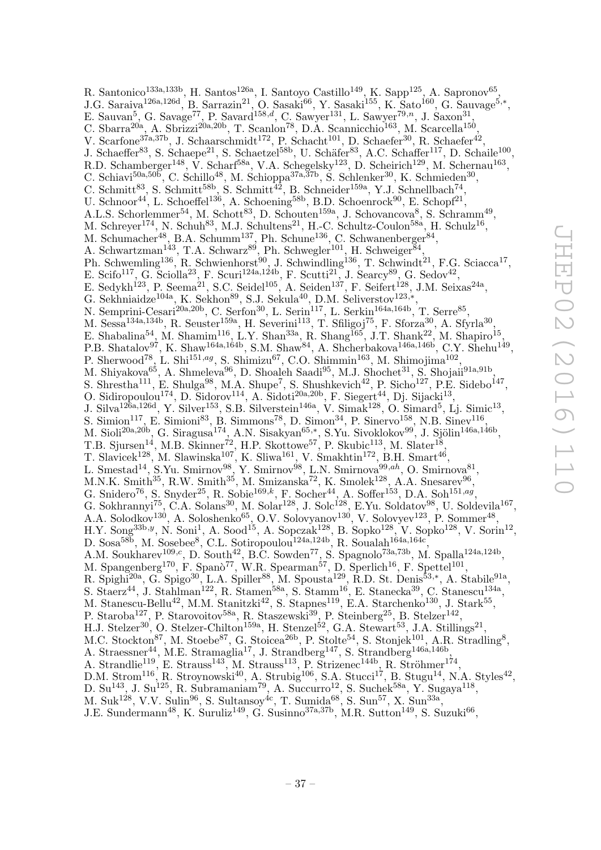R. Santonico<sup>133a,133b</sup>, H. Santos<sup>126a</sup>, I. Santoyo Castillo<sup>149</sup>, K. Sapp<sup>125</sup>, A. Sapronov<sup>65</sup>, J.G. Saraiva<sup>126a,126d</sup>, B. Sarrazin<sup>21</sup>, O. Sasaki<sup>66</sup>, Y. Sasaki<sup>155</sup>, K. Sato<sup>160</sup>, G. Sauvage<sup>5,\*</sup>, E. Sauvan<sup>5</sup>, G. Savage<sup>77</sup>, P. Savard<sup>158,d</sup>, C. Sawyer<sup>131</sup>, L. Sawyer<sup>79,n</sup>, J. Saxon<sup>31</sup>, C. Sbarra<sup>20a</sup>, A. Sbrizzi<sup>20a, 20b</sup>, T. Scanlon<sup>78</sup>, D.A. Scannicchio<sup>163</sup>, M. Scarcella<sup>150</sup>, V. Scarfone<sup>37a,37b</sup>, J. Schaarschmidt<sup>172</sup>, P. Schacht<sup>101</sup>, D. Schaefer<sup>30</sup>, R. Schaefer<sup>42</sup>, J. Schaeffer<sup>83</sup>, S. Schaepe<sup>21</sup>, S. Schaetzel<sup>58b</sup>, U. Schäfer<sup>83</sup>, A.C. Schaffer<sup>117</sup>, D. Schaile<sup>100</sup>, R.D. Schamberger<sup>148</sup>, V. Scharf<sup>58a</sup>, V.A. Schegelsky<sup>123</sup>, D. Scheirich<sup>129</sup>, M. Schernau<sup>163</sup>, C. Schiavi<sup>50a,50b</sup>, C. Schillo<sup>48</sup>, M. Schioppa<sup>37a,57b</sup>, S. Schlenker<sup>30</sup>, K. Schmieden<sup>30</sup>, C. Schmitt<sup>83</sup>, S. Schmitt<sup>58b</sup>, S. Schmitt<sup>42</sup>, B. Schneider<sup>159a</sup>, Y.J. Schnellbach<sup>74</sup>, U. Schnoor<sup>44</sup>, L. Schoeffel<sup>136</sup>, A. Schoening<sup>58b</sup>, B.D. Schoenrock<sup>90</sup>, E. Schopf<sup>21</sup>, A.L.S. Schorlemmer<sup>54</sup>, M. Schott<sup>83</sup>, D. Schouten<sup>159a</sup>, J. Schovancova<sup>8</sup>, S. Schramm<sup>49</sup>, M. Schreyer<sup>174</sup>, N. Schuh<sup>83</sup>, M.J. Schultens<sup>21</sup>, H.-C. Schultz-Coulon<sup>58a</sup>, H. Schulz<sup>16</sup>, M. Schumacher<sup>48</sup>, B.A. Schumm<sup>137</sup>, Ph. Schune<sup>136</sup>, C. Schwanenberger<sup>84</sup>, A. Schwartzman<sup>143</sup>, T.A. Schwarz<sup>89</sup>, Ph. Schwegler<sup>101</sup>, H. Schweiger<sup>84</sup>, Ph. Schwemling<sup>136</sup>, R. Schwienhorst<sup>90</sup>, J. Schwindling<sup>136</sup>, T. Schwindt<sup>21</sup>, F.G. Sciacca<sup>17</sup>, E. Scifo<sup>117</sup>, G. Sciolla<sup>23</sup>, F. Scuri<sup>124a,124b</sup>, F. Scutti<sup>21</sup>, J. Searcy<sup>89</sup>, G. Sedov<sup>42</sup>, E. Sedykh<sup>123</sup>, P. Seema<sup>21</sup>, S.C. Seidel<sup>105</sup>, A. Seiden<sup>137</sup>, F. Seifert<sup>128</sup>, J.M. Seixas<sup>24a</sup>, G. Sekhniaidze<sup>104a</sup>, K. Sekhon<sup>89</sup>, S.J. Sekula<sup>40</sup>, D.M. Seliverstov<sup>123,\*</sup>, N. Semprini-Cesari<sup>20a,20b</sup>, C. Serfon<sup>30</sup>, L. Serin<sup>117</sup>, L. Serkin<sup>164a,164b</sup>, T. Serre<sup>85</sup>, M. Sessa<sup>134a,134b</sup>, R. Seuster<sup>159a</sup>, H. Severini<sup>113</sup>, T. Sfiligoj<sup>75</sup>, F. Sforza<sup>30</sup>, A. Sfyrla<sup>30</sup>, E. Shabalina<sup>54</sup>, M. Shamim<sup>116</sup>, L.Y. Shan<sup>33a</sup>, R. Shang<sup>165</sup>, J.T. Shank<sup>22</sup>, M. Shapiro<sup>15</sup>, P.B. Shatalov<sup>97</sup>, K. Shaw<sup>164a,164b</sup>, S.M. Shaw<sup>84</sup>, A. Shcherbakova<sup>146a,146b</sup>, C.Y. Shehu<sup>149</sup>, P. Sherwood<sup>78</sup>, L. Shi<sup>151,ag</sup>, S. Shimizu<sup>67</sup>, C.O. Shimmin<sup>163</sup>, M. Shimojima<sup>102</sup>, M. Shiyakova<sup>65</sup>, A. Shmeleva<sup>96</sup>, D. Shoaleh Saadi<sup>95</sup>, M.J. Shochet<sup>31</sup>, S. Shojaii<sup>91a,91b</sup>, S. Shrestha<sup>111</sup>, E. Shulga<sup>98</sup>, M.A. Shupe<sup>7</sup>, S. Shushkevich<sup>42</sup>, P. Sicho<sup>127</sup>, P.E. Sidebo<sup>147</sup>, O. Sidiropoulou<sup>174</sup>, D. Sidorov<sup>114</sup>, A. Sidoti<sup>20a, 20b</sup>, F. Siegert<sup>44</sup>, Dj. Sijacki<sup>13</sup>, J. Silva<sup>126a,126d</sup>, Y. Silver<sup>153</sup>, S.B. Silverstein<sup>146a</sup>, V. Simak<sup>128</sup>, O. Simard<sup>5</sup>, Lj. Simic<sup>13</sup>, S. Simion<sup>117</sup>, E. Simioni<sup>83</sup>, B. Simmons<sup>78</sup>, D. Simon<sup>34</sup>, P. Sinervo<sup>158</sup>, N.B. Sinev<sup>116</sup>, M. Sioli<sup>20a,20b</sup>, G. Siragusa<sup>174</sup>, A.N. Sisakyan<sup>65,\*</sup>, S.Yu. Sivoklokov<sup>99</sup>, J. Sjölin<sup>146a,146b</sup>, T.B. Sjursen<sup>14</sup>, M.B. Skinner<sup>72</sup>, H.P. Skottowe<sup>57</sup>, P. Skubic<sup>113</sup>, M. Slater<sup>18</sup>, T. Slavicek<sup>128</sup>, M. Slawinska<sup>107</sup>, K. Sliwa<sup>161</sup>, V. Smakhtin<sup>172</sup>, B.H. Smart<sup>46</sup>, L. Smestad<sup>14</sup>, S.Yu. Smirnov<sup>98</sup>, Y. Smirnov<sup>98</sup>, L.N. Smirnova<sup>99,ah</sup>, O. Smirnova<sup>81</sup>, M.N.K. Smith<sup>35</sup>, R.W. Smith<sup>35</sup>, M. Smizanska<sup>72</sup>, K. Smolek<sup>128</sup>, A.A. Snesarev<sup>96</sup>, G. Snidero<sup>76</sup>, S. Snyder<sup>25</sup>, R. Sobie<sup>169,k</sup>, F. Socher<sup>44</sup>, A. Soffer<sup>153</sup>, D.A. Soh<sup>151,ag</sup>, G. Sokhrannyi<sup>75</sup>, C.A. Solans<sup>30</sup>, M. Solar<sup>128</sup>, J. Solc<sup>128</sup>, E.Yu. Soldatov<sup>98</sup>, U. Soldevila<sup>167</sup>, A.A. Solodkov<sup>130</sup>, A. Soloshenko<sup>65</sup>, O.V. Solovyanov<sup>130</sup>, V. Solovyev<sup>123</sup>, P. Sommer<sup>48</sup>,  $H.Y.$  Song<sup>33b,y</sup>, N. Soni<sup>1</sup>, A. Sood<sup>15</sup>, A. Sopczak<sup>128</sup>, B. Sopko<sup>128</sup>, V. Sopko<sup>128</sup>, V. Sorin<sup>12</sup>, D. Sosa<sup>58b</sup>, M. Sosebee<sup>8</sup>, C.L. Sotiropoulou<sup>124a,124b</sup>, R. Soualah<sup>164a,164c</sup>, A.M. Soukharev<sup>109,c</sup>, D. South<sup>42</sup>, B.C. Sowden<sup>77</sup>, S. Spagnolo<sup>73a,73b</sup>, M. Spalla<sup>124a,124b</sup>, M. Spangenberg<sup>170</sup>, F. Spanò<sup>77</sup>, W.R. Spearman<sup>57</sup>, D. Sperlich<sup>16</sup>, F. Spettel<sup>101</sup>, R. Spighi<sup>20a</sup>, G. Spigo<sup>30</sup>, L.A. Spiller<sup>88</sup>, M. Spousta<sup>129</sup>, R.D. St. Denis<sup>53,\*</sup>, A. Stabile<sup>91a</sup>, S. Staerz<sup>44</sup>, J. Stahlman<sup>122</sup>, R. Stamen<sup>58a</sup>, S. Stamm<sup>16</sup>, E. Stanecka<sup>39</sup>, C. Stanescu<sup>134a</sup>, M. Stanescu-Bellu<sup>42</sup>, M.M. Stanitzki<sup>42</sup>, S. Stapnes<sup>119</sup>, E.A. Starchenko<sup>130</sup>, J. Stark<sup>55</sup>, P. Staroba<sup>127</sup>, P. Starovoitov<sup>58a</sup>, R. Staszewski<sup>39</sup>, P. Steinberg<sup>25</sup>, B. Stelzer<sup>142</sup>, H.J. Stelzer<sup>30</sup>, O. Stelzer-Chilton<sup>159a</sup>, H. Stenzel<sup>52</sup>, G.A. Stewart<sup>53</sup>, J.A. Stillings<sup>21</sup>, M.C. Stockton<sup>87</sup>, M. Stoebe<sup>87</sup>, G. Stoicea<sup>26b</sup>, P. Stolte<sup>54</sup>, S. Stonjek<sup>101</sup>, A.R. Stradling<sup>8</sup>, A. Straessner<sup>44</sup>, M.E. Stramaglia<sup>17</sup>, J. Strandberg<sup>147</sup>, S. Strandberg<sup>146a,146b</sup>, A. Strandlie<sup>119</sup>, E. Strauss<sup>143</sup>, M. Strauss<sup>113</sup>, P. Strizenec<sup>144b</sup>, R. Ströhmer<sup>174</sup>, D.M. Strom<sup>116</sup>, R. Stroynowski<sup>40</sup>, A. Strubig<sup>106</sup>, S.A. Stucci<sup>17</sup>, B. Stugu<sup>14</sup>, N.A. Styles<sup>42</sup>, D. Su<sup>143</sup>, J. Su<sup>125</sup>, R. Subramaniam<sup>79</sup>, A. Succurro<sup>12</sup>, S. Suchek<sup>58a</sup>, Y. Sugaya<sup>118</sup>, M. Suk<sup>128</sup>, V.V. Sulin<sup>96</sup>, S. Sultansoy<sup>4c</sup>, T. Sumida<sup>68</sup>, S. Sun<sup>57</sup>, X. Sun<sup>33a</sup>,

J.E. Sundermann<sup>48</sup>, K. Suruliz<sup>149</sup>, G. Susinno<sup>37a,37b</sup>, M.R. Sutton<sup>149</sup>, S. Suzuki<sup>66</sup>,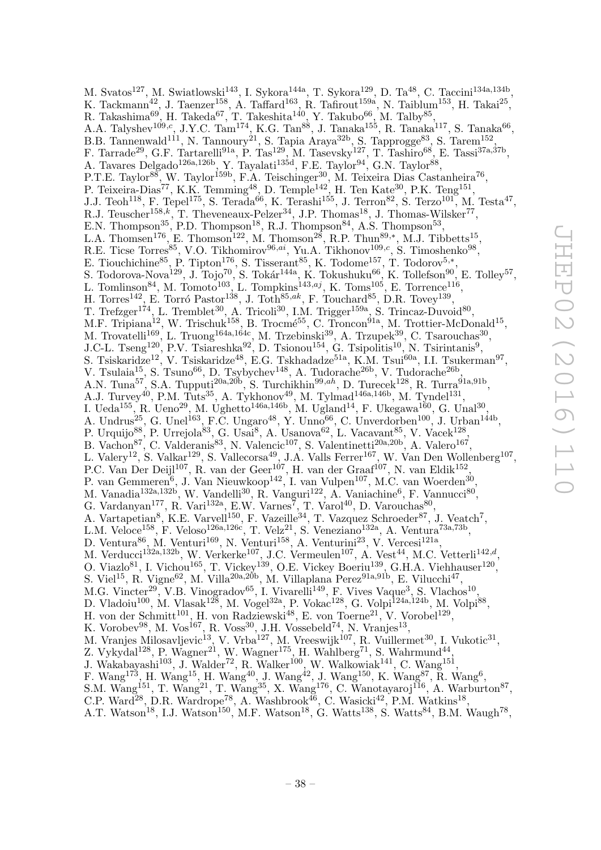M. Svatos<sup>127</sup>, M. Swiatlowski<sup>143</sup>, I. Sykora<sup>144a</sup>, T. Sykora<sup>129</sup>, D. Ta<sup>48</sup>, C. Taccini<sup>134a,134b</sup>, K. Tackmann<sup>42</sup>, J. Taenzer<sup>158</sup>, A. Taffard<sup>163</sup>, R. Tafirout<sup>159a</sup>, N. Taiblum<sup>153</sup>, H. Takai<sup>25</sup>, R. Takashima $^{69}$ , H. Takeda $^{67}$ , T. Takeshita<sup>140</sup>, Y. Takubo $^{66}$ , M. Talby $^{85}$ , A.A. Talyshev<sup>109,c</sup>, J.Y.C. Tam<sup>174</sup>, K.G. Tan<sup>88</sup>, J. Tanaka<sup>155</sup>, R. Tanaka<sup>117</sup>, S. Tanaka<sup>66</sup>, B.B. Tannenwald<sup>111</sup>, N. Tannoury<sup>21</sup>, S. Tapia Araya<sup>32b</sup>, S. Tapprogge<sup>83</sup>, S. Tarem<sup>152</sup>, F. Tarrade<sup>29</sup>, G.F. Tartarelli<sup>91a</sup>, P. Tas<sup>129</sup>, M. Tasevsky<sup>127</sup>, T. Tashiro<sup>68</sup>, E. Tassi<sup>37a,37b</sup>, A. Tavares Delgado<sup>126a, 126b</sup>, Y. Tayalati<sup>135d</sup>, F.E. Taylor<sup>94</sup>, G.N. Taylor<sup>88</sup>, P.T.E. Taylor<sup>88</sup>, W. Taylor<sup>159b</sup>, F.A. Teischinger<sup>30</sup>, M. Teixeira Dias Castanheira<sup>76</sup>, P. Teixeira-Dias<sup>77</sup>, K.K. Temming<sup>48</sup>, D. Temple<sup>142</sup>, H. Ten Kate<sup>30</sup>, P.K. Teng<sup>151</sup>, J.J. Teoh<sup>118</sup>, F. Tepel<sup>175</sup>, S. Terada<sup>66</sup>, K. Terashi<sup>155</sup>, J. Terron<sup>82</sup>, S. Terzo<sup>101</sup>, M. Testa<sup>47</sup>, R.J. Teuscher<sup>158,k</sup>, T. Theveneaux-Pelzer<sup>34</sup>, J.P. Thomas<sup>18</sup>, J. Thomas-Wilsker<sup>77</sup>, E.N. Thompson<sup>35</sup>, P.D. Thompson<sup>18</sup>, R.J. Thompson<sup>84</sup>, A.S. Thompson<sup>53</sup>, L.A. Thomsen<sup>176</sup>, E. Thomson<sup>122</sup>, M. Thomson<sup>28</sup>, R.P. Thun<sup>89,\*</sup>, M.J. Tibbetts<sup>15</sup>, R.E. Ticse Torres<sup>85</sup>, V.O. Tikhomirov<sup>96,ai</sup>, Yu.A. Tikhonov<sup>109,c</sup>, S. Timoshenko<sup>98</sup>, E. Tiouchichine<sup>85</sup>, P. Tipton<sup>176</sup>, S. Tisserant<sup>85</sup>, K. Todome<sup>157</sup>, T. Todorov<sup>5,\*</sup>, S. Todorova-Nova<sup>129</sup>, J. Tojo<sup>70</sup>, S. Tokár<sup>144a</sup>, K. Tokushuku<sup>66</sup>, K. Tollefson<sup>90</sup>, E. Tolley<sup>57</sup>, L. Tomlinson<sup>84</sup>, M. Tomoto<sup>103</sup>, L. Tompkins<sup>143,aj</sup>, K. Toms<sup>105</sup>, E. Torrence<sup>116</sup>, H. Torres<sup>142</sup>, E. Torró Pastor<sup>138</sup>, J. Toth<sup>85,ak</sup>, F. Touchard<sup>85</sup>, D.R. Tovey<sup>139</sup>, T. Trefzger<sup>174</sup>, L. Tremblet<sup>30</sup>, A. Tricoli<sup>30</sup>, I.M. Trigger<sup>159a</sup>, S. Trincaz-Duvoid<sup>80</sup>, M.F. Tripiana<sup>12</sup>, W. Trischuk<sup>158</sup>, B. Trocmé<sup>55</sup>, C. Troncon<sup>91a</sup>, M. Trottier-McDonald<sup>15</sup>, M. Trovatelli<sup>169</sup>, L. Truong<sup>164a,164c</sup>, M. Trzebinski<sup>39</sup>, A. Trzupek<sup>39</sup>, C. Tsarouchas<sup>30</sup>, J.C-L. Tseng<sup>120</sup>, P.V. Tsiareshka<sup>92</sup>, D. Tsionou<sup>154</sup>, G. Tsipolitis<sup>10</sup>, N. Tsirintanis<sup>9</sup>, S. Tsiskaridze<sup>12</sup>, V. Tsiskaridze<sup>48</sup>, E.G. Tskhadadze<sup>51a</sup>, K.M. Tsui<sup>60a</sup>, I.I. Tsukerman<sup>97</sup>, V. Tsulaia<sup>15</sup>, S. Tsuno<sup>66</sup>, D. Tsybychev<sup>148</sup>, A. Tudorache<sup>26b</sup>, V. Tudorache<sup>26b</sup>, A.N. Tuna<sup>57</sup>, S.A. Tupputi<sup>20a, 20b</sup>, S. Turchikhin<sup>99, ah</sup>, D. Turecek<sup>128</sup>, R. Turra<sup>91a, 91b</sup>, A.J. Turvey<sup>40</sup>, P.M. Tuts<sup>35</sup>, A. Tykhonov<sup>49</sup>, M. Tylmad<sup>146a,146b</sup>, M. Tyndel<sup>131</sup>, I. Ueda<sup>155</sup>, R. Ueno<sup>29</sup>, M. Ughetto<sup>146a,146b</sup>, M. Ugland<sup>14</sup>, F. Ukegawa<sup>160</sup>, G. Unal<sup>30</sup>, A. Undrus<sup>25</sup>, G. Unel<sup>163</sup>, F.C. Ungaro<sup>48</sup>, Y. Unno<sup>66</sup>, C. Unverdorben<sup>100</sup>, J. Urban<sup>144b</sup>, P. Urquijo $^{88}$ , P. Urrejola $^{83}$ , G. Usai $^8$ , A. Usanova $^{62}$ , L. Vacavant $^{85}$ , V. Vacek $^{128}$ , B. Vachon<sup>87</sup>, C. Valderanis<sup>83</sup>, N. Valencic<sup>107</sup>, S. Valentinetti<sup>20a, 20b</sup>, A. Valero<sup>167</sup>, L. Valery<sup>12</sup>, S. Valkar<sup>129</sup>, S. Vallecorsa<sup>49</sup>, J.A. Valls Ferrer<sup>167</sup>, W. Van Den Wollenberg<sup>107</sup>, P.C. Van Der Deijl<sup>107</sup>, R. van der Geer<sup>107</sup>, H. van der Graaf<sup>107</sup>, N. van Eldik<sup>152</sup>, P. van Gemmeren<sup>6</sup>, J. Van Nieuwkoop<sup>142</sup>, I. van Vulpen<sup>107</sup>, M.C. van Woerden<sup>30</sup>, M. Vanadia<sup>132a,132b</sup>, W. Vandelli<sup>30</sup>, R. Vanguri<sup>122</sup>, A. Vaniachine<sup>6</sup>, F. Vannucci<sup>80</sup>, G. Vardanyan<sup>177</sup>, R. Vari<sup>132a</sup>, E.W. Varnes<sup>7</sup>, T. Varol<sup>40</sup>, D. Varouchas<sup>80</sup>, A. Vartapetian<sup>8</sup>, K.E. Varvell<sup>150</sup>, F. Vazeille<sup>34</sup>, T. Vazquez Schroeder<sup>87</sup>, J. Veatch<sup>7</sup>, L.M. Veloce<sup>158</sup>, F. Veloso<sup>126a,126c</sup>, T. Velz<sup>21</sup>, S. Veneziano<sup>132a</sup>, A. Ventura<sup>73a,73b</sup>, D. Ventura<sup>86</sup>, M. Venturi<sup>169</sup>, N. Venturi<sup>158</sup>, A. Venturini<sup>23</sup>, V. Vercesi<sup>121a</sup>, M. Verducci<sup>132a,132b</sup>, W. Verkerke<sup>107</sup>, J.C. Vermeulen<sup>107</sup>, A. Vest<sup>44</sup>, M.C. Vetterli<sup>142,d</sup>, O. Viazlo<sup>81</sup>, I. Vichou<sup>165</sup>, T. Vickey<sup>139</sup>, O.E. Vickey Boeriu<sup>139</sup>, G.H.A. Viehhauser<sup>120</sup>, S. Viel<sup>15</sup>, R. Vigne<sup>62</sup>, M. Villa<sup>20a, 20b</sup>, M. Villaplana Perez<sup>91a, 91b</sup>, E. Vilucchi<sup>47</sup>, M.G. Vincter<sup>29</sup>, V.B. Vinogradov<sup>65</sup>, I. Vivarelli<sup>149</sup>, F. Vives Vaque<sup>3</sup>, S. Vlachos<sup>10</sup>, D. Vladoiu<sup>100</sup>, M. Vlasak<sup>128</sup>, M. Vogel<sup>32a</sup>, P. Vokac<sup>128</sup>, G. Volpi<sup>124a,124b</sup>, M. Volpi<sup>88</sup>, H. von der Schmitt<sup>101</sup>, H. von Radziewski<sup>48</sup>, E. von Toerne<sup>21</sup>, V. Vorobel<sup>129</sup>, K. Vorobev $^{98}$ , M. Vos $^{167}$ , R. Voss $^{30}$ , J.H. Vossebeld $^{74}$ , N. Vranjes $^{13}$ , M. Vranjes Milosavljevic<sup>13</sup>, V. Vrba<sup>127</sup>, M. Vreeswijk<sup>107</sup>, R. Vuillermet<sup>30</sup>, I. Vukotic<sup>31</sup>, Z. Vykydal<sup>128</sup>, P. Wagner<sup>21</sup>, W. Wagner<sup>175</sup>, H. Wahlberg<sup>71</sup>, S. Wahrmund<sup>44</sup>, J. Wakabayashi<sup>103</sup>, J. Walder<sup>72</sup>, R. Walker<sup>100</sup>, W. Walkowiak<sup>141</sup>, C. Wang<sup>151</sup>, F. Wang<sup>173</sup>, H. Wang<sup>15</sup>, H. Wang<sup>40</sup>, J. Wang<sup>42</sup>, J. Wang<sup>150</sup>, K. Wang<sup>87</sup>, R. Wang<sup>6</sup>, S.M. Wang<sup>151</sup>, T. Wang<sup>21</sup>, T. Wang<sup>35</sup>, X. Wang<sup>176</sup>, C. Wanotayaroj<sup>116</sup>, A. Warburton<sup>87</sup>, C.P. Ward<sup>28</sup>, D.R. Wardrope<sup>78</sup>, A. Washbrook<sup>46</sup>, C. Wasicki<sup>42</sup>, P.M. Watkins<sup>18</sup>,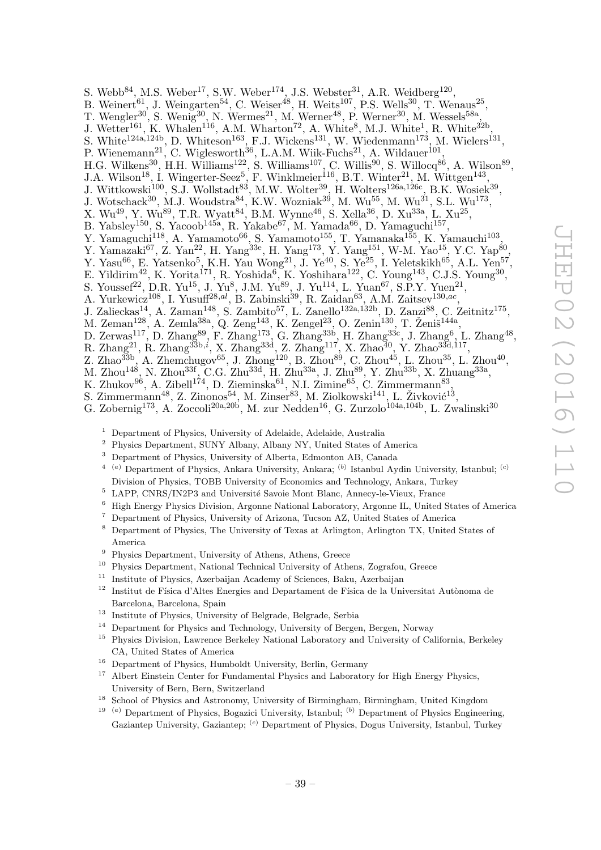- S. Webb $^{84}$ , M.S. Weber<sup>17</sup>, S.W. Weber<sup>174</sup>, J.S. Webster<sup>31</sup>, A.R. Weidberg<sup>120</sup>,
- B. Weinert<sup>61</sup>, J. Weingarten<sup>54</sup>, C. Weiser<sup>48</sup>, H. Weits<sup>107</sup>, P.S. Wells<sup>30</sup>, T. Wenaus<sup>25</sup>,
- T. Wengler<sup>30</sup>, S. Wenig<sup>30</sup>, N. Wermes<sup>21</sup>, M. Werner<sup>48</sup>, P. Werner<sup>30</sup>, M. Wessels<sup>58a</sup>,
- J. Wetter<sup>161</sup>, K. Whalen<sup>116</sup>, A.M. Wharton<sup>72</sup>, A. White<sup>8</sup>, M.J. White<sup>1</sup>, R. White<sup>32b</sup>,
- S. White<sup>124a,124b</sup>, D. Whiteson<sup>163</sup>, F.J. Wickens<sup>131</sup>, W. Wiedenmann<sup>173</sup>, M. Wielers<sup>131</sup>,
- P. Wienemann<sup>21</sup>, C. Wiglesworth<sup>36</sup>, L.A.M. Wiik-Fuchs<sup>21</sup>, A. Wildauer<sup>101</sup>,
- H.G. Wilkens<sup>30</sup>, H.H. Williams<sup>122</sup>, S. Williams<sup>107</sup>, C. Willis<sup>90</sup>, S. Willocq<sup>86</sup>, A. Wilson<sup>89</sup>,
- J.A. Wilson<sup>18</sup>, I. Wingerter-Seez<sup>5</sup>, F. Winklmeier<sup>116</sup>, B.T. Winter<sup>21</sup>, M. Wittgen<sup>143</sup>,
- J. Wittkowski<sup>100</sup>, S.J. Wollstadt<sup>83</sup>, M.W. Wolter<sup>39</sup>, H. Wolters<sup>126a,126c</sup>, B.K. Wosiek<sup>39</sup>,
- J. Wotschack<sup>30</sup>, M.J. Woudstra<sup>84</sup>, K.W. Wozniak<sup>39</sup>, M. Wu<sup>55</sup>, M. Wu<sup>31</sup>, S.L. Wu<sup>173</sup>,
- X. Wu<sup>49</sup>, Y. Wu<sup>89</sup>, T.R. Wyatt<sup>84</sup>, B.M. Wynne<sup>46</sup>, S. Xella<sup>36</sup>, D. Xu<sup>33a</sup>, L. Xu<sup>25</sup>,
- B. Yabsley<sup>150</sup>, S. Yacoob<sup>145a</sup>, R. Yakabe<sup>67</sup>, M. Yamada<sup>66</sup>, D. Yamaguchi<sup>157</sup>,
- Y. Yamaguchi<sup>118</sup>, A. Yamamoto<sup>66</sup>, S. Yamamoto<sup>155</sup>, T. Yamanaka<sup>155</sup>, K. Yamauchi<sup>103</sup>,
- Y. Yamazaki<sup>67</sup>, Z. Yan<sup>22</sup>, H. Yang<sup>33e</sup>, H. Yang<sup>173</sup>, Y. Yang<sup>151</sup>, W-M. Yao<sup>15</sup>, Y.C. Yap<sup>80</sup>,
- Y. Yasu<sup>66</sup>, E. Yatsenko<sup>5</sup>, K.H. Yau Wong<sup>21</sup>, J. Ye<sup>40</sup>, S. Ye<sup>25</sup>, I. Yeletskikh<sup>65</sup>, A.L. Yen<sup>57</sup>,
- E. Yildirim<sup>42</sup>, K. Yorita<sup>171</sup>, R. Yoshida<sup>6</sup>, K. Yoshihara<sup>122</sup>, C. Young<sup>143</sup>, C.J.S. Young<sup>30</sup>,
- S. Youssef<sup>22</sup>, D.R. Yu<sup>15</sup>, J. Yu<sup>8</sup>, J.M. Yu<sup>89</sup>, J. Yu<sup>114</sup>, L. Yuan<sup>67</sup>, S.P.Y. Yuen<sup>21</sup>,
- A. Yurkewicz<sup>108</sup>, I. Yusuff<sup>28,*al*</sup>, B. Zabinski<sup>39</sup>, R. Zaidan<sup>63</sup>, A.M. Zaitsev<sup>130,*ac*</sup>,
- J. Zalieckas<sup>14</sup>, A. Zaman<sup>148</sup>, S. Zambito<sup>57</sup>, L. Zanello<sup>132a, 132b</sup>, D. Zanzi<sup>88</sup>, C. Zeitnitz<sup>175</sup>,
- M. Zeman<sup>128</sup>, A. Zemla<sup>38a</sup>, Q. Zeng<sup>143</sup>, K. Zengel<sup>23</sup>, O. Zenin<sup>130</sup>, T. Ženiš<sup>144a</sup>,
- D. Zerwas<sup>117</sup>, D. Zhang<sup>89</sup>, F. Zhang<sup>173</sup>, G. Zhang<sup>33b</sup>, H. Zhang<sup>33c</sup>, J. Zhang<sup>6</sup>, L. Zhang<sup>48</sup>,
- R. Zhang<sup>21</sup>, R. Zhang<sup>33b,*i*</sup>, X. Zhang<sup>33d</sup>, Z. Zhang<sup>117</sup>, X. Zhao<sup>40</sup>, Y. Zhao<sup>33d,117</sup>,
- Z. Zhao $^{33b}$ , A. Zhemchugov $^{65}$ , J. Zhong<sup>120</sup>, B. Zhou<sup>89</sup>, C. Zhou<sup>45</sup>, L. Zhou<sup>35</sup>, L. Zhou<sup>40</sup>,
- M. Zhou $^{148}$ , N. Zhou $^{33f}$ , C.G. Zhu $^{33d}$ , H. Zhu $^{33a}$ , J. Zhu $^{89}$ , Y. Zhu $^{33b}$ , X. Zhuang $^{33a}$ ,
- K. Zhukov $^{96}$ , A. Zibell<sup>174</sup>, D. Zieminska $^{61}$ , N.I. Zimine $^{65}$ , C. Zimmermann $^{83}$ ,
- S. Zimmermann<sup>48</sup>, Z. Zinonos<sup>54</sup>, M. Zinser<sup>83</sup>, M. Ziolkowski<sup>141</sup>, L. Živković<sup>13</sup>,
- G. Zobernig<sup>173</sup>, A. Zoccoli<sup>20a,20b</sup>, M. zur Nedden<sup>16</sup>, G. Zurzolo<sup>104a,104b</sup>, L. Zwalinski<sup>30</sup>
	- <sup>1</sup> Department of Physics, University of Adelaide, Adelaide, Australia
	- <sup>2</sup> Physics Department, SUNY Albany, Albany NY, United States of America
	- <sup>3</sup> Department of Physics, University of Alberta, Edmonton AB, Canada
	- <sup>4</sup> <sup>(a)</sup> Department of Physics, Ankara University, Ankara; <sup>(b)</sup> Istanbul Aydin University, Istanbul; <sup>(c)</sup> Division of Physics, TOBB University of Economics and Technology, Ankara, Turkey
	- $5$  LAPP, CNRS/IN2P3 and Université Savoie Mont Blanc, Annecy-le-Vieux, France
	- <sup>6</sup> High Energy Physics Division, Argonne National Laboratory, Argonne IL, United States of America<br><sup>7</sup> Department of Physics University of Arizona Tucson  $4Z$ , United States of America
	- <sup>7</sup> Department of Physics, University of Arizona, Tucson AZ, United States of America
	- <sup>8</sup> Department of Physics, The University of Texas at Arlington, Arlington TX, United States of America
	- <sup>9</sup> Physics Department, University of Athens, Athens, Greece
	- <sup>10</sup> Physics Department, National Technical University of Athens, Zografou, Greece
	- <sup>11</sup> Institute of Physics, Azerbaijan Academy of Sciences, Baku, Azerbaijan
	- $12$  Institut de Física d'Altes Energies and Departament de Física de la Universitat Autònoma de Barcelona, Barcelona, Spain
	- <sup>13</sup> Institute of Physics, University of Belgrade, Belgrade, Serbia
	- <sup>14</sup> Department for Physics and Technology, University of Bergen, Bergen, Norway
	- <sup>15</sup> Physics Division, Lawrence Berkeley National Laboratory and University of California, Berkeley CA, United States of America
	- <sup>16</sup> Department of Physics, Humboldt University, Berlin, Germany
	- <sup>17</sup> Albert Einstein Center for Fundamental Physics and Laboratory for High Energy Physics, University of Bern, Bern, Switzerland
	- <sup>18</sup> School of Physics and Astronomy, University of Birmingham, Birmingham, United Kingdom
	- <sup>19</sup> <sup>(a)</sup> Department of Physics, Bogazici University, Istanbul; <sup>(b)</sup> Department of Physics Engineering, Gaziantep University, Gaziantep; <sup>(c)</sup> Department of Physics, Dogus University, Istanbul, Turkey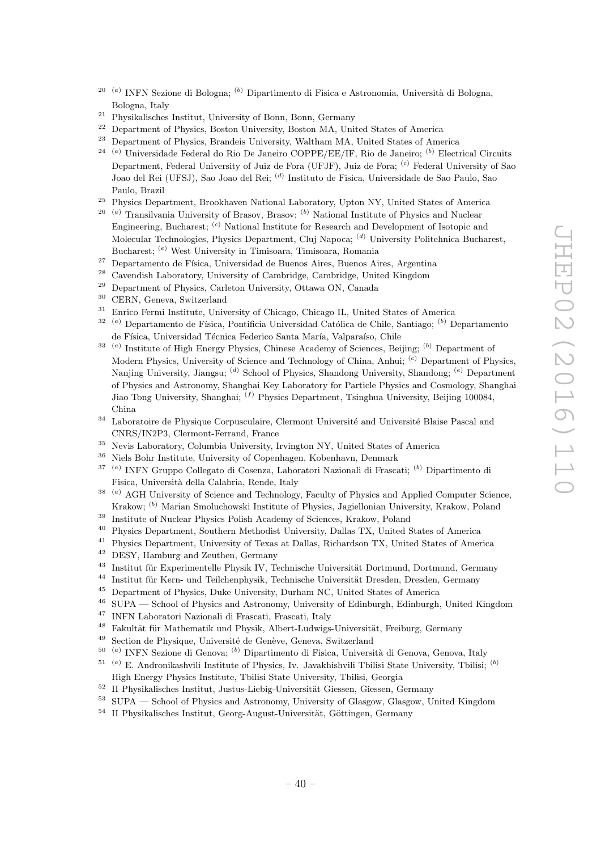- <sup>20 (a)</sup> INFN Sezione di Bologna; <sup>(b)</sup> Dipartimento di Fisica e Astronomia, Università di Bologna, Bologna, Italy
- <sup>21</sup> Physikalisches Institut, University of Bonn, Bonn, Germany
- <sup>22</sup> Department of Physics, Boston University, Boston MA, United States of America<br><sup>23</sup> Department of Physics, Brandeis University, Weltham MA, United States of Amer
- <sup>23</sup> Department of Physics, Brandeis University, Waltham MA, United States of America
- <sup>24 (a)</sup> Universidade Federal do Rio De Janeiro COPPE/EE/IF, Rio de Janeiro; <sup>(b)</sup> Electrical Circuits Department, Federal University of Juiz de Fora (UFJF), Juiz de Fora; <sup>(c)</sup> Federal University of Sao Joao del Rei (UFSJ), Sao Joao del Rei; <sup>(d)</sup> Instituto de Fisica, Universidade de Sao Paulo, Sao Paulo, Brazil
- <sup>25</sup> Physics Department, Brookhaven National Laboratory, Upton NY, United States of America
- <sup>26</sup> <sup>(a)</sup> Transilvania University of Brasov, Brasov; <sup>(b)</sup> National Institute of Physics and Nuclear Engineering, Bucharest; <sup>(c)</sup> National Institute for Research and Development of Isotopic and Molecular Technologies, Physics Department, Cluj Napoca; <sup>(d)</sup> University Politehnica Bucharest, Bucharest; <sup>(e)</sup> West University in Timisoara, Timisoara, Romania
- <sup>27</sup> Departamento de Física, Universidad de Buenos Aires, Buenos Aires, Argentina
- <sup>28</sup> Cavendish Laboratory, University of Cambridge, Cambridge, United Kingdom<br><sup>29</sup> Department of Physics, Carlotan University, Ottoms ON, Canada
- Department of Physics, Carleton University, Ottawa ON, Canada
- $30$  CERN, Geneva, Switzerland<br> $31$  Eurisa Euris Institute Huis
- <sup>31</sup> Enrico Fermi Institute, University of Chicago, Chicago IL, United States of America
- <sup>32 (a)</sup> Departamento de Física, Pontificia Universidad Católica de Chile, Santiago; <sup>(b)</sup> Departamento de Física, Universidad Técnica Federico Santa María, Valparaíso, Chile
- <sup>33</sup><sup>(a)</sup> Institute of High Energy Physics, Chinese Academy of Sciences, Beijing; <sup>(b)</sup> Department of Modern Physics, University of Science and Technology of China, Anhui; <sup>(c)</sup> Department of Physics, Nanjing University, Jiangsu; <sup>(d)</sup> School of Physics, Shandong University, Shandong; <sup>(e)</sup> Department of Physics and Astronomy, Shanghai Key Laboratory for Particle Physics and Cosmology, Shanghai Jiao Tong University, Shanghai; <sup>(f)</sup> Physics Department, Tsinghua University, Beijing 100084, China
- <sup>34</sup> Laboratoire de Physique Corpusculaire, Clermont Université and Université Blaise Pascal and CNRS/IN2P3, Clermont-Ferrand, France
- <sup>35</sup> Nevis Laboratory, Columbia University, Irvington NY, United States of America
- <sup>36</sup> Niels Bohr Institute, University of Copenhagen, Kobenhavn, Denmark
- <sup>37 (a)</sup> INFN Gruppo Collegato di Cosenza, Laboratori Nazionali di Frascati; <sup>(b)</sup> Dipartimento di Fisica, Università della Calabria, Rende, Italy
- <sup>38 (a)</sup> AGH University of Science and Technology, Faculty of Physics and Applied Computer Science, Krakow; <sup>(b)</sup> Marian Smoluchowski Institute of Physics, Jagiellonian University, Krakow, Poland
- <sup>39</sup> Institute of Nuclear Physics Polish Academy of Sciences, Krakow, Poland
- <sup>40</sup> Physics Department, Southern Methodist University, Dallas TX, United States of America
- <sup>41</sup> Physics Department, University of Texas at Dallas, Richardson TX, United States of America
- <sup>42</sup> DESY, Hamburg and Zeuthen, Germany
- <sup>43</sup> Institut für Experimentelle Physik IV, Technische Universität Dortmund, Dortmund, Germany<br><sup>44</sup> Institut für Korn, und Teilchennbysik, Technische Universität Dresden, Dresden, Germany
- <sup>44</sup> Institut für Kern- und Teilchenphysik, Technische Universität Dresden, Dresden, Germany<br><sup>45</sup> Department of Physics, Duke University, Durham NG, United States of America
- <sup>45</sup> Department of Physics, Duke University, Durham NC, United States of America<br><sup>46</sup> SUDA School of Physics and Astronomy University of Edinburgh Edinburgh
- <sup>46</sup> SUPA School of Physics and Astronomy, University of Edinburgh, Edinburgh, United Kingdom
- <sup>47</sup> INFN Laboratori Nazionali di Frascati, Frascati, Italy
- <sup>48</sup> Fakultät für Mathematik und Physik, Albert-Ludwigs-Universität, Freiburg, Germany
- Section de Physique, Université de Genève, Geneva, Switzerland
- <sup>50 (a)</sup> INFN Sezione di Genova; <sup>(b)</sup> Dipartimento di Fisica, Università di Genova, Genova, Italy
- <sup>51 (a)</sup> E. Andronikashvili Institute of Physics, Iv. Javakhishvili Tbilisi State University, Tbilisi; <sup>(b)</sup> High Energy Physics Institute, Tbilisi State University, Tbilisi, Georgia
- $52\;$  II Physikalisches Institut, Justus-Liebig-Universität Giessen, Giessen, Germany
- <sup>53</sup> SUPA School of Physics and Astronomy, University of Glasgow, Glasgow, United Kingdom
- $54$  II Physikalisches Institut, Georg-August-Universität, Göttingen, Germany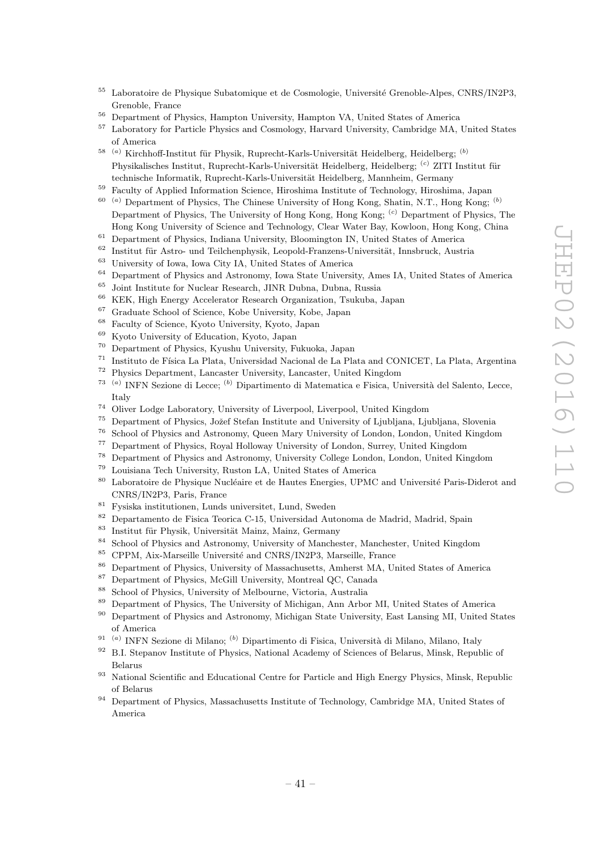- <sup>55</sup> Laboratoire de Physique Subatomique et de Cosmologie, Université Grenoble-Alpes, CNRS/IN2P3, Grenoble, France
- <sup>56</sup> Department of Physics, Hampton University, Hampton VA, United States of America
- <sup>57</sup> Laboratory for Particle Physics and Cosmology, Harvard University, Cambridge MA, United States of America
- <sup>58 (a)</sup> Kirchhoff-Institut für Physik, Ruprecht-Karls-Universität Heidelberg, Heidelberg; <sup>(b)</sup> Physikalisches Institut, Ruprecht-Karls-Universität Heidelberg, Heidelberg; <sup>(c)</sup> ZITI Institut für technische Informatik, Ruprecht-Karls-Universität Heidelberg, Mannheim, Germany
- <sup>59</sup> Faculty of Applied Information Science, Hiroshima Institute of Technology, Hiroshima, Japan
- $60$ <sup>(a)</sup> Department of Physics, The Chinese University of Hong Kong, Shatin, N.T., Hong Kong;  $(b)$ Department of Physics, The University of Hong Kong, Hong Kong; <sup>(c)</sup> Department of Physics, The
- Hong Kong University of Science and Technology, Clear Water Bay, Kowloon, Hong Kong, China <sup>61</sup> Department of Physics, Indiana University, Bloomington IN, United States of America
- <sup>62</sup> Institut für Astro- und Teilchenphysik, Leopold-Franzens-Universität, Innsbruck, Austria<br><sup>63</sup> University of Lawa City IA, United States of America
- <sup>63</sup> University of Iowa, Iowa City IA, United States of America<br><sup>64</sup> Department of Physics and Astronomy Jane State University
- $^{64}$  Department of Physics and Astronomy, Iowa State University, Ames IA, United States of America
- $^{65}$  Joint Institute for Nuclear Research, JINR Dubna, Dubna, Russia<br> $^{66}$  KEK, High France Asseluttor Research Quantization Trubake
- <sup>66</sup> KEK, High Energy Accelerator Research Organization, Tsukuba, Japan
- <sup>67</sup> Graduate School of Science, Kobe University, Kobe, Japan
- <sup>68</sup> Faculty of Science, Kyoto University, Kyoto, Japan
- <sup>69</sup> Kyoto University of Education, Kyoto, Japan
- <sup>70</sup> Department of Physics, Kyushu University, Fukuoka, Japan
- $^{71}\,$  Instituto de Física La Plata, Universidad Nacional de La Plata and CONICET, La Plata, Argentina
- <sup>72</sup> Physics Department, Lancaster University, Lancaster, United Kingdom
- <sup>73 (a)</sup> INFN Sezione di Lecce; <sup>(b)</sup> Dipartimento di Matematica e Fisica, Università del Salento, Lecce, Italy
- <sup>74</sup> Oliver Lodge Laboratory, University of Liverpool, Liverpool, United Kingdom<br><sup>75</sup> Department of Physics Jožef Stefan Institute and University of Liubliana Liu
- <sup>75</sup> Department of Physics, Jožef Stefan Institute and University of Ljubljana, Ljubljana, Slovenia<br><sup>76</sup> School of Physics and Astronomy Queen Many University of Landan, Landan, United Kingdom
- <sup>76</sup> School of Physics and Astronomy, Queen Mary University of London, London, United Kingdom
- <sup>77</sup> Department of Physics, Royal Holloway University of London, Surrey, United Kingdom
- <sup>78</sup> Department of Physics and Astronomy, University College London, London, United Kingdom
- $79$  Louisiana Tech University, Ruston LA, United States of America<br> $80$  Laboratoire de Physique Nucléaire et de Hautes Energies HPMC
- Laboratoire de Physique Nucléaire et de Hautes Energies, UPMC and Université Paris-Diderot and CNRS/IN2P3, Paris, France
- <sup>81</sup> Fysiska institutionen, Lunds universitet, Lund, Sweden
- <sup>82</sup> Departamento de Fisica Teorica C-15, Universidad Autonoma de Madrid, Madrid, Spain
- 83 Institut für Physik, Universität Mainz, Mainz, Germany
- <sup>84</sup> School of Physics and Astronomy, University of Manchester, Manchester, United Kingdom
- <sup>85</sup> CPPM, Aix-Marseille Université and CNRS/IN2P3, Marseille, France
- <sup>86</sup> Department of Physics, University of Massachusetts, Amherst MA, United States of America<br><sup>87</sup> Department of Physics, McCill University, Montroal OC, Canada
- <sup>87</sup> Department of Physics, McGill University, Montreal QC, Canada<br><sup>88</sup> Sebacl of Physics, University of Melbourne, Victoria, Australia
- <sup>88</sup> School of Physics, University of Melbourne, Victoria, Australia
- <sup>89</sup> Department of Physics, The University of Michigan, Ann Arbor MI, United States of America<br><sup>90</sup> Department of Physics and Astronomy Michigan State University East Lansing MI, United St
- <sup>90</sup> Department of Physics and Astronomy, Michigan State University, East Lansing MI, United States of America
- <sup>91 (a)</sup> INFN Sezione di Milano; <sup>(b)</sup> Dipartimento di Fisica, Università di Milano, Milano, Italy
- <sup>92</sup> B.I. Stepanov Institute of Physics, National Academy of Sciences of Belarus, Minsk, Republic of Belarus
- <sup>93</sup> National Scientific and Educational Centre for Particle and High Energy Physics, Minsk, Republic of Belarus
- <sup>94</sup> Department of Physics, Massachusetts Institute of Technology, Cambridge MA, United States of America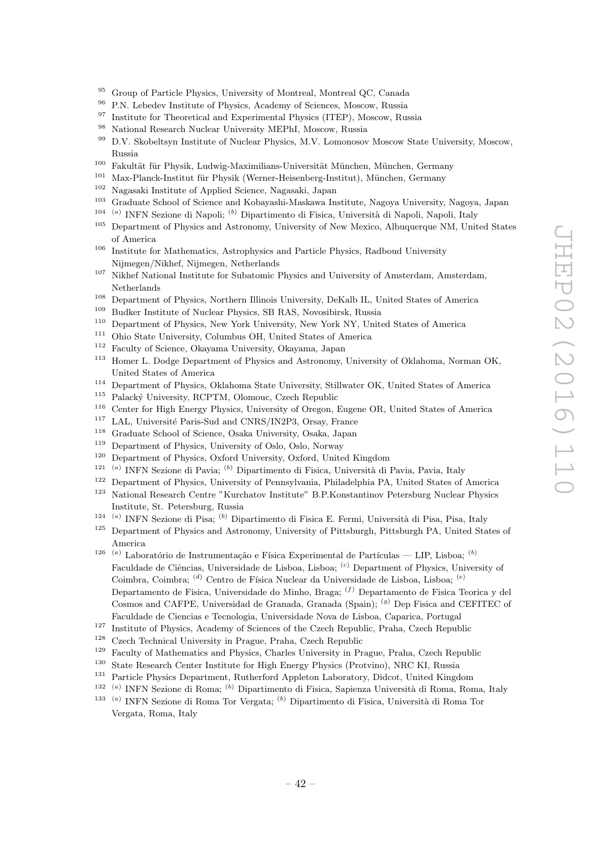- <sup>95</sup> Group of Particle Physics, University of Montreal, Montreal QC, Canada<br><sup>96</sup> PN Lebedov Institute of Physics Academy of Sciences Moscow, Bussia
- <sup>96</sup> P.N. Lebedev Institute of Physics, Academy of Sciences, Moscow, Russia<br><sup>97</sup> Institute for Theoretical and Experimental Physics (ITEP), Moscow, Rus
- <sup>97</sup> Institute for Theoretical and Experimental Physics (ITEP), Moscow, Russia<br><sup>98</sup> National Boscarch Nuclear University MEPhL Moscow, Russia
- <sup>98</sup> National Research Nuclear University MEPhI, Moscow, Russia<br><sup>99</sup> D.V. Skebeltsyn Institute of Nuclear Physics, M.V. Lemensee
- <sup>99</sup> D.V. Skobeltsyn Institute of Nuclear Physics, M.V. Lomonosov Moscow State University, Moscow, Russia
- <sup>100</sup> Fakultät für Physik, Ludwig-Maximilians-Universität München, München, Germany
- <sup>101</sup> Max-Planck-Institut für Physik (Werner-Heisenberg-Institut), München, Germany
- <sup>102</sup> Nagasaki Institute of Applied Science, Nagasaki, Japan
- <sup>103</sup> Graduate School of Science and Kobayashi-Maskawa Institute, Nagoya University, Nagoya, Japan
- <sup>104 (a</sup>) INFN Sezione di Napoli; <sup>(b)</sup> Dipartimento di Fisica, Università di Napoli, Napoli, Italy
- <sup>105</sup> Department of Physics and Astronomy, University of New Mexico, Albuquerque NM, United States of America
- <sup>106</sup> Institute for Mathematics, Astrophysics and Particle Physics, Radboud University Nijmegen/Nikhef, Nijmegen, Netherlands
- <sup>107</sup> Nikhef National Institute for Subatomic Physics and University of Amsterdam, Amsterdam, Netherlands
- <sup>108</sup> Department of Physics, Northern Illinois University, DeKalb IL, United States of America<br><sup>109</sup> Dealing Institute of Nicolas Physics, SD RAS, Negatively Presis
- <sup>109</sup> Budker Institute of Nuclear Physics, SB RAS, Novosibirsk, Russia<br><sup>110</sup> Department of Physics, New York University, New York NY, United
- <sup>110</sup> Department of Physics, New York University, New York NY, United States of America
- <sup>111</sup> Ohio State University, Columbus OH, United States of America<br><sup>112</sup> Faculty of Science Okayama University Okayama Japan
- <sup>112</sup> Faculty of Science, Okayama University, Okayama, Japan
- <sup>113</sup> Homer L. Dodge Department of Physics and Astronomy, University of Oklahoma, Norman OK, United States of America
- <sup>114</sup> Department of Physics, Oklahoma State University, Stillwater OK, United States of America<br><sup>115</sup> Polacký University, BCPTM, Olamour, Czech Republic
- Palacký University, RCPTM, Olomouc, Czech Republic
- <sup>116</sup> Center for High Energy Physics, University of Oregon, Eugene OR, United States of America<br><sup>117</sup> LAL Université Paris-Sud and CNBS/IN2P3, Orsay France
- <sup>117</sup> LAL, Université Paris-Sud and CNRS/IN2P3, Orsay, France<br><sup>118</sup> Craduate School of Science, Oralis University, Oralis, Japan
- <sup>118</sup> Graduate School of Science, Osaka University, Osaka, Japan
- <sup>119</sup> Department of Physics, University of Oslo, Oslo, Norway<br><sup>120</sup> Department of Physics, Oxford University, Oxford United
- <sup>120</sup> Department of Physics, Oxford University, Oxford, United Kingdom
- <sup>121 (a)</sup> INFN Sezione di Pavia; <sup>(b)</sup> Dipartimento di Fisica, Università di Pavia, Pavia, Italy
- <sup>122</sup> Department of Physics, University of Pennsylvania, Philadelphia PA, United States of America<br><sup>123</sup> National Besearch Centre "Kurchatov Institute" B P Konstantinov Petersburg Nuclear Physics
- <sup>123</sup> National Research Centre "Kurchatov Institute" B.P.Konstantinov Petersburg Nuclear Physics Institute, St. Petersburg, Russia
- <sup>124 (a</sup>) INFN Sezione di Pisa; <sup>(b)</sup> Dipartimento di Fisica E. Fermi, Università di Pisa, Pisa, Italy
- <sup>125</sup> Department of Physics and Astronomy, University of Pittsburgh, Pittsburgh PA, United States of America
- <sup>126 (a)</sup> Laboratório de Instrumentação e Física Experimental de Partículas LIP, Lisboa; <sup>(b)</sup> Faculdade de Ciências, Universidade de Lisboa, Lisboa; <sup>(c)</sup> Department of Physics, University of Coimbra, Coimbra; <sup>(d)</sup> Centro de Física Nuclear da Universidade de Lisboa, Lisboa; <sup>(e)</sup> Departamento de Fisica, Universidade do Minho, Braga; <sup>(f)</sup> Departamento de Fisica Teorica y del Cosmos and CAFPE, Universidad de Granada, Granada (Spain); <sup>(g)</sup> Dep Fisica and CEFITEC of Faculdade de Ciencias e Tecnologia, Universidade Nova de Lisboa, Caparica, Portugal
- <sup>127</sup> Institute of Physics, Academy of Sciences of the Czech Republic, Praha, Czech Republic<br><sup>128</sup> Czech Technical University in Prague, Praha, Czech Republic
- $128$  Czech Technical University in Prague, Praha, Czech Republic  $129$  Faculty of Mathematics and Physics Charles University in Pr
- <sup>129</sup> Faculty of Mathematics and Physics, Charles University in Prague, Praha, Czech Republic
- <sup>130</sup> State Research Center Institute for High Energy Physics (Protvino), NRC KI, Russia
- <sup>131</sup> Particle Physics Department, Rutherford Appleton Laboratory, Didcot, United Kingdom
- 132 ( <sup>a)</sup> INFN Sezione di Roma; <sup>(b)</sup> Dipartimento di Fisica, Sapienza Università di Roma, Roma, Italy
- <sup>133 (a)</sup> INFN Sezione di Roma Tor Vergata; <sup>(b)</sup> Dipartimento di Fisica, Università di Roma Tor Vergata, Roma, Italy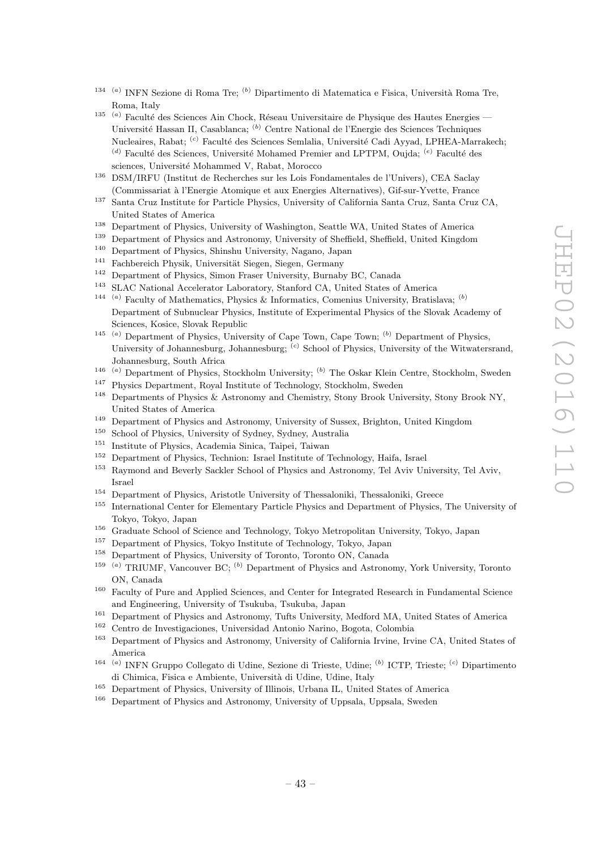- <sup>134 (a)</sup> INFN Sezione di Roma Tre; <sup>(b)</sup> Dipartimento di Matematica e Fisica, Università Roma Tre, Roma, Italy
- 135 ( <sup>a)</sup> Faculté des Sciences Ain Chock, Réseau Universitaire de Physique des Hautes Energies — Université Hassan II, Casablanca; <sup>(b)</sup> Centre National de l'Energie des Sciences Techniques Nucleaires, Rabat; <sup>(c)</sup> Faculté des Sciences Semlalia, Université Cadi Ayyad, LPHEA-Marrakech;  $^{(d)}$  Faculté des Sciences, Université Mohamed Premier and LPTPM, Oujda;  $^{(e)}$  Faculté des sciences, Université Mohammed V, Rabat, Morocco
- <sup>136</sup> DSM/IRFU (Institut de Recherches sur les Lois Fondamentales de l'Univers), CEA Saclay (Commissariat `a l'Energie Atomique et aux Energies Alternatives), Gif-sur-Yvette, France
- <sup>137</sup> Santa Cruz Institute for Particle Physics, University of California Santa Cruz, Santa Cruz CA, United States of America
- <sup>138</sup> Department of Physics, University of Washington, Seattle WA, United States of America
- <sup>139</sup> Department of Physics and Astronomy, University of Sheffield, Sheffield, United Kingdom
- <sup>140</sup> Department of Physics, Shinshu University, Nagano, Japan
- <sup>141</sup> Fachbereich Physik, Universität Siegen, Siegen, Germany<br><sup>142</sup> Penertment of Physics, Simon Frager University, Burnab
- <sup>142</sup> Department of Physics, Simon Fraser University, Burnaby BC, Canada<br><sup>143</sup> SLAC National Asselute Laboratory, Stanford CA, United States of
- SLAC National Accelerator Laboratory, Stanford CA, United States of America
- <sup>144 (a)</sup> Faculty of Mathematics, Physics & Informatics, Comenius University, Bratislava; <sup>(b)</sup> Department of Subnuclear Physics, Institute of Experimental Physics of the Slovak Academy of Sciences, Kosice, Slovak Republic
- <sup>145</sup><sup>(a)</sup> Department of Physics, University of Cape Town, Cape Town;<sup>(b)</sup> Department of Physics, University of Johannesburg, Johannesburg; <sup>(c)</sup> School of Physics, University of the Witwatersrand, Johannesburg, South Africa
- <sup>146 (a)</sup> Department of Physics, Stockholm University; <sup>(b)</sup> The Oskar Klein Centre, Stockholm, Sweden
- <sup>147</sup> Physics Department, Royal Institute of Technology, Stockholm, Sweden
- <sup>148</sup> Departments of Physics & Astronomy and Chemistry, Stony Brook University, Stony Brook NY, United States of America
- <sup>149</sup> Department of Physics and Astronomy, University of Sussex, Brighton, United Kingdom<br><sup>150</sup> School of Physics, University of Sudney, Australia
- School of Physics, University of Sydney, Sydney, Australia
- <sup>151</sup> Institute of Physics, Academia Sinica, Taipei, Taiwan
- <sup>152</sup> Department of Physics, Technion: Israel Institute of Technology, Haifa, Israel<br><sup>153</sup> Baymond and Boyerly Sackler School of Physics and Astronomy Tel Aviv Un
- <sup>153</sup> Raymond and Beverly Sackler School of Physics and Astronomy, Tel Aviv University, Tel Aviv, Israel
- <sup>154</sup> Department of Physics, Aristotle University of Thessaloniki, Thessaloniki, Greece
- <sup>155</sup> International Center for Elementary Particle Physics and Department of Physics, The University of Tokyo, Tokyo, Japan
- <sup>156</sup> Graduate School of Science and Technology, Tokyo Metropolitan University, Tokyo, Japan
- <sup>157</sup> Department of Physics, Tokyo Institute of Technology, Tokyo, Japan
- <sup>158</sup> Department of Physics, University of Toronto, Toronto ON, Canada
- 159 ( <sup>a)</sup> TRIUMF, Vancouver BC; <sup>(b)</sup> Department of Physics and Astronomy, York University, Toronto ON, Canada
- <sup>160</sup> Faculty of Pure and Applied Sciences, and Center for Integrated Research in Fundamental Science and Engineering, University of Tsukuba, Tsukuba, Japan
- <sup>161</sup> Department of Physics and Astronomy, Tufts University, Medford MA, United States of America
- <sup>162</sup> Centro de Investigaciones, Universidad Antonio Narino, Bogota, Colombia
- <sup>163</sup> Department of Physics and Astronomy, University of California Irvine, Irvine CA, United States of America
- <sup>164 (a)</sup> INFN Gruppo Collegato di Udine, Sezione di Trieste, Udine; <sup>(b)</sup> ICTP, Trieste; <sup>(c)</sup> Dipartimento di Chimica, Fisica e Ambiente, Universit`a di Udine, Udine, Italy
- <sup>165</sup> Department of Physics, University of Illinois, Urbana IL, United States of America
- <sup>166</sup> Department of Physics and Astronomy, University of Uppsala, Uppsala, Sweden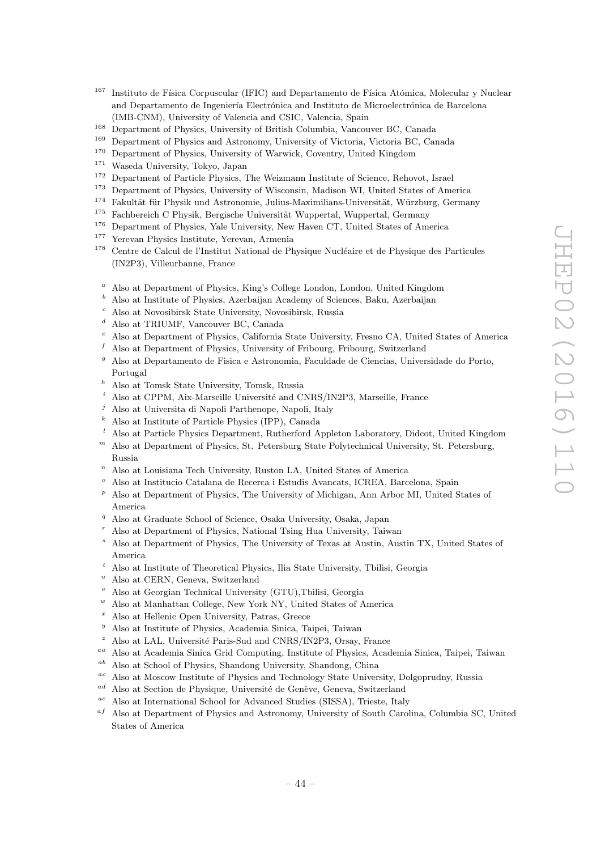- $167$  Instituto de Física Corpuscular (IFIC) and Departamento de Física Atómica, Molecular y Nuclear and Departamento de Ingeniería Electrónica and Instituto de Microelectrónica de Barcelona (IMB-CNM), University of Valencia and CSIC, Valencia, Spain
- <sup>168</sup> Department of Physics, University of British Columbia, Vancouver BC, Canada
- <sup>169</sup> Department of Physics and Astronomy, University of Victoria, Victoria BC, Canada<br><sup>170</sup> Department of Physics, University of Warwick, Coventry, United Kingdom
- <sup>170</sup> Department of Physics, University of Warwick, Coventry, United Kingdom<br><sup>171</sup> Waseda University Tokyo, Japan
- $171$  Waseda University, Tokyo, Japan<br> $172$  Department of Particle Physics T
- <sup>172</sup> Department of Particle Physics, The Weizmann Institute of Science, Rehovot, Israel<br><sup>173</sup> Department of Physics, University of Wissonsin, Madison WI, United States of Ameri
- <sup>173</sup> Department of Physics, University of Wisconsin, Madison WI, United States of America
- <sup>174</sup> Fakultät für Physik und Astronomie, Julius-Maximilians-Universität, Würzburg, Germany
- <sup>175</sup> Fachbereich C Physik, Bergische Universität Wuppertal, Wuppertal, Germany<br><sup>176</sup> Department of Physics, Vale University, New Hayen CT, United States of Ameri
- <sup>176</sup> Department of Physics, Yale University, New Haven CT, United States of America
- <sup>177</sup> Yerevan Physics Institute, Yerevan, Armenia<br><sup>178</sup> Centre de Calcul de l'Institut National de Ph
- Centre de Calcul de l'Institut National de Physique Nucléaire et de Physique des Particules (IN2P3), Villeurbanne, France
- <sup>a</sup> Also at Department of Physics, King's College London, London, United Kingdom
- <sup>b</sup> Also at Institute of Physics, Azerbaijan Academy of Sciences, Baku, Azerbaijan
- <sup>c</sup> Also at Novosibirsk State University, Novosibirsk, Russia
- <sup>d</sup> Also at TRIUMF, Vancouver BC, Canada
- <sup>e</sup> Also at Department of Physics, California State University, Fresno CA, United States of America
- $f$  Also at Department of Physics, University of Fribourg, Fribourg, Switzerland
- $g$  Also at Departamento de Fisica e Astronomia, Faculdade de Ciencias, Universidade do Porto, Portugal
- <sup>h</sup> Also at Tomsk State University, Tomsk, Russia
- Also at CPPM, Aix-Marseille Université and CNRS/IN2P3, Marseille, France
- <sup>j</sup> Also at Universita di Napoli Parthenope, Napoli, Italy
- <sup>k</sup> Also at Institute of Particle Physics (IPP), Canada
- <sup>l</sup> Also at Particle Physics Department, Rutherford Appleton Laboratory, Didcot, United Kingdom
- $<sup>m</sup>$  Also at Department of Physics, St. Petersburg State Polytechnical University, St. Petersburg,</sup> Russia
- $n$  Also at Louisiana Tech University, Ruston LA, United States of America
- <sup>o</sup> Also at Institucio Catalana de Recerca i Estudis Avancats, ICREA, Barcelona, Spain
- $p$  Also at Department of Physics, The University of Michigan, Ann Arbor MI, United States of America
- <sup>q</sup> Also at Graduate School of Science, Osaka University, Osaka, Japan
- <sup>r</sup> Also at Department of Physics, National Tsing Hua University, Taiwan
- <sup>s</sup> Also at Department of Physics, The University of Texas at Austin, Austin TX, United States of America
- <sup>t</sup> Also at Institute of Theoretical Physics, Ilia State University, Tbilisi, Georgia
- Also at CERN, Geneva, Switzerland
- <sup>v</sup> Also at Georgian Technical University (GTU),Tbilisi, Georgia
- Also at Manhattan College, New York NY, United States of America
- <sup>x</sup> Also at Hellenic Open University, Patras, Greece
- <sup>y</sup> Also at Institute of Physics, Academia Sinica, Taipei, Taiwan
- Also at LAL, Université Paris-Sud and CNRS/IN2P3, Orsay, France
- aa Also at Academia Sinica Grid Computing, Institute of Physics, Academia Sinica, Taipei, Taiwan
- ab Also at School of Physics, Shandong University, Shandong, China
- ac Also at Moscow Institute of Physics and Technology State University, Dolgoprudny, Russia
- <sup>ad</sup> Also at Section de Physique, Université de Genève, Geneva, Switzerland
- ae Also at International School for Advanced Studies (SISSA), Trieste, Italy
- <sup>af</sup> Also at Department of Physics and Astronomy, University of South Carolina, Columbia SC, United States of America